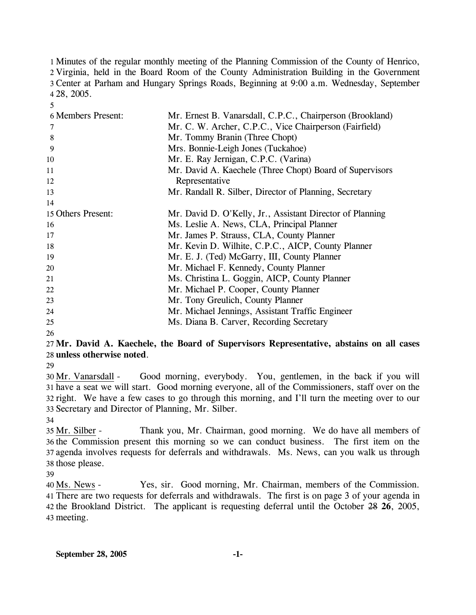Minutes of the regular monthly meeting of the Planning Commission of the County of Henrico, Virginia, held in the Board Room of the County Administration Building in the Government Center at Parham and Hungary Springs Roads, Beginning at 9:00 a.m. Wednesday, September 28, 2005.

| <b>6 Members Present:</b> | Mr. Ernest B. Vanarsdall, C.P.C., Chairperson (Brookland) |
|---------------------------|-----------------------------------------------------------|
| 7                         | Mr. C. W. Archer, C.P.C., Vice Chairperson (Fairfield)    |
| 8                         | Mr. Tommy Branin (Three Chopt)                            |
| 9                         | Mrs. Bonnie-Leigh Jones (Tuckahoe)                        |
| 10                        | Mr. E. Ray Jernigan, C.P.C. (Varina)                      |
| 11                        | Mr. David A. Kaechele (Three Chopt) Board of Supervisors  |
| 12                        | Representative                                            |
| 13                        | Mr. Randall R. Silber, Director of Planning, Secretary    |
| 14                        |                                                           |
| 15 Others Present:        | Mr. David D. O'Kelly, Jr., Assistant Director of Planning |
| 16                        | Ms. Leslie A. News, CLA, Principal Planner                |
| 17                        | Mr. James P. Strauss, CLA, County Planner                 |
| 18                        | Mr. Kevin D. Wilhite, C.P.C., AICP, County Planner        |
| 19                        | Mr. E. J. (Ted) McGarry, III, County Planner              |
| 20                        | Mr. Michael F. Kennedy, County Planner                    |
| 21                        | Ms. Christina L. Goggin, AICP, County Planner             |
| 22                        | Mr. Michael P. Cooper, County Planner                     |
| 23                        | Mr. Tony Greulich, County Planner                         |
| 24                        | Mr. Michael Jennings, Assistant Traffic Engineer          |
| 25                        | Ms. Diana B. Carver, Recording Secretary                  |

26

5

## 27 **Mr. David A. Kaechele, the Board of Supervisors Representative, abstains on all cases**  28 **unless otherwise noted**.

29

Good morning, everybody. You, gentlemen, in the back if you will 31 have a seat we will start. Good morning everyone, all of the Commissioners, staff over on the 32 right. We have a few cases to go through this morning, and I'll turn the meeting over to our 33 Secretary and Director of Planning, Mr. Silber. 30 Mr. Vanarsdall -

34

Thank you, Mr. Chairman, good morning. We do have all members of 36 the Commission present this morning so we can conduct business. The first item on the 37 agenda involves requests for deferrals and withdrawals. Ms. News, can you walk us through 38 those please. 35 Mr. Silber -

39

Yes, sir. Good morning, Mr. Chairman, members of the Commission. There are two requests for deferrals and withdrawals. The first is on page 3 of your agenda in 41 42 the Brookland District. The applicant is requesting deferral until the October 28 26, 2005, 40 Ms. News -43 meeting.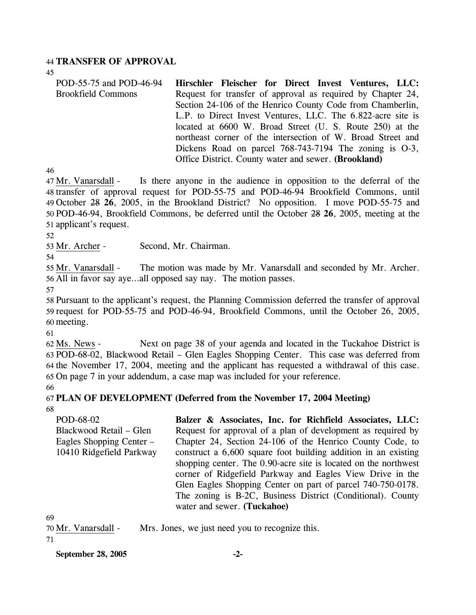### 44 **TRANSFER OF APPROVAL**

45

POD-55-75 and POD-46-94 Brookfield Commons **Hirschler Fleischer for Direct Invest Ventures, LLC:**  Request for transfer of approval as required by Chapter 24, Section 24-106 of the Henrico County Code from Chamberlin, L.P. to Direct Invest Ventures, LLC. The 6.822-acre site is located at 6600 W. Broad Street (U. S. Route 250) at the northeast corner of the intersection of W. Broad Street and Dickens Road on parcel 768-743-7194 The zoning is O-3, Office District. County water and sewer. **(Brookland)** 

46

Is there anyone in the audience in opposition to the deferral of the 48 transfer of approval request for POD-55-75 and POD-46-94 Brookfield Commons, until October 28 **26**, 2005, in the Brookland District? No opposition. I move POD-55-75 and 49 47 Mr. Vanarsdall -POD-46-94, Brookfield Commons, be deferred until the October 28 **26**, 2005, meeting at the 50 51 applicant's request.

52

53 Mr. Archer - Second, Mr. Chairman.

54

The motion was made by Mr. Vanarsdall and seconded by Mr. Archer. 56 All in favor say aye...all opposed say nay. The motion passes. 55 Mr. Vanarsdall -

57

58 Pursuant to the applicant's request, the Planning Commission deferred the transfer of approval 59 request for POD-55-75 and POD-46-94, Brookfield Commons, until the October 26, 2005, 60 meeting.

61

Next on page 38 of your agenda and located in the Tuckahoe District is 63 POD-68-02, Blackwood Retail – Glen Eagles Shopping Center. This case was deferred from 64 the November 17, 2004, meeting and the applicant has requested a withdrawal of this case. 65 On page 7 in your addendum, a case map was included for your reference. 62 Ms. News -

# 67 **PLAN OF DEVELOPMENT (Deferred from the November 17, 2004 Meeting)**

68

66

| POD-68-02                | Balzer & Associates, Inc. for Richfield Associates, LLC:        |
|--------------------------|-----------------------------------------------------------------|
| Blackwood Retail – Glen  | Request for approval of a plan of development as required by    |
| Eagles Shopping Center – | Chapter 24, Section 24-106 of the Henrico County Code, to       |
| 10410 Ridgefield Parkway | construct a 6,600 square foot building addition in an existing  |
|                          | shopping center. The 0.90-acre site is located on the northwest |
|                          | corner of Ridgefield Parkway and Eagles View Drive in the       |
|                          | Glen Eagles Shopping Center on part of parcel 740-750-0178.     |
|                          | The zoning is B-2C, Business District (Conditional). County     |
|                          | water and sewer. (Tuckahoe)                                     |

69

| 70 Mr. Vanarsdall - |  |  |  | Mrs. Jones, we just need you to recognize this. |
|---------------------|--|--|--|-------------------------------------------------|

71

**September 28, 2005 -2-**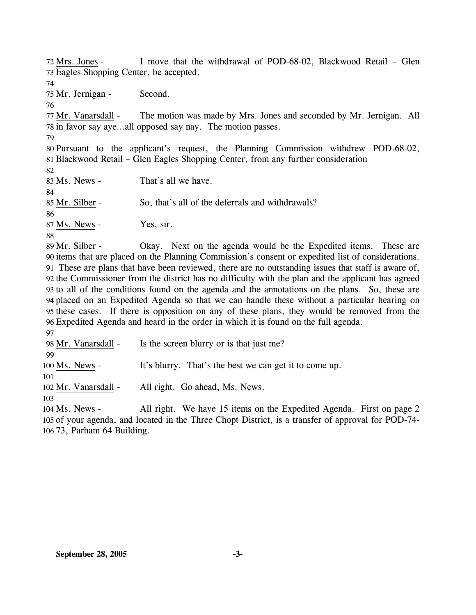I move that the withdrawal of POD-68-02, Blackwood Retail – Glen 73 Eagles Shopping Center, be accepted. 72 Mrs. Jones -74 75 Mr. Jernigan - Second. 76 The motion was made by Mrs. Jones and seconded by Mr. Jernigan. All 78 in favor say aye...all opposed say nay. The motion passes. 77 Mr. Vanarsdall -79 80 Pursuant to the applicant's request, the Planning Commission withdrew POD-68-02, 81 Blackwood Retail – Glen Eagles Shopping Center, from any further consideration 82 83 Ms. News - That's all we have. 84 85 Mr. Silber - So, that's all of the deferrals and withdrawals? 86 87 Ms. News - Yes, sir. 88 Okay. Next on the agenda would be the Expedited items. These are 90 items that are placed on the Planning Commission's consent or expedited list of considerations. These are plans that have been reviewed, there are no outstanding issues that staff is aware of, 91 92 the Commissioner from the district has no difficulty with the plan and the applicant has agreed 93 to all of the conditions found on the agenda and the annotations on the plans. So, these are 94 placed on an Expedited Agenda so that we can handle these without a particular hearing on 95 these cases. If there is opposition on any of these plans, they would be removed from the Expedited Agenda and heard in the order in which it is found on the full agenda. 96 89 Mr. Silber -

97

98 Mr. Vanarsdall - Is the screen blurry or is that just me?

100 Ms. News - It's blurry. That's the best we can get it to come up.

101

99

102 Mr. Vanarsdall - All right. Go ahead, Ms. News.

103

All right. We have 15 items on the Expedited Agenda. First on page 2 105 of your agenda, and located in the Three Chopt District, is a transfer of approval for POD-74-73, Parham 64 Building. 106 104 Ms. News -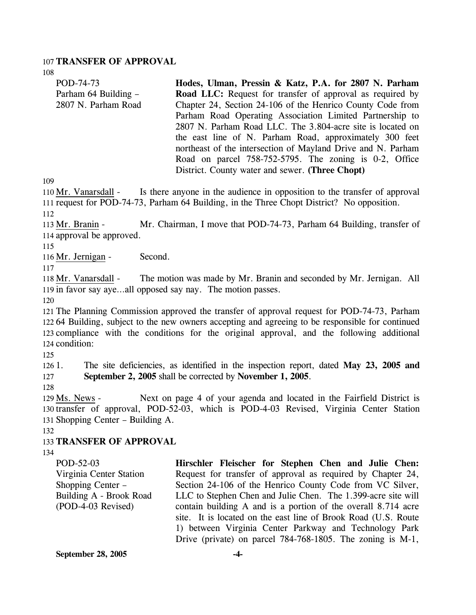#### 107 **TRANSFER OF APPROVAL**

108

| 108                                                         |                                                                                                   |
|-------------------------------------------------------------|---------------------------------------------------------------------------------------------------|
| POD-74-73                                                   | Hodes, Ulman, Pressin & Katz, P.A. for 2807 N. Parham                                             |
| Parham 64 Building -                                        | <b>Road LLC:</b> Request for transfer of approval as required by                                  |
| 2807 N. Parham Road                                         | Chapter 24, Section 24-106 of the Henrico County Code from                                        |
|                                                             | Parham Road Operating Association Limited Partnership to                                          |
|                                                             | 2807 N. Parham Road LLC. The 3.804-acre site is located on                                        |
|                                                             | the east line of N. Parham Road, approximately 300 feet                                           |
|                                                             | northeast of the intersection of Mayland Drive and N. Parham                                      |
|                                                             | Road on parcel 758-752-5795. The zoning is 0-2, Office                                            |
|                                                             | District. County water and sewer. (Three Chopt)                                                   |
| 109                                                         |                                                                                                   |
| 110 Mr. Vanarsdall -                                        | Is there anyone in the audience in opposition to the transfer of approval                         |
|                                                             | 111 request for POD-74-73, Parham 64 Building, in the Three Chopt District? No opposition.        |
| 112                                                         |                                                                                                   |
| 113 Mr. Branin -                                            | Mr. Chairman, I move that POD-74-73, Parham 64 Building, transfer of                              |
| 114 approval be approved.                                   |                                                                                                   |
| 115                                                         |                                                                                                   |
| Second.<br>116 Mr. Jernigan -                               |                                                                                                   |
| 117                                                         |                                                                                                   |
| 118 Mr. Vanarsdall -                                        | The motion was made by Mr. Branin and seconded by Mr. Jernigan. All                               |
| 119 in favor say ayeall opposed say nay. The motion passes. |                                                                                                   |
| 120                                                         |                                                                                                   |
|                                                             | 121 The Planning Commission approved the transfer of approval request for POD-74-73, Parham       |
|                                                             | 122.64 Building, subject to the new owners accepting and agreeing to be responsible for continued |
|                                                             | 123 compliance with the conditions for the original approval, and the following additional        |
| 124 condition:                                              |                                                                                                   |
| 125                                                         |                                                                                                   |
| 126 1.                                                      | The site deficiencies, as identified in the inspection report, dated May 23, 2005 and             |
| 127                                                         | September 2, 2005 shall be corrected by November 1, 2005.                                         |
| 128                                                         |                                                                                                   |
| 129 Ms. News -                                              | Next on page 4 of your agenda and located in the Fairfield District is                            |

130 transfer of approval, POD-52-03, which is POD-4-03 Revised, Virginia Center Station 131 Shopping Center - Building A.

132

#### 133 **TRANSFER OF APPROVAL**

134

POD-52-03 Virginia Center Station Shopping Center – Building A - Brook Road (POD-4-03 Revised) **Hirschler Fleischer for Stephen Chen and Julie Chen:**  Request for transfer of approval as required by Chapter 24, Section 24-106 of the Henrico County Code from VC Silver, LLC to Stephen Chen and Julie Chen. The 1.399-acre site will contain building A and is a portion of the overall 8.714 acre site. It is located on the east line of Brook Road (U.S. Route 1) between Virginia Center Parkway and Technology Park Drive (private) on parcel 784-768-1805. The zoning is M-1,

**September 28, 2005 -4-**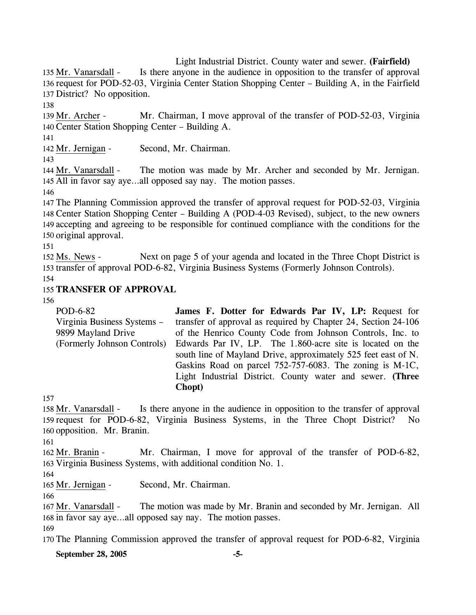Light Industrial District. County water and sewer. **(Fairfield)**  Is there anyone in the audience in opposition to the transfer of approval 136 request for POD-52-03, Virginia Center Station Shopping Center - Building A, in the Fairfield 137 District? No opposition. 135 Mr. Vanarsdall -

138

Mr. Chairman, I move approval of the transfer of POD-52-03, Virginia 140 Center Station Shopping Center - Building A. 139 Mr. Archer -

141

142 Mr. Jernigan - Second, Mr. Chairman.

143

The motion was made by Mr. Archer and seconded by Mr. Jernigan. 145 All in favor say aye...all opposed say nay. The motion passes. 144 Mr. Vanarsdall -

146

 The Planning Commission approved the transfer of approval request for POD-52-03, Virginia Center Station Shopping Center – Building A (POD-4-03 Revised), subject, to the new owners accepting and agreeing to be responsible for continued compliance with the conditions for the original approval.

151

Next on page 5 of your agenda and located in the Three Chopt District is 153 transfer of approval POD-6-82, Virginia Business Systems (Formerly Johnson Controls). 152 Ms. News -

154

# 155 **TRANSFER OF APPROVAL**

156

| POD-6-82                    | James F. Dotter for Edwards Par IV, LP: Request for            |
|-----------------------------|----------------------------------------------------------------|
| Virginia Business Systems – | transfer of approval as required by Chapter 24, Section 24-106 |
| 9899 Mayland Drive          | of the Henrico County Code from Johnson Controls, Inc. to      |
| (Formerly Johnson Controls) | Edwards Par IV, LP. The 1.860-acre site is located on the      |
|                             | south line of Mayland Drive, approximately 525 feet east of N. |
|                             | Gaskins Road on parcel 752-757-6083. The zoning is M-1C,       |
|                             | Light Industrial District. County water and sewer. (Three      |
|                             | Chopt)                                                         |

157

Is there anyone in the audience in opposition to the transfer of approval 159 request for POD-6-82, Virginia Business Systems, in the Three Chopt District? No 160 opposition. Mr. Branin. 158 Mr. Vanarsdall -

161

Mr. Chairman, I move for approval of the transfer of POD-6-82, 163 Virginia Business Systems, with additional condition No. 1. 162 Mr. Branin -

164

166

165 Mr. Jernigan - Second, Mr. Chairman.

The motion was made by Mr. Branin and seconded by Mr. Jernigan. All 168 in favor say aye...all opposed say nay. The motion passes. 167 Mr. Vanarsdall -169

170 The Planning Commission approved the transfer of approval request for POD-6-82, Virginia

**September 28, 2005 -5-**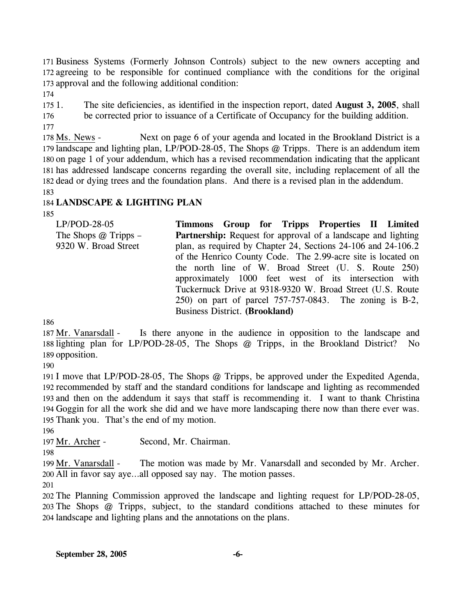171 Business Systems (Formerly Johnson Controls) subject to the new owners accepting and 172 agreeing to be responsible for continued compliance with the conditions for the original 173 approval and the following additional condition:

174

 $1751.$ 176 177 1. The site deficiencies, as identified in the inspection report, dated **August 3, 2005**, shall be corrected prior to issuance of a Certificate of Occupancy for the building addition.

Next on page 6 of your agenda and located in the Brookland District is a 179 landscape and lighting plan, LP/POD-28-05, The Shops @ Tripps. There is an addendum item 180 on page 1 of your addendum, which has a revised recommendation indicating that the applicant 181 has addressed landscape concerns regarding the overall site, including replacement of all the 182 dead or dying trees and the foundation plans. And there is a revised plan in the addendum. 178 Ms. News -

183

## 184 **LANDSCAPE & LIGHTING PLAN**

185

| $LP/POD-28-05$         |                                       |  | Timmons Group for Tripps Properties II Limited                       |  |
|------------------------|---------------------------------------|--|----------------------------------------------------------------------|--|
| The Shops $@$ Tripps – |                                       |  | <b>Partnership:</b> Request for approval of a landscape and lighting |  |
| 9320 W. Broad Street   |                                       |  | plan, as required by Chapter 24, Sections 24-106 and 24-106.2        |  |
|                        |                                       |  | of the Henrico County Code. The 2.99-acre site is located on         |  |
|                        |                                       |  | the north line of W. Broad Street (U. S. Route 250)                  |  |
|                        |                                       |  | approximately 1000 feet west of its intersection with                |  |
|                        |                                       |  | Tuckernuck Drive at 9318-9320 W. Broad Street (U.S. Route            |  |
|                        |                                       |  | 250) on part of parcel 757-757-0843. The zoning is B-2,              |  |
|                        | <b>Business District. (Brookland)</b> |  |                                                                      |  |

186

Is there anyone in the audience in opposition to the landscape and 188 lighting plan for LP/POD-28-05, The Shops @ Tripps, in the Brookland District? No 189 opposition. 187 Mr. Vanarsdall -

190

 I move that LP/POD-28-05, The Shops @ Tripps, be approved under the Expedited Agenda, recommended by staff and the standard conditions for landscape and lighting as recommended and then on the addendum it says that staff is recommending it. I want to thank Christina Goggin for all the work she did and we have more landscaping there now than there ever was. Thank you. That's the end of my motion.

196

197 Mr. Archer - Second, Mr. Chairman.

198

The motion was made by Mr. Vanarsdall and seconded by Mr. Archer. All in favor say aye…all opposed say nay. The motion passes. 200 199 Mr. Vanarsdall -

201

202 The Planning Commission approved the landscape and lighting request for LP/POD-28-05, 203 The Shops @ Tripps, subject, to the standard conditions attached to these minutes for 204 landscape and lighting plans and the annotations on the plans.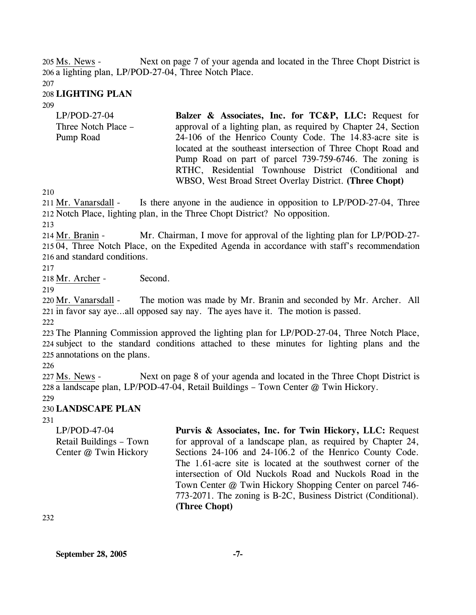Next on page 7 of your agenda and located in the Three Chopt District is 206 a lighting plan, LP/POD-27-04, Three Notch Place. 205 Ms. News -

207

### 208 **LIGHTING PLAN**

209

| $LP/POD-27-04$      | Balzer & Associates, Inc. for TC&P, LLC: Request for            |
|---------------------|-----------------------------------------------------------------|
| Three Notch Place - | approval of a lighting plan, as required by Chapter 24, Section |
| Pump Road           | 24-106 of the Henrico County Code. The 14.83-acre site is       |
|                     | located at the southeast intersection of Three Chopt Road and   |
|                     | Pump Road on part of parcel 739-759-6746. The zoning is         |
|                     | RTHC, Residential Townhouse District (Conditional and           |
|                     | WBSO, West Broad Street Overlay District. (Three Chopt)         |

210

Is there anyone in the audience in opposition to LP/POD-27-04, Three 212 Notch Place, lighting plan, in the Three Chopt District? No opposition. 211 Mr. Vanarsdall -

213

Mr. Chairman, I move for approval of the lighting plan for LP/POD-27-215 04, Three Notch Place, on the Expedited Agenda in accordance with staff's recommendation 216 and standard conditions. 214 Mr. Branin -

217

218 Mr. Archer - Second.

219

The motion was made by Mr. Branin and seconded by Mr. Archer. All 221 in favor say aye...all opposed say nay. The ayes have it. The motion is passed. 220 Mr. Vanarsdall -

222

223 The Planning Commission approved the lighting plan for LP/POD-27-04, Three Notch Place, 224 subject to the standard conditions attached to these minutes for lighting plans and the 225 annotations on the plans.

226

Next on page 8 of your agenda and located in the Three Chopt District is 228 a landscape plan, LP/POD-47-04, Retail Buildings – Town Center @ Twin Hickory. 227 Ms. News -

229

# 230 **LANDSCAPE PLAN**

231

LP/POD-47-04 Retail Buildings – Town Center @ Twin Hickory **Purvis & Associates, Inc. for Twin Hickory, LLC:** Request for approval of a landscape plan, as required by Chapter 24, Sections 24-106 and 24-106.2 of the Henrico County Code. The 1.61-acre site is located at the southwest corner of the intersection of Old Nuckols Road and Nuckols Road in the Town Center @ Twin Hickory Shopping Center on parcel 746- 773-2071. The zoning is B-2C, Business District (Conditional). **(Three Chopt)** 

232

**September 28, 2005 -7-**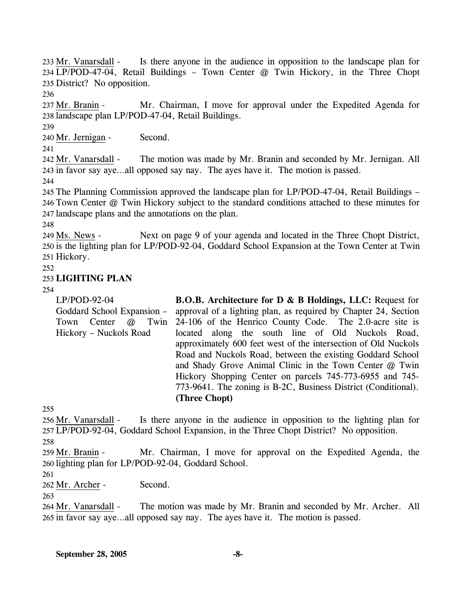Is there anyone in the audience in opposition to the landscape plan for LP/POD-47-04, Retail Buildings – Town Center @ Twin Hickory, in the Three Chopt 234 235 District? No opposition. 233 Mr. Vanarsdall -

236

Mr. Chairman, I move for approval under the Expedited Agenda for 238 landscape plan LP/POD-47-04, Retail Buildings. 237 Mr. Branin -

240 Mr. Jernigan - Second.

241

239

The motion was made by Mr. Branin and seconded by Mr. Jernigan. All 243 in favor say aye...all opposed say nay. The ayes have it. The motion is passed. 242 Mr. Vanarsdall -

244

245 The Planning Commission approved the landscape plan for LP/POD-47-04, Retail Buildings – 246 Town Center @ Twin Hickory subject to the standard conditions attached to these minutes for 247 landscape plans and the annotations on the plan.

248

Next on page 9 of your agenda and located in the Three Chopt District, 250 is the lighting plan for LP/POD-92-04, Goddard School Expansion at the Town Center at Twin 251 Hickory. 249 Ms. News -

252

## 253 **LIGHTING PLAN**

254

LP/POD-92-04 Goddard School Expansion – Town Center @ Twin Hickory – Nuckols Road **B.O.B. Architecture for D & B Holdings, LLC:** Request for approval of a lighting plan, as required by Chapter 24, Section 24-106 of the Henrico County Code. The 2.0-acre site is located along the south line of Old Nuckols Road, approximately 600 feet west of the intersection of Old Nuckols Road and Nuckols Road, between the existing Goddard School and Shady Grove Animal Clinic in the Town Center @ Twin Hickory Shopping Center on parcels 745-773-6955 and 745- 773-9641. The zoning is B-2C, Business District (Conditional). **(Three Chopt)** 

255

Is there anyone in the audience in opposition to the lighting plan for LP/POD-92-04, Goddard School Expansion, in the Three Chopt District? No opposition. 257 256 Mr. Vanarsdall -

258

Mr. Chairman, I move for approval on the Expedited Agenda, the 260 lighting plan for LP/POD-92-04, Goddard School. 259 Mr. Branin -

261

262 Mr. Archer - Second.

263

The motion was made by Mr. Branin and seconded by Mr. Archer. All 265 in favor say aye...all opposed say nay. The ayes have it. The motion is passed. 264 Mr. Vanarsdall -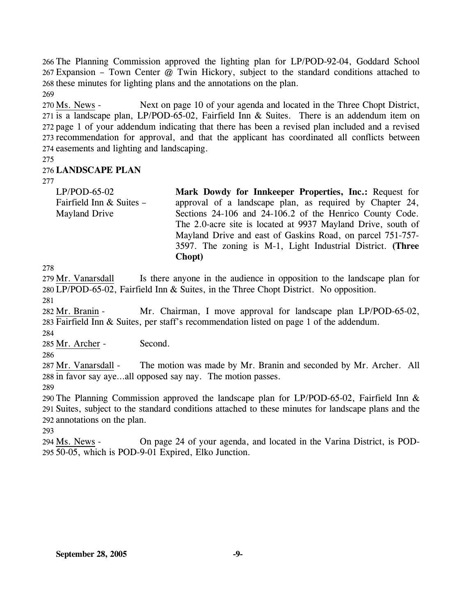The Planning Commission approved the lighting plan for LP/POD-92-04, Goddard School Expansion – Town Center @ Twin Hickory, subject to the standard conditions attached to these minutes for lighting plans and the annotations on the plan. 269

Next on page 10 of your agenda and located in the Three Chopt District, 271 is a landscape plan,  $LP/POD-65-02$ , Fairfield Inn  $&$  Suites. There is an addendum item on 272 page 1 of your addendum indicating that there has been a revised plan included and a revised 273 recommendation for approval, and that the applicant has coordinated all conflicts between 274 easements and lighting and landscaping. 270 Ms. News -

275

## 276 **LANDSCAPE PLAN**

277

LP/POD-65-02 Fairfield Inn & Suites – Mayland Drive **Mark Dowdy for Innkeeper Properties, Inc.:** Request for approval of a landscape plan, as required by Chapter 24, Sections 24-106 and 24-106.2 of the Henrico County Code. The 2.0-acre site is located at 9937 Mayland Drive, south of Mayland Drive and east of Gaskins Road, on parcel 751-757- 3597. The zoning is M-1, Light Industrial District. **(Three** 

278

Is there anyone in the audience in opposition to the landscape plan for LP/POD-65-02, Fairfield Inn & Suites, in the Three Chopt District. No opposition. 280 279 Mr. Vanarsdall 281

**Chopt)** 

282 Mr. Branin -

Mr. Chairman, I move approval for landscape plan LP/POD-65-02, Fairfield Inn & Suites, per staff's recommendation listed on page 1 of the addendum. 283 284

285 Mr. Archer - Second.

286

The motion was made by Mr. Branin and seconded by Mr. Archer. All 288 in favor say aye...all opposed say nay. The motion passes. 287 Mr. Vanarsdall -

289

290 The Planning Commission approved the landscape plan for LP/POD-65-02, Fairfield Inn & 291 Suites, subject to the standard conditions attached to these minutes for landscape plans and the 292 annotations on the plan.

293

On page 24 of your agenda, and located in the Varina District, is POD-50-05, which is POD-9-01 Expired, Elko Junction. 295 294 Ms. News -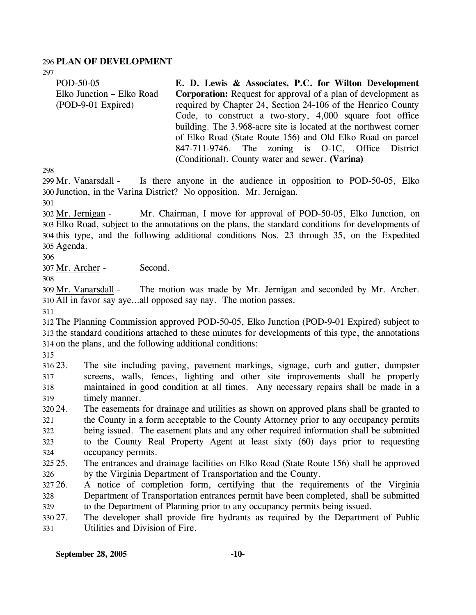### 296 **PLAN OF DEVELOPMENT**

297

POD-50-05 Elko Junction – Elko Road (POD-9-01 Expired) **E. D. Lewis & Associates, P.C. for Wilton Development Corporation:** Request for approval of a plan of development as required by Chapter 24, Section 24-106 of the Henrico County Code, to construct a two-story, 4,000 square foot office building. The 3.968-acre site is located at the northwest corner of Elko Road (State Route 156) and Old Elko Road on parcel 847-711-9746. The zoning is O-1C, Office District (Conditional). County water and sewer. **(Varina)** 

298

Is there anyone in the audience in opposition to POD-50-05, Elko 300 Junction, in the Varina District? No opposition. Mr. Jernigan. 299 Mr. Vanarsdall -

301

Mr. Chairman, I move for approval of POD-50-05, Elko Junction, on Elko Road, subject to the annotations on the plans, the standard conditions for developments of 303 304 this type, and the following additional conditions Nos. 23 through 35, on the Expedited 305 Agenda. 302 Mr. Jernigan -

306

307 Mr. Archer - Second.

308

The motion was made by Mr. Jernigan and seconded by Mr. Archer. All in favor say aye…all opposed say nay. The motion passes. 310 309 Mr. Vanarsdall -

311

312 The Planning Commission approved POD-50-05, Elko Junction (POD-9-01 Expired) subject to 313 the standard conditions attached to these minutes for developments of this type, the annotations 314 on the plans, and the following additional conditions:

315

316 23. 317 318 319 23. The site including paving, pavement markings, signage, curb and gutter, dumpster screens, walls, fences, lighting and other site improvements shall be properly maintained in good condition at all times. Any necessary repairs shall be made in a timely manner.

- 320 24. 321 322 323 324 The easements for drainage and utilities as shown on approved plans shall be granted to the County in a form acceptable to the County Attorney prior to any occupancy permits being issued. The easement plats and any other required information shall be submitted to the County Real Property Agent at least sixty (60) days prior to requesting occupancy permits.
- $325.25$ 326 25. The entrances and drainage facilities on Elko Road (State Route 156) shall be approved by the Virginia Department of Transportation and the County.
- 327 26. 328 329 26. A notice of completion form, certifying that the requirements of the Virginia Department of Transportation entrances permit have been completed, shall be submitted to the Department of Planning prior to any occupancy permits being issued.
- 330 27. 331 The developer shall provide fire hydrants as required by the Department of Public Utilities and Division of Fire.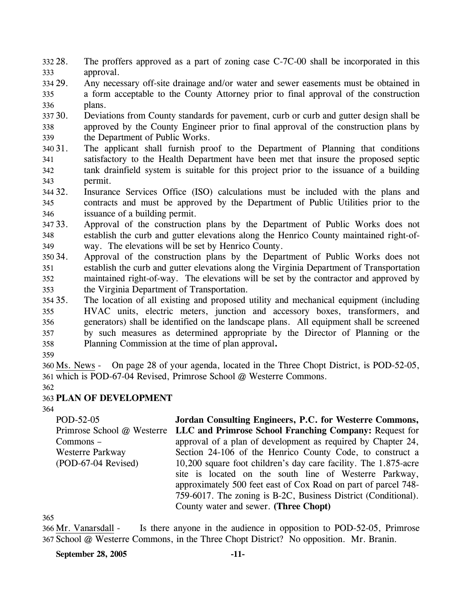- 332 28. 333 The proffers approved as a part of zoning case C-7C-00 shall be incorporated in this approval.
- 334 29. 335 336 Any necessary off-site drainage and/or water and sewer easements must be obtained in a form acceptable to the County Attorney prior to final approval of the construction plans.
- 30. 338 339 30. Deviations from County standards for pavement, curb or curb and gutter design shall be approved by the County Engineer prior to final approval of the construction plans by the Department of Public Works.
- 340 31. 341 342 343 The applicant shall furnish proof to the Department of Planning that conditions satisfactory to the Health Department have been met that insure the proposed septic tank drainfield system is suitable for this project prior to the issuance of a building permit.
- 344 32. 345 346 Insurance Services Office (ISO) calculations must be included with the plans and contracts and must be approved by the Department of Public Utilities prior to the issuance of a building permit.
- 347 33. 348 349 33. Approval of the construction plans by the Department of Public Works does not establish the curb and gutter elevations along the Henrico County maintained right-ofway. The elevations will be set by Henrico County.
- 350 34. 351 352 353 34. Approval of the construction plans by the Department of Public Works does not establish the curb and gutter elevations along the Virginia Department of Transportation maintained right-of-way. The elevations will be set by the contractor and approved by the Virginia Department of Transportation.
- 354 35. 355 356 357 358 The location of all existing and proposed utility and mechanical equipment (including HVAC units, electric meters, junction and accessory boxes, transformers, and generators) shall be identified on the landscape plans. All equipment shall be screened by such measures as determined appropriate by the Director of Planning or the Planning Commission at the time of plan approval**.**
- 359

On page 28 of your agenda, located in the Three Chopt District, is POD-52-05, which is POD-67-04 Revised, Primrose School @ Westerre Commons. 361 360 Ms. News -

362

# 363 **PLAN OF DEVELOPMENT**

364

POD-52-05 Primrose School @ Westerre **LLC and Primrose School Franching Company:** Request for Commons – Westerre Parkway (POD-67-04 Revised) **Jordan Consulting Engineers, P.C. for Westerre Commons,**  approval of a plan of development as required by Chapter 24, Section 24-106 of the Henrico County Code, to construct a 10,200 square foot children's day care facility. The 1.875-acre site is located on the south line of Westerre Parkway, approximately 500 feet east of Cox Road on part of parcel 748- 759-6017. The zoning is B-2C, Business District (Conditional). County water and sewer. **(Three Chopt)** 

365

Is there anyone in the audience in opposition to POD-52-05, Primrose 367 School @ Westerre Commons, in the Three Chopt District? No opposition. Mr. Branin. 366 Mr. Vanarsdall -

### **September 28, 2005 -11-**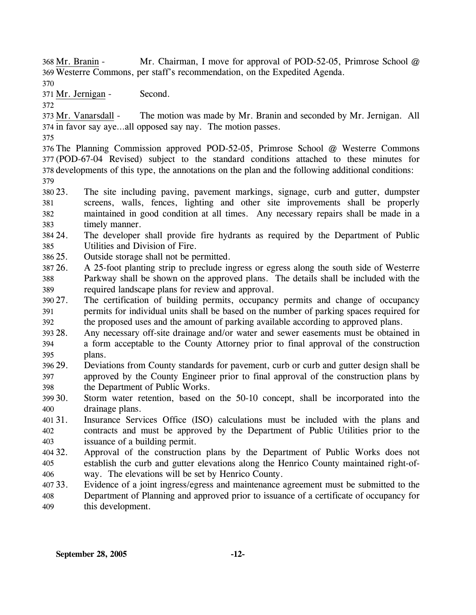Mr. Chairman, I move for approval of POD-52-05, Primrose School  $@$ Westerre Commons, per staff's recommendation, on the Expedited Agenda. 369 368 Mr. Branin -

370

371 Mr. Jernigan - Second.

372

The motion was made by Mr. Branin and seconded by Mr. Jernigan. All 374 in favor say aye...all opposed say nay. The motion passes. 373 Mr. Vanarsdall -

375

 The Planning Commission approved POD-52-05, Primrose School @ Westerre Commons (POD-67-04 Revised) subject to the standard conditions attached to these minutes for developments of this type, the annotations on the plan and the following additional conditions: 379

- 380 23. 381 382 383 The site including paving, pavement markings, signage, curb and gutter, dumpster screens, walls, fences, lighting and other site improvements shall be properly maintained in good condition at all times. Any necessary repairs shall be made in a timely manner.
- 384 24. 385 The developer shall provide fire hydrants as required by the Department of Public Utilities and Division of Fire.
- 386 25. Outside storage shall not be permitted.
- 387 26. 388 389 26. A 25-foot planting strip to preclude ingress or egress along the south side of Westerre Parkway shall be shown on the approved plans. The details shall be included with the required landscape plans for review and approval.
- 390 27. 391 392 The certification of building permits, occupancy permits and change of occupancy permits for individual units shall be based on the number of parking spaces required for the proposed uses and the amount of parking available according to approved plans.
- 393 28. 394 395 Any necessary off-site drainage and/or water and sewer easements must be obtained in a form acceptable to the County Attorney prior to final approval of the construction plans.
- 396 397 398 29. Deviations from County standards for pavement, curb or curb and gutter design shall be approved by the County Engineer prior to final approval of the construction plans by the Department of Public Works.
- 30. 400 Storm water retention, based on the 50-10 concept, shall be incorporated into the drainage plans.
- 401 31. 402 403 Insurance Services Office (ISO) calculations must be included with the plans and contracts and must be approved by the Department of Public Utilities prior to the issuance of a building permit.
- 404 32. 405 406 Approval of the construction plans by the Department of Public Works does not establish the curb and gutter elevations along the Henrico County maintained right-ofway. The elevations will be set by Henrico County.
- 407 33. Evidence of a joint ingress/egress and maintenance agreement must be submitted to the
- 408 409 Department of Planning and approved prior to issuance of a certificate of occupancy for this development.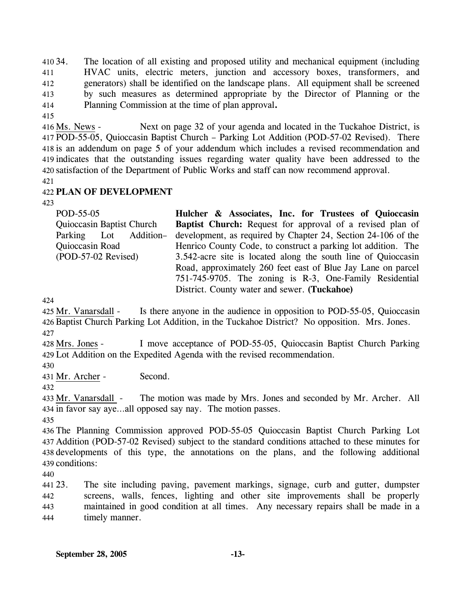410 34. 411 412 413 414 34. The location of all existing and proposed utility and mechanical equipment (including HVAC units, electric meters, junction and accessory boxes, transformers, and generators) shall be identified on the landscape plans. All equipment shall be screened by such measures as determined appropriate by the Director of Planning or the Planning Commission at the time of plan approval**.**

415

Next on page 32 of your agenda and located in the Tuckahoe District, is POD-55-05, Quioccasin Baptist Church – Parking Lot Addition (POD-57-02 Revised). There 417 418 is an addendum on page 5 of your addendum which includes a revised recommendation and 419 indicates that the outstanding issues regarding water quality have been addressed to the 420 satisfaction of the Department of Public Works and staff can now recommend approval.  $416$  Ms. News -

421

## 422 **PLAN OF DEVELOPMENT**

423

| POD-55-05                 | Hulcher & Associates, Inc. for Trustees of Quioccasin            |
|---------------------------|------------------------------------------------------------------|
| Quioccasin Baptist Church | <b>Baptist Church:</b> Request for approval of a revised plan of |
| Parking Lot Addition-     | development, as required by Chapter 24, Section 24-106 of the    |
| Quioccasin Road           | Henrico County Code, to construct a parking lot addition. The    |
| (POD-57-02 Revised)       | 3.542-acre site is located along the south line of Quioccasin    |
|                           | Road, approximately 260 feet east of Blue Jay Lane on parcel     |
|                           | 751-745-9705. The zoning is R-3, One-Family Residential          |
|                           | District. County water and sewer. (Tuckahoe)                     |

424

Is there anyone in the audience in opposition to POD-55-05, Quioccasin 426 Baptist Church Parking Lot Addition, in the Tuckahoe District? No opposition. Mrs. Jones. 425 Mr. Vanarsdall -427

I move acceptance of POD-55-05, Quioccasin Baptist Church Parking Lot Addition on the Expedited Agenda with the revised recommendation. 429 428 Mrs. Jones -

430

431 Mr. Archer - Second.

432

The motion was made by Mrs. Jones and seconded by Mr. Archer. All 434 in favor say aye...all opposed say nay. The motion passes. 433 Mr. Vanarsdall -

435

 The Planning Commission approved POD-55-05 Quioccasin Baptist Church Parking Lot Addition (POD-57-02 Revised) subject to the standard conditions attached to these minutes for developments of this type, the annotations on the plans, and the following additional conditions:

440

441 23. 442 443 444 The site including paving, pavement markings, signage, curb and gutter, dumpster screens, walls, fences, lighting and other site improvements shall be properly maintained in good condition at all times. Any necessary repairs shall be made in a timely manner.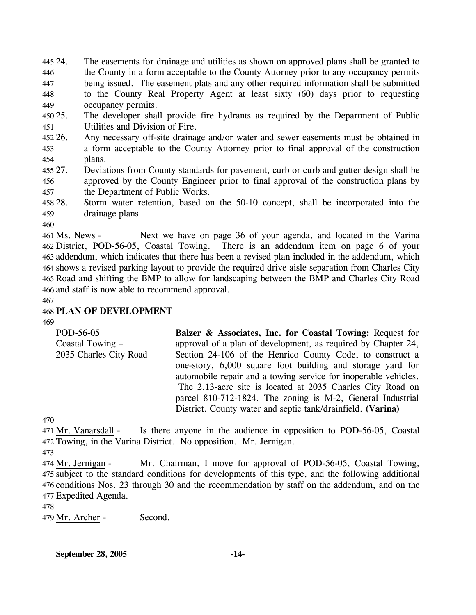445 24. 446 447 448 449 The easements for drainage and utilities as shown on approved plans shall be granted to the County in a form acceptable to the County Attorney prior to any occupancy permits being issued. The easement plats and any other required information shall be submitted to the County Real Property Agent at least sixty (60) days prior to requesting occupancy permits.

450 25. 451 The developer shall provide fire hydrants as required by the Department of Public Utilities and Division of Fire.

452 26. 453 454 26. Any necessary off-site drainage and/or water and sewer easements must be obtained in a form acceptable to the County Attorney prior to final approval of the construction plans.

- 455 27. 456 457 Deviations from County standards for pavement, curb or curb and gutter design shall be approved by the County Engineer prior to final approval of the construction plans by the Department of Public Works.
- 458 28. 459 Storm water retention, based on the 50-10 concept, shall be incorporated into the drainage plans.
- 460

Next we have on page 36 of your agenda, and located in the Varina There is an addendum item on page 6 of your 463 addendum, which indicates that there has been a revised plan included in the addendum, which 464 shows a revised parking layout to provide the required drive aisle separation from Charles City 465 Road and shifting the BMP to allow for landscaping between the BMP and Charles City Road 466 and staff is now able to recommend approval. 461 Ms. News -462 District, POD-56-05, Coastal Towing.

467

# 468 **PLAN OF DEVELOPMENT**

469

| POD-56-05              | Balzer & Associates, Inc. for Coastal Towing: Request for       |
|------------------------|-----------------------------------------------------------------|
| Coastal Towing –       | approval of a plan of development, as required by Chapter 24,   |
| 2035 Charles City Road | Section 24-106 of the Henrico County Code, to construct a       |
|                        | one-story, 6,000 square foot building and storage yard for      |
|                        | automobile repair and a towing service for inoperable vehicles. |
|                        | The 2.13-acre site is located at 2035 Charles City Road on      |
|                        | parcel 810-712-1824. The zoning is M-2, General Industrial      |
|                        | District. County water and septic tank/drainfield. (Varina)     |

470

Is there anyone in the audience in opposition to POD-56-05, Coastal 472 Towing, in the Varina District. No opposition. Mr. Jernigan. 471 Mr. Vanarsdall -

473

Mr. Chairman, I move for approval of POD-56-05, Coastal Towing, 475 subject to the standard conditions for developments of this type, and the following additional 476 conditions Nos. 23 through 30 and the recommendation by staff on the addendum, and on the Expedited Agenda. 477 474 Mr. Jernigan -

478

479 Mr. Archer - Second.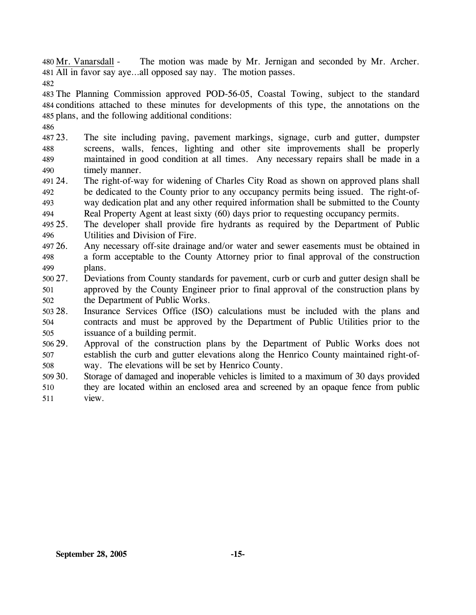The motion was made by Mr. Jernigan and seconded by Mr. Archer. All in favor say aye…all opposed say nay. The motion passes. 481 480 Mr. Vanarsdall -

482

483 The Planning Commission approved POD-56-05, Coastal Towing, subject to the standard 484 conditions attached to these minutes for developments of this type, the annotations on the 485 plans, and the following additional conditions:

486

487 23. 488 489 490 The site including paving, pavement markings, signage, curb and gutter, dumpster screens, walls, fences, lighting and other site improvements shall be properly maintained in good condition at all times. Any necessary repairs shall be made in a timely manner.

491 24. 492 493 The right-of-way for widening of Charles City Road as shown on approved plans shall be dedicated to the County prior to any occupancy permits being issued. The right-ofway dedication plat and any other required information shall be submitted to the County

494 Real Property Agent at least sixty (60) days prior to requesting occupancy permits.

- 495 25. 496 25. The developer shall provide fire hydrants as required by the Department of Public Utilities and Division of Fire.
- 497 26. 498 499 Any necessary off-site drainage and/or water and sewer easements must be obtained in a form acceptable to the County Attorney prior to final approval of the construction plans.

500 27. 501 502 27. Deviations from County standards for pavement, curb or curb and gutter design shall be approved by the County Engineer prior to final approval of the construction plans by the Department of Public Works.

503 28. 504 505 Insurance Services Office (ISO) calculations must be included with the plans and contracts and must be approved by the Department of Public Utilities prior to the issuance of a building permit.

506 29. 507 508 Approval of the construction plans by the Department of Public Works does not establish the curb and gutter elevations along the Henrico County maintained right-ofway. The elevations will be set by Henrico County.

509 30. 510 511 Storage of damaged and inoperable vehicles is limited to a maximum of 30 days provided they are located within an enclosed area and screened by an opaque fence from public view.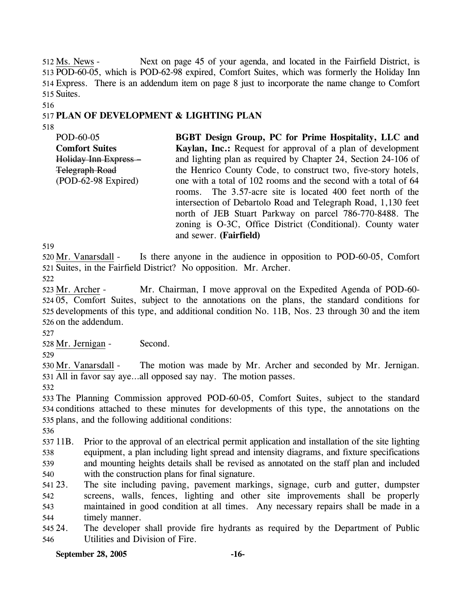Next on page 45 of your agenda, and located in the Fairfield District, is 513 POD-60-05, which is POD-62-98 expired, Comfort Suites, which was formerly the Holiday Inn Express. There is an addendum item on page 8 just to incorporate the name change to Comfort 514 515 Suites. 512 Ms. News -

## 517 **PLAN OF DEVELOPMENT & LIGHTING PLAN**

518

516

POD-60-05 **Comfort Suites**  Holiday Inn Express – Telegraph Road (POD-62-98 Expired) **BGBT Design Group, PC for Prime Hospitality, LLC and Kaylan, Inc.:** Request for approval of a plan of development and lighting plan as required by Chapter 24, Section 24-106 of the Henrico County Code, to construct two, five-story hotels, one with a total of 102 rooms and the second with a total of 64 rooms. The 3.57-acre site is located 400 feet north of the intersection of Debartolo Road and Telegraph Road, 1,130 feet north of JEB Stuart Parkway on parcel 786-770-8488. The zoning is O-3C, Office District (Conditional). County water and sewer. **(Fairfield)** 

519

Is there anyone in the audience in opposition to POD-60-05, Comfort 521 Suites, in the Fairfield District? No opposition. Mr. Archer. 520 Mr. Vanarsdall -

522

Mr. Chairman, I move approval on the Expedited Agenda of POD-60-524 05, Comfort Suites, subject to the annotations on the plans, the standard conditions for 525 developments of this type, and additional condition No. 11B, Nos. 23 through 30 and the item 526 on the addendum. 523 Mr. Archer -

527

528 Mr. Jernigan - Second.

529

The motion was made by Mr. Archer and seconded by Mr. Jernigan. All in favor say aye…all opposed say nay. The motion passes. 531 530 Mr. Vanarsdall -

532

533 The Planning Commission approved POD-60-05, Comfort Suites, subject to the standard 534 conditions attached to these minutes for developments of this type, the annotations on the 535 plans, and the following additional conditions:

536

537 11B. 538 539 540 11B. Prior to the approval of an electrical permit application and installation of the site lighting equipment, a plan including light spread and intensity diagrams, and fixture specifications and mounting heights details shall be revised as annotated on the staff plan and included with the construction plans for final signature.

541 23. 542 543 544 The site including paving, pavement markings, signage, curb and gutter, dumpster screens, walls, fences, lighting and other site improvements shall be properly maintained in good condition at all times. Any necessary repairs shall be made in a timely manner.

545 24. 546 The developer shall provide fire hydrants as required by the Department of Public Utilities and Division of Fire.

**September 28, 2005 -16-**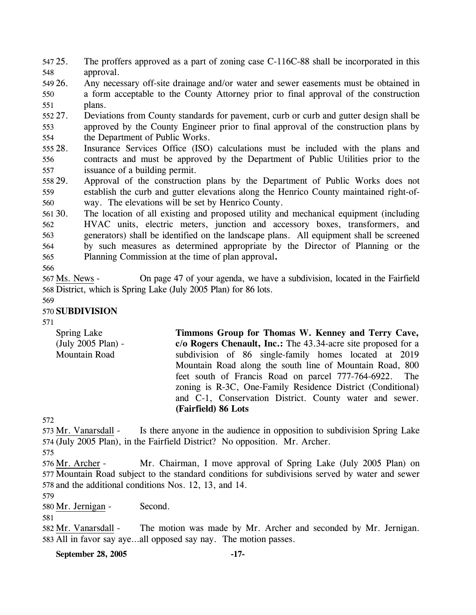547 25. 548 The proffers approved as a part of zoning case C-116C-88 shall be incorporated in this approval.

549 26. 550 551 26. Any necessary off-site drainage and/or water and sewer easements must be obtained in a form acceptable to the County Attorney prior to final approval of the construction plans.

552 27. 553 554 27. Deviations from County standards for pavement, curb or curb and gutter design shall be approved by the County Engineer prior to final approval of the construction plans by the Department of Public Works.

555 28. 556 557 Insurance Services Office (ISO) calculations must be included with the plans and contracts and must be approved by the Department of Public Utilities prior to the issuance of a building permit.

558 29. 559 560 Approval of the construction plans by the Department of Public Works does not establish the curb and gutter elevations along the Henrico County maintained right-ofway. The elevations will be set by Henrico County.

561 30. 562 563 564 565 The location of all existing and proposed utility and mechanical equipment (including HVAC units, electric meters, junction and accessory boxes, transformers, and generators) shall be identified on the landscape plans. All equipment shall be screened by such measures as determined appropriate by the Director of Planning or the Planning Commission at the time of plan approval**.**

566

On page 47 of your agenda, we have a subdivision, located in the Fairfield 568 District, which is Spring Lake (July 2005 Plan) for 86 lots. 567 Ms. News -

569

# 570 **SUBDIVISION**

571

Spring Lake (July 2005 Plan) - Mountain Road **Timmons Group for Thomas W. Kenney and Terry Cave, c/o Rogers Chenault, Inc.:** The 43.34-acre site proposed for a subdivision of 86 single-family homes located at 2019 Mountain Road along the south line of Mountain Road, 800 feet south of Francis Road on parcel 777-764-6922. The zoning is R-3C, One-Family Residence District (Conditional) and C-1, Conservation District. County water and sewer. **(Fairfield) 86 Lots** 

572

Is there anyone in the audience in opposition to subdivision Spring Lake (July 2005 Plan), in the Fairfield District? No opposition. Mr. Archer. 574 573 Mr. Vanarsdall -

575

Mr. Chairman, I move approval of Spring Lake (July 2005 Plan) on 577 Mountain Road subject to the standard conditions for subdivisions served by water and sewer 578 and the additional conditions Nos. 12, 13, and 14. 576 Mr. Archer -

579

580 Mr. Jernigan - Second.

581

The motion was made by Mr. Archer and seconded by Mr. Jernigan. All in favor say aye…all opposed say nay. The motion passes. 583 582 Mr. Vanarsdall -

**September 28, 2005 -17-**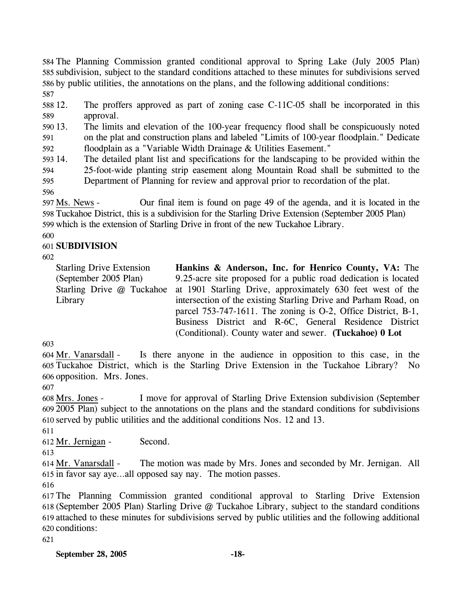The Planning Commission granted conditional approval to Spring Lake (July 2005 Plan) subdivision, subject to the standard conditions attached to these minutes for subdivisions served by public utilities, the annotations on the plans, and the following additional conditions: 587

588 12. 589 The proffers approved as part of zoning case  $C-11C-05$  shall be incorporated in this approval.

590 13. 591 13. The limits and elevation of the 100-year frequency flood shall be conspicuously noted on the plat and construction plans and labeled "Limits of 100-year floodplain." Dedicate

592 floodplain as a "Variable Width Drainage & Utilities Easement."

593 14. 594 595 The detailed plant list and specifications for the landscaping to be provided within the 25-foot-wide planting strip easement along Mountain Road shall be submitted to the Department of Planning for review and approval prior to recordation of the plat.

596

Our final item is found on page 49 of the agenda, and it is located in the 598 Tuckahoe District, this is a subdivision for the Starling Drive Extension (September 2005 Plan) 597 Ms. News -599 which is the extension of Starling Drive in front of the new Tuckahoe Library.

600

## 601 **SUBDIVISION**

602

Starling Drive Extension (September 2005 Plan) Starling Drive @ Tuckahoe Library

**Hankins & Anderson, Inc. for Henrico County, VA:** The 9.25-acre site proposed for a public road dedication is located at 1901 Starling Drive, approximately 630 feet west of the intersection of the existing Starling Drive and Parham Road, on parcel 753-747-1611. The zoning is O-2, Office District, B-1, Business District and R-6C, General Residence District (Conditional). County water and sewer. **(Tuckahoe) 0 Lot** 

603

Is there anyone in the audience in opposition to this case, in the Tuckahoe District, which is the Starling Drive Extension in the Tuckahoe Library? No 605 606 opposition. Mrs. Jones. 604 Mr. Vanarsdall -

607

I move for approval of Starling Drive Extension subdivision (September 2005 Plan) subject to the annotations on the plans and the standard conditions for subdivisions 609 610 served by public utilities and the additional conditions Nos. 12 and 13. 608 Mrs. Jones -

611

612 Mr. Jernigan - Second.

613

The motion was made by Mrs. Jones and seconded by Mr. Jernigan. All 615 in favor say aye...all opposed say nay. The motion passes. 614 Mr. Vanarsdall -

616

 The Planning Commission granted conditional approval to Starling Drive Extension (September 2005 Plan) Starling Drive @ Tuckahoe Library, subject to the standard conditions attached to these minutes for subdivisions served by public utilities and the following additional conditions:

621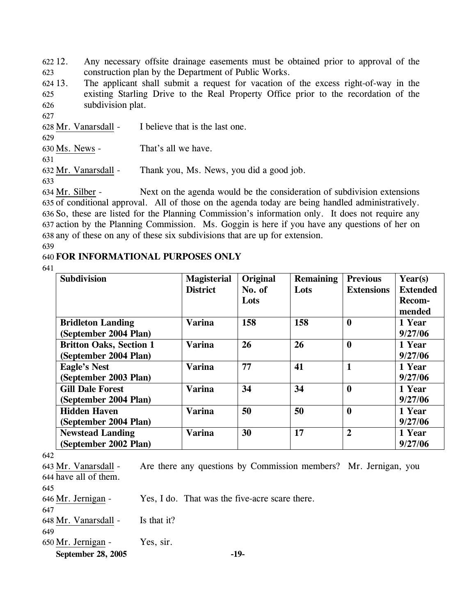622 12. 623 Any necessary offsite drainage easements must be obtained prior to approval of the construction plan by the Department of Public Works.

624 13. 625 626 The applicant shall submit a request for vacation of the excess right-of-way in the existing Starling Drive to the Real Property Office prior to the recordation of the subdivision plat.

627

628 Mr. Vanarsdall - I believe that is the last one. 629 630 Ms. News - That's all we have. 631 632 Mr. Vanarsdall - Thank you, Ms. News, you did a good job. 633 634 Mr. Silber -

Next on the agenda would be the consideration of subdivision extensions 635 of conditional approval. All of those on the agenda today are being handled administratively. 636 So, these are listed for the Planning Commission's information only. It does not require any 637 action by the Planning Commission. Ms. Goggin is here if you have any questions of her on 638 any of these on any of these six subdivisions that are up for extension.

639

# 640 **FOR INFORMATIONAL PURPOSES ONLY**

641

| <b>Subdivision</b>             | <b>Magisterial</b> | Original | <b>Remaining</b> | <b>Previous</b>   | Year(s)         |
|--------------------------------|--------------------|----------|------------------|-------------------|-----------------|
|                                | <b>District</b>    | No. of   | Lots             | <b>Extensions</b> | <b>Extended</b> |
|                                |                    | Lots     |                  |                   | Recom-          |
|                                |                    |          |                  |                   | mended          |
| <b>Bridleton Landing</b>       | <b>Varina</b>      | 158      | 158              | $\boldsymbol{0}$  | 1 Year          |
| (September 2004 Plan)          |                    |          |                  |                   | 9/27/06         |
| <b>Britton Oaks, Section 1</b> | <b>Varina</b>      | 26       | 26               | $\bf{0}$          | 1 Year          |
| (September 2004 Plan)          |                    |          |                  |                   | 9/27/06         |
| <b>Eagle's Nest</b>            | <b>Varina</b>      | 77       | 41               | $\mathbf{1}$      | 1 Year          |
| (September 2003 Plan)          |                    |          |                  |                   | 9/27/06         |
| <b>Gill Dale Forest</b>        | Varina             | 34       | 34               | $\boldsymbol{0}$  | 1 Year          |
| (September 2004 Plan)          |                    |          |                  |                   | 9/27/06         |
| <b>Hidden Haven</b>            | <b>Varina</b>      | 50       | 50               | $\bf{0}$          | 1 Year          |
| (September 2004 Plan)          |                    |          |                  |                   | 9/27/06         |
| <b>Newstead Landing</b>        | <b>Varina</b>      | 30       | 17               | $\overline{2}$    | 1 Year          |
| (September 2002 Plan)          |                    |          |                  |                   | 9/27/06         |
|                                |                    |          |                  |                   |                 |

642

Are there any questions by Commission members? Mr. Jernigan, you 644 have all of them. 643 Mr. Vanarsdall -

645

| 646 Mr. Jernigan -   |             | Yes, I do. That was the five-acre scare there. |
|----------------------|-------------|------------------------------------------------|
| -647                 |             |                                                |
| 648 Mr. Vanarsdall - | Is that it? |                                                |
| 649                  |             |                                                |

650 Mr. Jernigan - Yes, sir.

**September 28, 2005 -19-**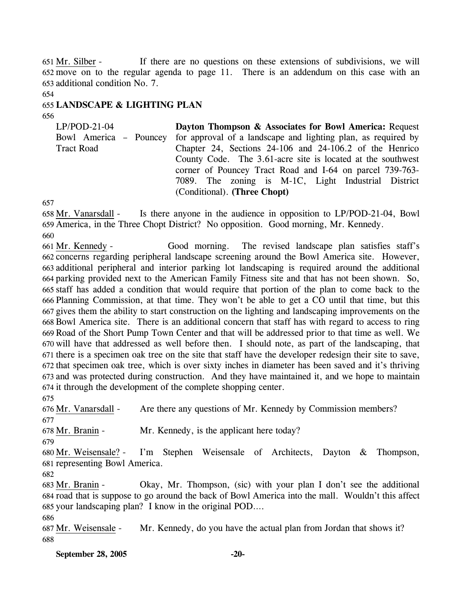If there are no questions on these extensions of subdivisions, we will move on to the regular agenda to page 11. There is an addendum on this case with an 652 653 additional condition No. 7.  $651$  Mr. Silber -

654

## 655 **LANDSCAPE & LIGHTING PLAN**

656

LP/POD-21-04 Bowl America – Pouncey Tract Road **Dayton Thompson & Associates for Bowl America:** Request for approval of a landscape and lighting plan, as required by Chapter 24, Sections 24-106 and 24-106.2 of the Henrico County Code. The 3.61-acre site is located at the southwest corner of Pouncey Tract Road and I-64 on parcel 739-763- 7089. The zoning is M-1C, Light Industrial District (Conditional). **(Three Chopt)** 

657

Is there anyone in the audience in opposition to LP/POD-21-04, Bowl 659 America, in the Three Chopt District? No opposition. Good morning, Mr. Kennedy. 658 Mr. Vanarsdall -660

Good morning. The revised landscape plan satisfies staff's 662 concerns regarding peripheral landscape screening around the Bowl America site. However, additional peripheral and interior parking lot landscaping is required around the additional 663 parking provided next to the American Family Fitness site and that has not been shown. So, 664 staff has added a condition that would require that portion of the plan to come back to the 665 666 Planning Commission, at that time. They won't be able to get a CO until that time, but this 667 gives them the ability to start construction on the lighting and landscaping improvements on the 668 Bowl America site. There is an additional concern that staff has with regard to access to ring 669 Road of the Short Pump Town Center and that will be addressed prior to that time as well. We 670 will have that addressed as well before then. I should note, as part of the landscaping, that 671 there is a specimen oak tree on the site that staff have the developer redesign their site to save, 672 that specimen oak tree, which is over sixty inches in diameter has been saved and it's thriving 673 and was protected during construction. And they have maintained it, and we hope to maintain 674 it through the development of the complete shopping center. 661 Mr. Kennedy -

675

676 Mr. Vanarsdall - Are there any questions of Mr. Kennedy by Commission members? 677

678 Mr. Branin - Mr. Kennedy, is the applicant here today?

679

I'm Stephen Weisensale of Architects, Dayton & Thompson, 681 representing Bowl America. 680 Mr. Weisensale? -

682

Okay, Mr. Thompson, (sic) with your plan I don't see the additional 684 road that is suppose to go around the back of Bowl America into the mall. Wouldn't this affect 685 your landscaping plan? I know in the original POD.... 683 Mr. Branin -

686

687 Mr. Weisensale - Mr. Kennedy, do you have the actual plan from Jordan that shows it? 688

**September 28, 2005 -20-**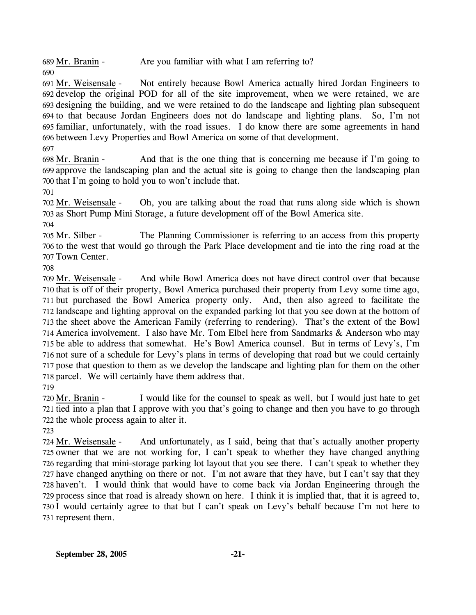689 Mr. Branin - Are you familiar with what I am referring to?

Not entirely because Bowl America actually hired Jordan Engineers to 692 develop the original POD for all of the site improvement, when we were retained, we are 693 designing the building, and we were retained to do the landscape and lighting plan subsequent 694 to that because Jordan Engineers does not do landscape and lighting plans. So, I'm not familiar, unfortunately, with the road issues. I do know there are some agreements in hand 695 696 between Levy Properties and Bowl America on some of that development. 691 Mr. Weisensale -

697

690

And that is the one thing that is concerning me because if I'm going to 699 approve the landscaping plan and the actual site is going to change then the landscaping plan 700 that I'm going to hold you to won't include that. 698 Mr. Branin -

701

Oh, you are talking about the road that runs along side which is shown 703 as Short Pump Mini Storage, a future development off of the Bowl America site. 702 Mr. Weisensale -

704

The Planning Commissioner is referring to an access from this property 706 to the west that would go through the Park Place development and tie into the ring road at the 707 Town Center. 705 Mr. Silber -

708

And while Bowl America does not have direct control over that because 710 that is off of their property, Bowl America purchased their property from Levy some time ago, 711 but purchased the Bowl America property only. And, then also agreed to facilitate the 712 landscape and lighting approval on the expanded parking lot that you see down at the bottom of 713 the sheet above the American Family (referring to rendering). That's the extent of the Bowl 714 America involvement. I also have Mr. Tom Elbel here from Sandmarks & Anderson who may 715 be able to address that somewhat. He's Bowl America counsel. But in terms of Levy's, I'm 716 not sure of a schedule for Levy's plans in terms of developing that road but we could certainly 717 pose that question to them as we develop the landscape and lighting plan for them on the other 718 parcel. We will certainly have them address that. 709 Mr. Weisensale -719

I would like for the counsel to speak as well, but I would just hate to get 721 tied into a plan that I approve with you that's going to change and then you have to go through 722 the whole process again to alter it. 720 Mr. Branin -

723

And unfortunately, as I said, being that that's actually another property 725 owner that we are not working for, I can't speak to whether they have changed anything 726 regarding that mini-storage parking lot layout that you see there. I can't speak to whether they 727 have changed anything on there or not. I'm not aware that they have, but I can't say that they 728 haven't. I would think that would have to come back via Jordan Engineering through the 729 process since that road is already shown on here. I think it is implied that, that it is agreed to, 730 I would certainly agree to that but I can't speak on Levy's behalf because I'm not here to 731 represent them. 724 Mr. Weisensale -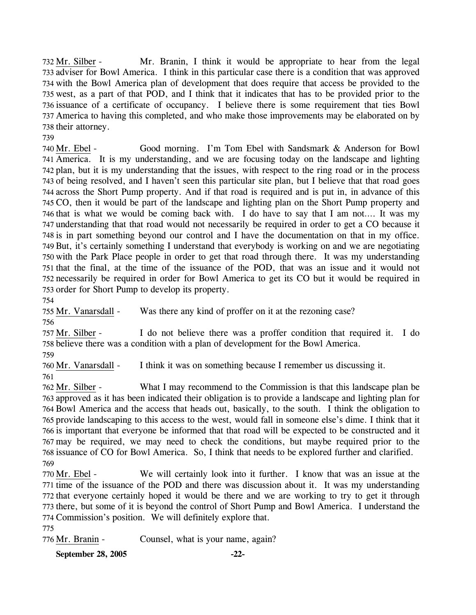Mr. Branin, I think it would be appropriate to hear from the legal 733 adviser for Bowl America. I think in this particular case there is a condition that was approved 734 with the Bowl America plan of development that does require that access be provided to the 735 west, as a part of that POD, and I think that it indicates that has to be provided prior to the 736 issuance of a certificate of occupancy. I believe there is some requirement that ties Bowl 737 America to having this completed, and who make those improvements may be elaborated on by 738 their attorney. 732 Mr. Silber -

739

Good morning. I'm Tom Ebel with Sandsmark & Anderson for Bowl 741 America. It is my understanding, and we are focusing today on the landscape and lighting 742 plan, but it is my understanding that the issues, with respect to the ring road or in the process 743 of being resolved, and I haven't seen this particular site plan, but I believe that that road goes 744 across the Short Pump property. And if that road is required and is put in, in advance of this 745 CO, then it would be part of the landscape and lighting plan on the Short Pump property and 746 that is what we would be coming back with. I do have to say that I am not.... It was my 747 understanding that that road would not necessarily be required in order to get a CO because it 748 is in part something beyond our control and I have the documentation on that in my office. 749 But, it's certainly something I understand that everybody is working on and we are negotiating 750 with the Park Place people in order to get that road through there. It was my understanding 751 that the final, at the time of the issuance of the POD, that was an issue and it would not 752 necessarily be required in order for Bowl America to get its CO but it would be required in 753 order for Short Pump to develop its property. 740 Mr. Ebel -

754

755 Mr. Vanarsdall - Was there any kind of proffer on it at the rezoning case? 756

I do not believe there was a proffer condition that required it. I do 758 believe there was a condition with a plan of development for the Bowl America. 757 Mr. Silber -

759

760 Mr. Vanarsdall - I think it was on something because I remember us discussing it. 761

What I may recommend to the Commission is that this landscape plan be 763 approved as it has been indicated their obligation is to provide a landscape and lighting plan for 764 Bowl America and the access that heads out, basically, to the south. I think the obligation to 765 provide landscaping to this access to the west, would fall in someone else's dime. I think that it 766 is important that everyone be informed that that road will be expected to be constructed and it may be required, we may need to check the conditions, but maybe required prior to the 767 768 issuance of CO for Bowl America. So, I think that needs to be explored further and clarified. 762 Mr. Silber -769

We will certainly look into it further. I know that was an issue at the 771 time of the issuance of the POD and there was discussion about it. It was my understanding 772 that everyone certainly hoped it would be there and we are working to try to get it through 773 there, but some of it is beyond the control of Short Pump and Bowl America. I understand the 774 Commission's position. We will definitely explore that. 770 Mr. Ebel -

775

776 Mr. Branin - Counsel, what is your name, again?

**September 28, 2005 -22-**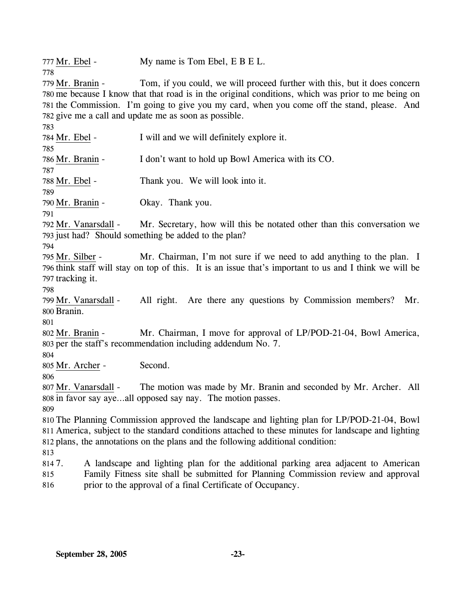777 Mr. Ebel - My name is Tom Ebel, E B E L. 778

Tom, if you could, we will proceed further with this, but it does concern 780 me because I know that that road is in the original conditions, which was prior to me being on 781 the Commission. I'm going to give you my card, when you come off the stand, please. And 782 give me a call and update me as soon as possible. 779 Mr. Branin -

783 784 Mr. Ebel - I will and we will definitely explore it. 785 786 Mr. Branin - I don't want to hold up Bowl America with its CO. 787 788 Mr. Ebel - Thank you. We will look into it. 789 790 Mr. Branin - Okay. Thank you. 791 Mr. Secretary, how will this be notated other than this conversation we 793 just had? Should something be added to the plan? 792 Mr. Vanarsdall -794 Mr. Chairman, I'm not sure if we need to add anything to the plan. I 796 think staff will stay on top of this. It is an issue that's important to us and I think we will be 797 tracking it. 795 Mr. Silber -798 All right. Are there any questions by Commission members? Mr. 800 Branin. 799 Mr. Vanarsdall -801 Mr. Chairman, I move for approval of LP/POD-21-04, Bowl America, 803 per the staff's recommendation including addendum No. 7. 802 Mr. Branin -804 805 Mr. Archer - Second. 806 The motion was made by Mr. Branin and seconded by Mr. Archer. All 808 in favor say aye...all opposed say nay. The motion passes. 807 Mr. Vanarsdall -809 810 The Planning Commission approved the landscape and lighting plan for LP/POD-21-04, Bowl 811 America, subject to the standard conditions attached to these minutes for landscape and lighting 812 plans, the annotations on the plans and the following additional condition: 813 814 7. 815 816 7. A landscape and lighting plan for the additional parking area adjacent to American Family Fitness site shall be submitted for Planning Commission review and approval prior to the approval of a final Certificate of Occupancy.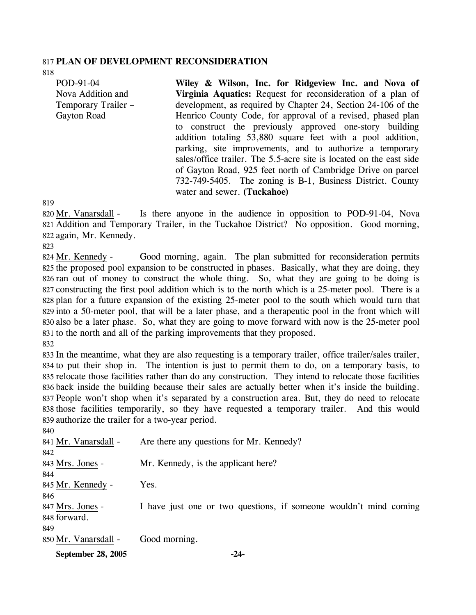#### 817 **PLAN OF DEVELOPMENT RECONSIDERATION**

818

POD-91-04 Nova Addition and Temporary Trailer – Gayton Road

**Wiley & Wilson, Inc. for Ridgeview Inc. and Nova of Virginia Aquatics:** Request for reconsideration of a plan of development, as required by Chapter 24, Section 24-106 of the Henrico County Code, for approval of a revised, phased plan to construct the previously approved one-story building addition totaling 53,880 square feet with a pool addition, parking, site improvements, and to authorize a temporary sales/office trailer. The 5.5-acre site is located on the east side of Gayton Road, 925 feet north of Cambridge Drive on parcel 732-749-5405. The zoning is B-1, Business District. County water and sewer. **(Tuckahoe)** 

819

Is there anyone in the audience in opposition to POD-91-04, Nova Addition and Temporary Trailer, in the Tuckahoe District? No opposition. Good morning, 821 822 again, Mr. Kennedy. 820 Mr. Vanarsdall -

823

Good morning, again. The plan submitted for reconsideration permits 825 the proposed pool expansion to be constructed in phases. Basically, what they are doing, they 826 ran out of money to construct the whole thing. So, what they are going to be doing is 827 constructing the first pool addition which is to the north which is a 25-meter pool. There is a 828 plan for a future expansion of the existing 25-meter pool to the south which would turn that 829 into a 50-meter pool, that will be a later phase, and a therapeutic pool in the front which will 830 also be a later phase. So, what they are going to move forward with now is the 25-meter pool 831 to the north and all of the parking improvements that they proposed. 824 Mr. Kennedy -

832

 In the meantime, what they are also requesting is a temporary trailer, office trailer/sales trailer, to put their shop in. The intention is just to permit them to do, on a temporary basis, to relocate those facilities rather than do any construction. They intend to relocate those facilities back inside the building because their sales are actually better when it's inside the building. People won't shop when it's separated by a construction area. But, they do need to relocate those facilities temporarily, so they have requested a temporary trailer. And this would authorize the trailer for a two-year period.

| September 28, 2005   | $-24-$                                                            |
|----------------------|-------------------------------------------------------------------|
| 850 Mr. Vanarsdall - | Good morning.                                                     |
| 849                  |                                                                   |
| 848 forward.         |                                                                   |
| 847 Mrs. Jones -     | I have just one or two questions, if someone wouldn't mind coming |
| 846                  |                                                                   |
| 845 Mr. Kennedy -    | Yes.                                                              |
| 844                  |                                                                   |
| 843 Mrs. Jones -     | Mr. Kennedy, is the applicant here?                               |
| 842                  |                                                                   |
| 841 Mr. Vanarsdall - | Are there any questions for Mr. Kennedy?                          |
| 840                  |                                                                   |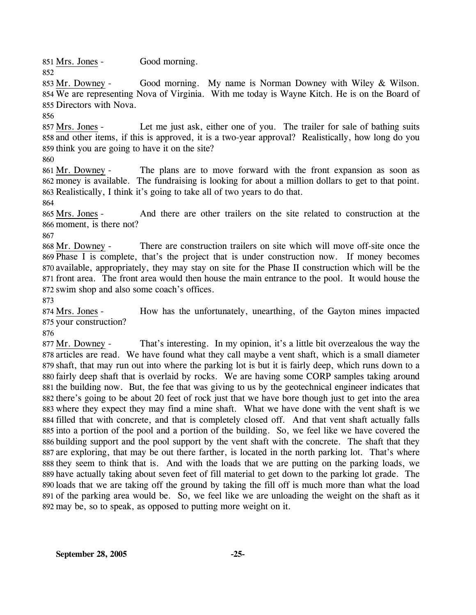851 Mrs. Jones - Good morning. 852

Good morning. My name is Norman Downey with Wiley  $&$  Wilson. 854 We are representing Nova of Virginia. With me today is Wayne Kitch. He is on the Board of 855 Directors with Nova. 853 Mr. Downey -

856

Let me just ask, either one of you. The trailer for sale of bathing suits 858 and other items, if this is approved, it is a two-year approval? Realistically, how long do you 859 think you are going to have it on the site? 857 Mrs. Jones -

860

The plans are to move forward with the front expansion as soon as 862 money is available. The fundraising is looking for about a million dollars to get to that point. 863 Realistically, I think it's going to take all of two years to do that. 861 Mr. Downey -

864

And there are other trailers on the site related to construction at the 866 moment, is there not? 865 Mrs. Jones -

867

There are construction trailers on site which will move off-site once the 869 Phase I is complete, that's the project that is under construction now. If money becomes 870 available, appropriately, they may stay on site for the Phase II construction which will be the 871 front area. The front area would then house the main entrance to the pool. It would house the 872 swim shop and also some coach's offices. 868 Mr. Downey -

873

How has the unfortunately, unearthing, of the Gayton mines impacted 875 your construction? 874 Mrs. Jones -

876

That's interesting. In my opinion, it's a little bit overzealous the way the 878 articles are read. We have found what they call maybe a vent shaft, which is a small diameter 879 shaft, that may run out into where the parking lot is but it is fairly deep, which runs down to a 880 fairly deep shaft that is overlaid by rocks. We are having some CORP samples taking around 881 the building now. But, the fee that was giving to us by the geotechnical engineer indicates that 882 there's going to be about 20 feet of rock just that we have bore though just to get into the area 883 where they expect they may find a mine shaft. What we have done with the vent shaft is we 884 filled that with concrete, and that is completely closed off. And that vent shaft actually falls 885 into a portion of the pool and a portion of the building. So, we feel like we have covered the 886 building support and the pool support by the vent shaft with the concrete. The shaft that they 887 are exploring, that may be out there farther, is located in the north parking lot. That's where 888 they seem to think that is. And with the loads that we are putting on the parking loads, we 889 have actually taking about seven feet of fill material to get down to the parking lot grade. The 890 loads that we are taking off the ground by taking the fill off is much more than what the load 891 of the parking area would be. So, we feel like we are unloading the weight on the shaft as it 892 may be, so to speak, as opposed to putting more weight on it. 877 Mr. Downey -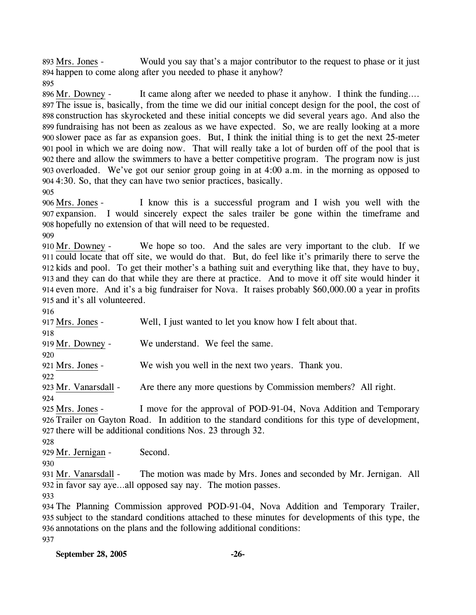Would you say that's a major contributor to the request to phase or it just 894 happen to come along after you needed to phase it anyhow? 893 Mrs. Jones -

895

It came along after we needed to phase it anyhow. I think the funding…. The issue is, basically, from the time we did our initial concept design for the pool, the cost of 897 898 construction has skyrocketed and these initial concepts we did several years ago. And also the 899 fundraising has not been as zealous as we have expected. So, we are really looking at a more 900 slower pace as far as expansion goes. But, I think the initial thing is to get the next 25-meter pool in which we are doing now. That will really take a lot of burden off of the pool that is 901 902 there and allow the swimmers to have a better competitive program. The program now is just 903 overloaded. We've got our senior group going in at 4:00 a.m. in the morning as opposed to 4:30. So, that they can have two senior practices, basically. 904 896 Mr. Downey -905

I know this is a successful program and I wish you well with the 907 expansion. I would sincerely expect the sales trailer be gone within the timeframe and 908 hopefully no extension of that will need to be requested. 906 Mrs. Jones -

909

We hope so too. And the sales are very important to the club. If we 911 could locate that off site, we would do that. But, do feel like it's primarily there to serve the 912 kids and pool. To get their mother's a bathing suit and everything like that, they have to buy, and they can do that while they are there at practice. And to move it off site would hinder it 913 914 even more. And it's a big fundraiser for Nova. It raises probably \$60,000.00 a year in profits 915 and it's all volunteered. 910 Mr. Downey -

916

917 Mrs. Jones - Well, I just wanted to let you know how I felt about that. 918 919 Mr. Downey - We understand. We feel the same. 920 921 Mrs. Jones - We wish you well in the next two years. Thank you. 922 923 Mr. Vanarsdall - Are there any more questions by Commission members? All right. 924 I move for the approval of POD-91-04, Nova Addition and Temporary Trailer on Gayton Road. In addition to the standard conditions for this type of development, 926 927 there will be additional conditions Nos. 23 through 32. 925 Mrs. Jones -

928

929 Mr. Jernigan - Second.

930

The motion was made by Mrs. Jones and seconded by Mr. Jernigan. All 932 in favor say aye...all opposed say nay. The motion passes. 931 Mr. Vanarsdall -

933

 The Planning Commission approved POD-91-04, Nova Addition and Temporary Trailer, subject to the standard conditions attached to these minutes for developments of this type, the annotations on the plans and the following additional conditions: 937

| September 28, 2005 |  |
|--------------------|--|
|                    |  |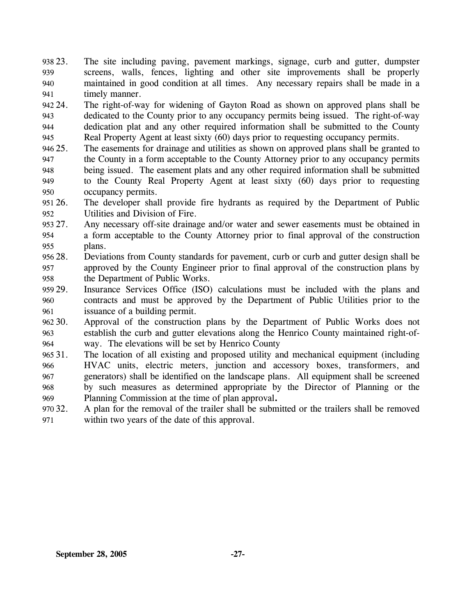938 23. 939 940 941 The site including paving, pavement markings, signage, curb and gutter, dumpster screens, walls, fences, lighting and other site improvements shall be properly maintained in good condition at all times. Any necessary repairs shall be made in a timely manner.

942.24 943 944 945 24. The right-of-way for widening of Gayton Road as shown on approved plans shall be dedicated to the County prior to any occupancy permits being issued. The right-of-way dedication plat and any other required information shall be submitted to the County Real Property Agent at least sixty (60) days prior to requesting occupancy permits.

- 946 25. 947 948 949 950 The easements for drainage and utilities as shown on approved plans shall be granted to the County in a form acceptable to the County Attorney prior to any occupancy permits being issued. The easement plats and any other required information shall be submitted to the County Real Property Agent at least sixty (60) days prior to requesting occupancy permits.
- 951 26. 952 The developer shall provide fire hydrants as required by the Department of Public Utilities and Division of Fire.

953 27. 954 955 Any necessary off-site drainage and/or water and sewer easements must be obtained in a form acceptable to the County Attorney prior to final approval of the construction plans.

- 956 28. 957 958 28. Deviations from County standards for pavement, curb or curb and gutter design shall be approved by the County Engineer prior to final approval of the construction plans by the Department of Public Works.
- 959 29. 960 961 Insurance Services Office (ISO) calculations must be included with the plans and contracts and must be approved by the Department of Public Utilities prior to the issuance of a building permit.
- $962.30.$ 963 964 Approval of the construction plans by the Department of Public Works does not establish the curb and gutter elevations along the Henrico County maintained right-ofway. The elevations will be set by Henrico County
- 965 31. 966 967 968 969 The location of all existing and proposed utility and mechanical equipment (including HVAC units, electric meters, junction and accessory boxes, transformers, and generators) shall be identified on the landscape plans. All equipment shall be screened by such measures as determined appropriate by the Director of Planning or the Planning Commission at the time of plan approval**.**
- 970 32. 971 A plan for the removal of the trailer shall be submitted or the trailers shall be removed within two years of the date of this approval.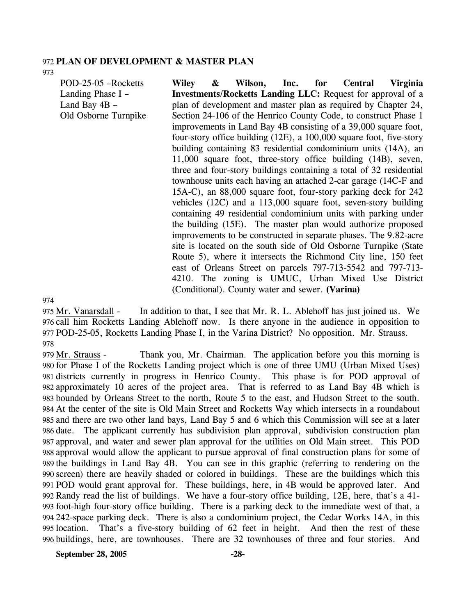#### 972 **PLAN OF DEVELOPMENT & MASTER PLAN**

973

POD-25-05 –Rocketts Landing Phase I – Land Bay 4B – Old Osborne Turnpike **Wiley & Wilson, Inc. for Central Virginia Investments/Rocketts Landing LLC:** Request for approval of a plan of development and master plan as required by Chapter 24, Section 24-106 of the Henrico County Code, to construct Phase 1 improvements in Land Bay 4B consisting of a 39,000 square foot, four-story office building (12E), a 100,000 square foot, five-story building containing 83 residential condominium units (14A), an 11,000 square foot, three-story office building (14B), seven, three and four-story buildings containing a total of 32 residential townhouse units each having an attached 2-car garage (14C-F and 15A-C), an 88,000 square foot, four-story parking deck for 242 vehicles (12C) and a 113,000 square foot, seven-story building containing 49 residential condominium units with parking under the building (15E). The master plan would authorize proposed improvements to be constructed in separate phases. The 9.82-acre site is located on the south side of Old Osborne Turnpike (State Route 5), where it intersects the Richmond City line, 150 feet east of Orleans Street on parcels 797-713-5542 and 797-713- 4210. The zoning is UMUC, Urban Mixed Use District (Conditional). County water and sewer. **(Varina)** 

974

In addition to that, I see that Mr. R. L. Ablehoff has just joined us. We 976 call him Rocketts Landing Ablehoff now. Is there anyone in the audience in opposition to 977 POD-25-05, Rocketts Landing Phase I, in the Varina District? No opposition. Mr. Strauss. 975 Mr. Vanarsdall -978

Thank you, Mr. Chairman. The application before you this morning is 980 for Phase I of the Rocketts Landing project which is one of three UMU (Urban Mixed Uses) 981 districts currently in progress in Henrico County. This phase is for POD approval of 982 approximately 10 acres of the project area. That is referred to as Land Bay 4B which is 983 bounded by Orleans Street to the north, Route 5 to the east, and Hudson Street to the south. At the center of the site is Old Main Street and Rocketts Way which intersects in a roundabout 984 985 and there are two other land bays, Land Bay 5 and 6 which this Commission will see at a later 986 date. The applicant currently has subdivision plan approval, subdivision construction plan 987 approval, and water and sewer plan approval for the utilities on Old Main street. This POD 988 approval would allow the applicant to pursue approval of final construction plans for some of 989 the buildings in Land Bay 4B. You can see in this graphic (referring to rendering on the 990 screen) there are heavily shaded or colored in buildings. These are the buildings which this POD would grant approval for. These buildings, here, in 4B would be approved later. And 991 992 Randy read the list of buildings. We have a four-story office building, 12E, here, that's a 41foot-high four-story office building. There is a parking deck to the immediate west of that, a 993 242-space parking deck. There is also a condominium project, the Cedar Works 14A, in this 994 995 location. That's a five-story building of 62 feet in height. And then the rest of these buildings, here, are townhouses. There are 32 townhouses of three and four stories. And 996 979 Mr. Strauss -

**September 28, 2005 -28-**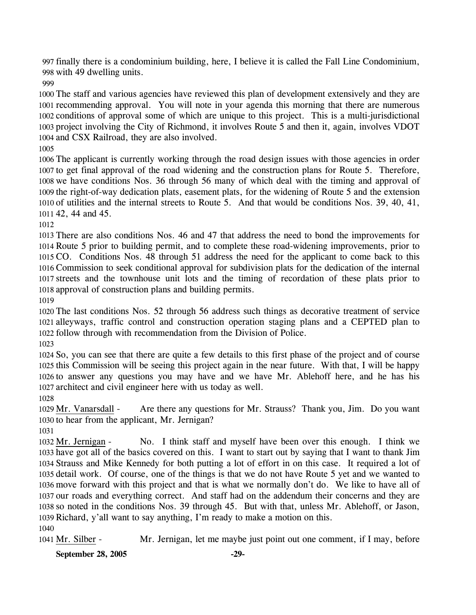finally there is a condominium building, here, I believe it is called the Fall Line Condominium, with 49 dwelling units.

 The staff and various agencies have reviewed this plan of development extensively and they are recommending approval. You will note in your agenda this morning that there are numerous conditions of approval some of which are unique to this project. This is a multi-jurisdictional project involving the City of Richmond, it involves Route 5 and then it, again, involves VDOT and CSX Railroad, they are also involved.

 The applicant is currently working through the road design issues with those agencies in order to get final approval of the road widening and the construction plans for Route 5. Therefore, we have conditions Nos. 36 through 56 many of which deal with the timing and approval of the right-of-way dedication plats, easement plats, for the widening of Route 5 and the extension of utilities and the internal streets to Route 5. And that would be conditions Nos. 39, 40, 41, 42, 44 and 45.

 There are also conditions Nos. 46 and 47 that address the need to bond the improvements for Route 5 prior to building permit, and to complete these road-widening improvements, prior to CO. Conditions Nos. 48 through 51 address the need for the applicant to come back to this Commission to seek conditional approval for subdivision plats for the dedication of the internal streets and the townhouse unit lots and the timing of recordation of these plats prior to approval of construction plans and building permits.

 The last conditions Nos. 52 through 56 address such things as decorative treatment of service alleyways, traffic control and construction operation staging plans and a CEPTED plan to follow through with recommendation from the Division of Police.

 So, you can see that there are quite a few details to this first phase of the project and of course this Commission will be seeing this project again in the near future. With that, I will be happy to answer any questions you may have and we have Mr. Ablehoff here, and he has his architect and civil engineer here with us today as well.

Are there any questions for Mr. Strauss? Thank you, Jim. Do you want 1030 to hear from the applicant, Mr. Jernigan? 1029 Mr. Vanarsdall -

No. I think staff and myself have been over this enough. I think we 1033 have got all of the basics covered on this. I want to start out by saying that I want to thank Jim 1034 Strauss and Mike Kennedy for both putting a lot of effort in on this case. It required a lot of 1035 detail work. Of course, one of the things is that we do not have Route 5 yet and we wanted to 1036 move forward with this project and that is what we normally don't do. We like to have all of 1037 our roads and everything correct. And staff had on the addendum their concerns and they are 1038 so noted in the conditions Nos. 39 through 45. But with that, unless Mr. Ablehoff, or Jason, 1039 Richard, y'all want to say anything, I'm ready to make a motion on this. 1032 Mr. Jernigan -

1041 Mr. Silber - Mr. Jernigan, let me maybe just point out one comment, if I may, before

**September 28, 2005 -29-**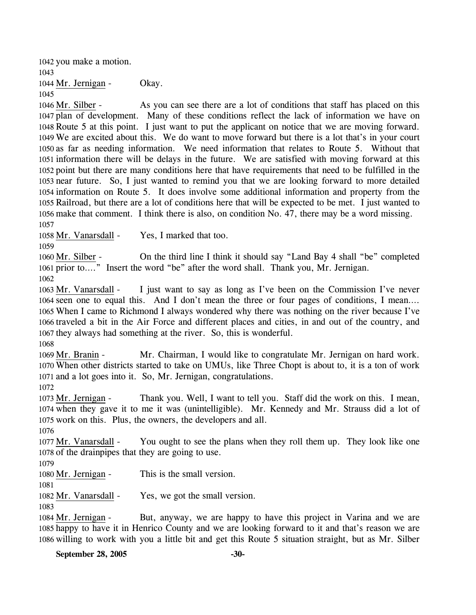1042 you make a motion. 1043 1044 Mr. Jernigan - Okay. 1045

As you can see there are a lot of conditions that staff has placed on this 1047 plan of development. Many of these conditions reflect the lack of information we have on 1048 Route 5 at this point. I just want to put the applicant on notice that we are moving forward. We are excited about this. We do want to move forward but there is a lot that's in your court 1049 1050 as far as needing information. We need information that relates to Route 5. Without that 1051 information there will be delays in the future. We are satisfied with moving forward at this 1052 point but there are many conditions here that have requirements that need to be fulfilled in the 1053 near future. So, I just wanted to remind you that we are looking forward to more detailed 1054 information on Route 5. It does involve some additional information and property from the 1055 Railroad, but there are a lot of conditions here that will be expected to be met. I just wanted to 1056 make that comment. I think there is also, on condition No. 47, there may be a word missing. 1046 Mr. Silber -1057

1058 Mr. Vanarsdall - Yes, I marked that too.

1059

On the third line I think it should say "Land Bay 4 shall "be" completed 1061 prior to...." Insert the word "be" after the word shall. Thank you, Mr. Jernigan. 1060 Mr. Silber -1062

I just want to say as long as I've been on the Commission I've never 1064 seen one to equal this. And I don't mean the three or four pages of conditions, I mean.... 1065 When I came to Richmond I always wondered why there was nothing on the river because I've 1066 traveled a bit in the Air Force and different places and cities, in and out of the country, and 1067 they always had something at the river. So, this is wonderful. 1063 Mr. Vanarsdall -

1068

Mr. Chairman, I would like to congratulate Mr. Jernigan on hard work. When other districts started to take on UMUs, like Three Chopt is about to, it is a ton of work 1070 1071 and a lot goes into it. So, Mr. Jernigan, congratulations. 1069 Mr. Branin -

1072

Thank you. Well, I want to tell you. Staff did the work on this. I mean, 1074 when they gave it to me it was (unintelligible). Mr. Kennedy and Mr. Strauss did a lot of 1075 work on this. Plus, the owners, the developers and all. 1073 Mr. Jernigan -

1076

You ought to see the plans when they roll them up. They look like one 1078 of the drainpipes that they are going to use. 1077 Mr. Vanarsdall -

1079

1080 Mr. Jernigan - This is the small version.

1081

1082 Mr. Vanarsdall - Yes, we got the small version.

1083

But, anyway, we are happy to have this project in Varina and we are 1085 happy to have it in Henrico County and we are looking forward to it and that's reason we are 1086 willing to work with you a little bit and get this Route 5 situation straight, but as Mr. Silber 1084 Mr. Jernigan -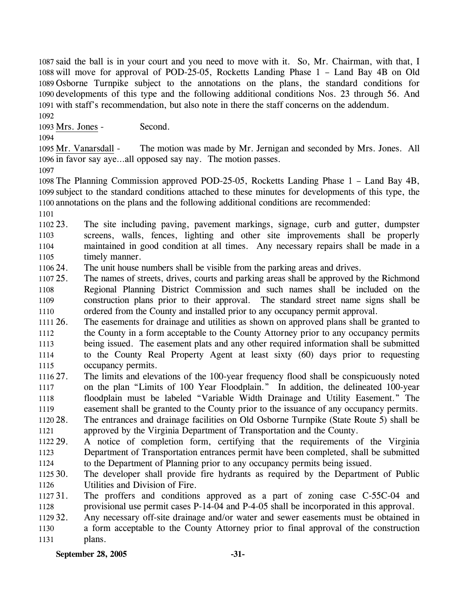said the ball is in your court and you need to move with it. So, Mr. Chairman, with that, I will move for approval of POD-25-05, Rocketts Landing Phase 1 – Land Bay 4B on Old Osborne Turnpike subject to the annotations on the plans, the standard conditions for developments of this type and the following additional conditions Nos. 23 through 56. And with staff's recommendation, but also note in there the staff concerns on the addendum.

1092

1093 Mrs. Jones - Second.

1094

The motion was made by Mr. Jernigan and seconded by Mrs. Jones. All 1096 in favor say aye...all opposed say nay. The motion passes. 1095 Mr. Vanarsdall -

1097

1098 The Planning Commission approved POD-25-05, Rocketts Landing Phase 1 – Land Bay 4B, 1099 subject to the standard conditions attached to these minutes for developments of this type, the 1100 annotations on the plans and the following additional conditions are recommended:

1101

1102.23 1103 1104 1105 The site including paving, pavement markings, signage, curb and gutter, dumpster screens, walls, fences, lighting and other site improvements shall be properly maintained in good condition at all times. Any necessary repairs shall be made in a timely manner.

1106 24. The unit house numbers shall be visible from the parking areas and drives.

1107 25. 1108 1109 1110 25. The names of streets, drives, courts and parking areas shall be approved by the Richmond Regional Planning District Commission and such names shall be included on the construction plans prior to their approval. The standard street name signs shall be ordered from the County and installed prior to any occupancy permit approval.

 $111126.$ 1112 1113 1114 1115 26. The easements for drainage and utilities as shown on approved plans shall be granted to the County in a form acceptable to the County Attorney prior to any occupancy permits being issued. The easement plats and any other required information shall be submitted to the County Real Property Agent at least sixty (60) days prior to requesting occupancy permits.

1116 27. 1117 1118 1119 27. The limits and elevations of the 100-year frequency flood shall be conspicuously noted on the plan "Limits of 100 Year Floodplain." In addition, the delineated 100-year floodplain must be labeled "Variable Width Drainage and Utility Easement." The easement shall be granted to the County prior to the issuance of any occupancy permits.

1120 28. 1121 28. The entrances and drainage facilities on Old Osborne Turnpike (State Route 5) shall be approved by the Virginia Department of Transportation and the County.

1122 29. 1123 1124 29. A notice of completion form, certifying that the requirements of the Virginia Department of Transportation entrances permit have been completed, shall be submitted to the Department of Planning prior to any occupancy permits being issued.

1125 30. 1126 The developer shall provide fire hydrants as required by the Department of Public Utilities and Division of Fire.

1127 31. 1128 The proffers and conditions approved as a part of zoning case C-55C-04 and provisional use permit cases P-14-04 and P-4-05 shall be incorporated in this approval.

1129 32. 1130 1131 Any necessary off-site drainage and/or water and sewer easements must be obtained in a form acceptable to the County Attorney prior to final approval of the construction plans.

**September 28, 2005** -31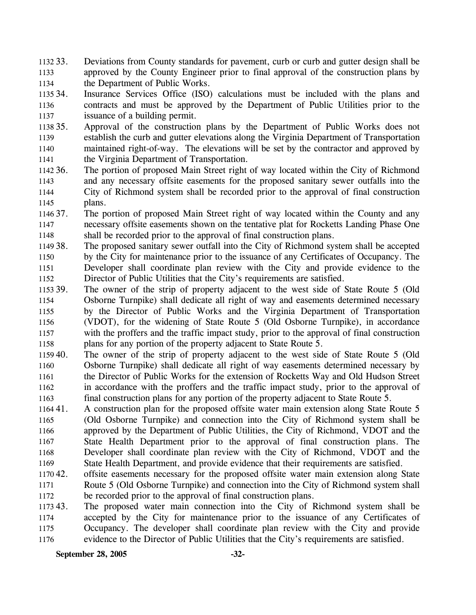1132 33. 1133 1134 Deviations from County standards for pavement, curb or curb and gutter design shall be approved by the County Engineer prior to final approval of the construction plans by the Department of Public Works.

1135 34. 1136 1137 Insurance Services Office (ISO) calculations must be included with the plans and contracts and must be approved by the Department of Public Utilities prior to the issuance of a building permit.

- 1138 35. 1139 1140 1141 Approval of the construction plans by the Department of Public Works does not establish the curb and gutter elevations along the Virginia Department of Transportation maintained right-of-way. The elevations will be set by the contractor and approved by the Virginia Department of Transportation.
- 1142 36. 1143 1144 1145 The portion of proposed Main Street right of way located within the City of Richmond and any necessary offsite easements for the proposed sanitary sewer outfalls into the City of Richmond system shall be recorded prior to the approval of final construction plans.
- 1146 37. 1147 1148 The portion of proposed Main Street right of way located within the County and any necessary offsite easements shown on the tentative plat for Rocketts Landing Phase One shall be recorded prior to the approval of final construction plans.
- 1149 38. 1150 1151 1152 The proposed sanitary sewer outfall into the City of Richmond system shall be accepted by the City for maintenance prior to the issuance of any Certificates of Occupancy. The Developer shall coordinate plan review with the City and provide evidence to the Director of Public Utilities that the City's requirements are satisfied.
- 1153 39. 1154 1155 1156 1157 1158 The owner of the strip of property adjacent to the west side of State Route 5 (Old Osborne Turnpike) shall dedicate all right of way and easements determined necessary by the Director of Public Works and the Virginia Department of Transportation (VDOT), for the widening of State Route 5 (Old Osborne Turnpike), in accordance with the proffers and the traffic impact study, prior to the approval of final construction plans for any portion of the property adjacent to State Route 5.
- 1159 40. 1160 1161 1162 1163 The owner of the strip of property adjacent to the west side of State Route 5 (Old Osborne Turnpike) shall dedicate all right of way easements determined necessary by the Director of Public Works for the extension of Rocketts Way and Old Hudson Street in accordance with the proffers and the traffic impact study, prior to the approval of final construction plans for any portion of the property adjacent to State Route 5.
- 116441. 1165 1166 1167 1168 1169 A construction plan for the proposed offsite water main extension along State Route 5 (Old Osborne Turnpike) and connection into the City of Richmond system shall be approved by the Department of Public Utilities, the City of Richmond, VDOT and the State Health Department prior to the approval of final construction plans. The Developer shall coordinate plan review with the City of Richmond, VDOT and the State Health Department, and provide evidence that their requirements are satisfied.
- 1170 42. 1171 1172 offsite easements necessary for the proposed offsite water main extension along State Route 5 (Old Osborne Turnpike) and connection into the City of Richmond system shall be recorded prior to the approval of final construction plans.
- 1173 43. 1174 1175 1176 The proposed water main connection into the City of Richmond system shall be accepted by the City for maintenance prior to the issuance of any Certificates of Occupancy. The developer shall coordinate plan review with the City and provide evidence to the Director of Public Utilities that the City's requirements are satisfied.

**September 28, 2005 -32-**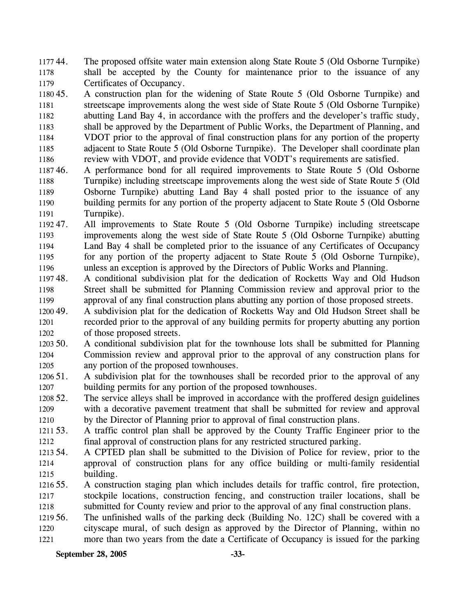117744. 1178 1179 44. The proposed offsite water main extension along State Route 5 (Old Osborne Turnpike) shall be accepted by the County for maintenance prior to the issuance of any Certificates of Occupancy.

1180 45. 1181 1182 1183 1184 1185 1186 45. A construction plan for the widening of State Route 5 (Old Osborne Turnpike) and streetscape improvements along the west side of State Route 5 (Old Osborne Turnpike) abutting Land Bay 4, in accordance with the proffers and the developer's traffic study, shall be approved by the Department of Public Works, the Department of Planning, and VDOT prior to the approval of final construction plans for any portion of the property adjacent to State Route 5 (Old Osborne Turnpike). The Developer shall coordinate plan review with VDOT, and provide evidence that VODT's requirements are satisfied.

118746. 1188 1189 1190 1191 46. A performance bond for all required improvements to State Route 5 (Old Osborne Turnpike) including streetscape improvements along the west side of State Route 5 (Old Osborne Turnpike) abutting Land Bay 4 shall posted prior to the issuance of any building permits for any portion of the property adjacent to State Route 5 (Old Osborne Turnpike).

1192 47. 1193 1194 1195 1196 All improvements to State Route 5 (Old Osborne Turnpike) including streetscape improvements along the west side of State Route 5 (Old Osborne Turnpike) abutting Land Bay 4 shall be completed prior to the issuance of any Certificates of Occupancy for any portion of the property adjacent to State Route 5 (Old Osborne Turnpike), unless an exception is approved by the Directors of Public Works and Planning.

119748. 1198 1199 48. A conditional subdivision plat for the dedication of Rocketts Way and Old Hudson Street shall be submitted for Planning Commission review and approval prior to the approval of any final construction plans abutting any portion of those proposed streets.

1200 49. 1201 1202 49. A subdivision plat for the dedication of Rocketts Way and Old Hudson Street shall be recorded prior to the approval of any building permits for property abutting any portion of those proposed streets.

 $1203, 50.$ 1204 1205 50. A conditional subdivision plat for the townhouse lots shall be submitted for Planning Commission review and approval prior to the approval of any construction plans for any portion of the proposed townhouses.

1206 51. 1207 A subdivision plat for the townhouses shall be recorded prior to the approval of any building permits for any portion of the proposed townhouses.

1208 52. 1209 1210 The service alleys shall be improved in accordance with the proffered design guidelines with a decorative pavement treatment that shall be submitted for review and approval by the Director of Planning prior to approval of final construction plans.

1211 53. 1212 53. A traffic control plan shall be approved by the County Traffic Engineer prior to the final approval of construction plans for any restricted structured parking.

1213 54. 1214 1215 54. A CPTED plan shall be submitted to the Division of Police for review, prior to the approval of construction plans for any office building or multi-family residential building.

1216 55. 1217 1218 55. A construction staging plan which includes details for traffic control, fire protection, stockpile locations, construction fencing, and construction trailer locations, shall be submitted for County review and prior to the approval of any final construction plans.

1219 56. 1220 1221 The unfinished walls of the parking deck (Building No. 12C) shall be covered with a cityscape mural, of such design as approved by the Director of Planning, within no more than two years from the date a Certificate of Occupancy is issued for the parking

**September 28, 2005 -33-**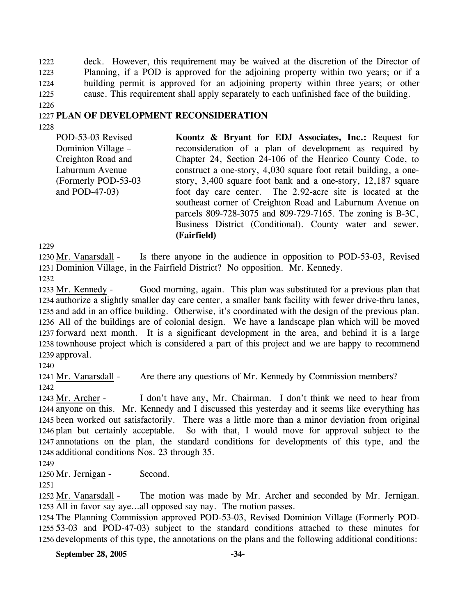1222 1223 1224 1225 deck. However, this requirement may be waived at the discretion of the Director of Planning, if a POD is approved for the adjoining property within two years; or if a building permit is approved for an adjoining property within three years; or other cause. This requirement shall apply separately to each unfinished face of the building.

## 1227 **PLAN OF DEVELOPMENT RECONSIDERATION**

1228

1226

POD-53-03 Revised Dominion Village – Creighton Road and Laburnum Avenue (Formerly POD-53-03 and POD-47-03) **Koontz & Bryant for EDJ Associates, Inc.:** Request for reconsideration of a plan of development as required by Chapter 24, Section 24-106 of the Henrico County Code, to construct a one-story, 4,030 square foot retail building, a onestory, 3,400 square foot bank and a one-story, 12,187 square foot day care center. The 2.92-acre site is located at the southeast corner of Creighton Road and Laburnum Avenue on parcels 809-728-3075 and 809-729-7165. The zoning is B-3C, Business District (Conditional). County water and sewer. **(Fairfield)** 

1229

Is there anyone in the audience in opposition to POD-53-03, Revised 1231 Dominion Village, in the Fairfield District? No opposition. Mr. Kennedy. 1230 Mr. Vanarsdall -1232

Good morning, again. This plan was substituted for a previous plan that 1234 authorize a slightly smaller day care center, a smaller bank facility with fewer drive-thru lanes, 1235 and add in an office building. Otherwise, it's coordinated with the design of the previous plan. All of the buildings are of colonial design. We have a landscape plan which will be moved 1236 1237 forward next month. It is a significant development in the area, and behind it is a large 1238 townhouse project which is considered a part of this project and we are happy to recommend 1239 approval. 1233 Mr. Kennedy -

1240

1241 Mr. Vanarsdall - Are there any questions of Mr. Kennedy by Commission members? 1242

I don't have any, Mr. Chairman. I don't think we need to hear from 1244 anyone on this. Mr. Kennedy and I discussed this yesterday and it seems like everything has 1245 been worked out satisfactorily. There was a little more than a minor deviation from original 1246 plan but certainly acceptable. So with that, I would move for approval subject to the 1247 annotations on the plan, the standard conditions for developments of this type, and the 1248 additional conditions Nos. 23 through 35. 1243 Mr. Archer -

1249

1250 Mr. Jernigan - Second.

1251

The motion was made by Mr. Archer and seconded by Mr. Jernigan. 1253 All in favor say aye...all opposed say nay. The motion passes. 1252 Mr. Vanarsdall -

1254 The Planning Commission approved POD-53-03, Revised Dominion Village (Formerly POD-1255 53-03 and POD-47-03) subject to the standard conditions attached to these minutes for 1256 developments of this type, the annotations on the plans and the following additional conditions:

**September 28, 2005 -34-**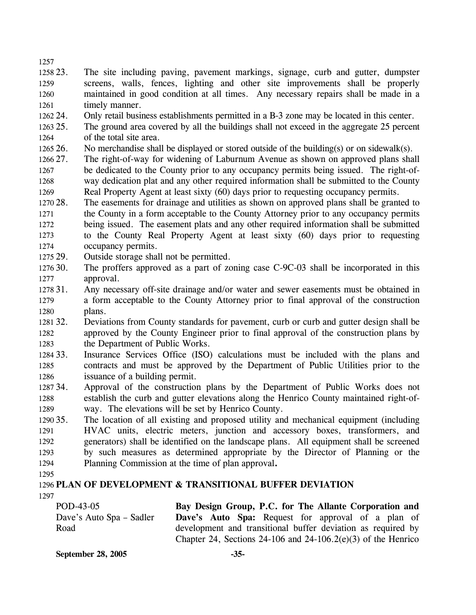1257 1258 23 1259 1260 1261 The site including paving, pavement markings, signage, curb and gutter, dumpster screens, walls, fences, lighting and other site improvements shall be properly maintained in good condition at all times. Any necessary repairs shall be made in a timely manner.

1262 24. Only retail business establishments permitted in a B-3 zone may be located in this center.

- 1263 25. 1264 The ground area covered by all the buildings shall not exceed in the aggregate 25 percent of the total site area.
- 1265 26. No merchandise shall be displayed or stored outside of the building(s) or on sidewalk(s).
- 1266 27. 1267 1268 1269 27. The right-of-way for widening of Laburnum Avenue as shown on approved plans shall be dedicated to the County prior to any occupancy permits being issued. The right-ofway dedication plat and any other required information shall be submitted to the County Real Property Agent at least sixty (60) days prior to requesting occupancy permits.
- 1270 28. 1271 1272 1273 1274 The easements for drainage and utilities as shown on approved plans shall be granted to the County in a form acceptable to the County Attorney prior to any occupancy permits being issued. The easement plats and any other required information shall be submitted to the County Real Property Agent at least sixty (60) days prior to requesting occupancy permits.
- 1275 29. Outside storage shall not be permitted.
- 1276 30. 1277 The proffers approved as a part of zoning case C-9C-03 shall be incorporated in this approval.
- 1278 31. 1279 1280 Any necessary off-site drainage and/or water and sewer easements must be obtained in a form acceptable to the County Attorney prior to final approval of the construction plans.
- 1281 32. 1282 1283 32. Deviations from County standards for pavement, curb or curb and gutter design shall be approved by the County Engineer prior to final approval of the construction plans by the Department of Public Works.
- 1284 33. 1285 1286 Insurance Services Office (ISO) calculations must be included with the plans and contracts and must be approved by the Department of Public Utilities prior to the issuance of a building permit.
- 1287 34. 1288 1289 34. Approval of the construction plans by the Department of Public Works does not establish the curb and gutter elevations along the Henrico County maintained right-ofway. The elevations will be set by Henrico County.
- 1290 35. 1291 1292 1293 1294 The location of all existing and proposed utility and mechanical equipment (including HVAC units, electric meters, junction and accessory boxes, transformers, and generators) shall be identified on the landscape plans. All equipment shall be screened by such measures as determined appropriate by the Director of Planning or the Planning Commission at the time of plan approval**.**
- 1295

## 1296 **PLAN OF DEVELOPMENT & TRANSITIONAL BUFFER DEVIATION**  1297

POD-43-05 Dave's Auto Spa – Sadler Road **Bay Design Group, P.C. for The Allante Corporation and Dave's Auto Spa:** Request for approval of a plan of development and transitional buffer deviation as required by Chapter 24, Sections 24-106 and 24-106.2(e)(3) of the Henrico

**September 28, 2005 -35-**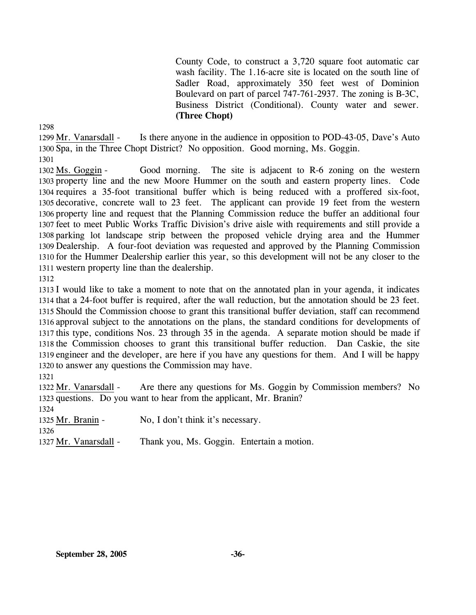County Code, to construct a 3,720 square foot automatic car wash facility. The 1.16-acre site is located on the south line of Sadler Road, approximately 350 feet west of Dominion Boulevard on part of parcel 747-761-2937. The zoning is B-3C, Business District (Conditional). County water and sewer. **(Three Chopt)** 

1298

Is there anyone in the audience in opposition to POD-43-05, Dave's Auto 1300 Spa, in the Three Chopt District? No opposition. Good morning, Ms. Goggin. 1299 Mr. Vanarsdall -

1301

Good morning. The site is adjacent to R-6 zoning on the western 1303 property line and the new Moore Hummer on the south and eastern property lines. Code 1304 requires a 35-foot transitional buffer which is being reduced with a proffered six-foot, 1305 decorative, concrete wall to 23 feet. The applicant can provide 19 feet from the western 1306 property line and request that the Planning Commission reduce the buffer an additional four 1307 feet to meet Public Works Traffic Division's drive aisle with requirements and still provide a 1308 parking lot landscape strip between the proposed vehicle drying area and the Hummer 1309 Dealership. A four-foot deviation was requested and approved by the Planning Commission 1310 for the Hummer Dealership earlier this year, so this development will not be any closer to the 1311 western property line than the dealership. 1302 Ms. Goggin -

1312

 I would like to take a moment to note that on the annotated plan in your agenda, it indicates that a 24-foot buffer is required, after the wall reduction, but the annotation should be 23 feet. Should the Commission choose to grant this transitional buffer deviation, staff can recommend approval subject to the annotations on the plans, the standard conditions for developments of this type, conditions Nos. 23 through 35 in the agenda. A separate motion should be made if the Commission chooses to grant this transitional buffer reduction. Dan Caskie, the site engineer and the developer, are here if you have any questions for them. And I will be happy to answer any questions the Commission may have.

1321

Are there any questions for Ms. Goggin by Commission members? No 1323 questions. Do you want to hear from the applicant, Mr. Branin? 1322 Mr. Vanarsdall -1324 1325 Mr. Branin - No, I don't think it's necessary. 1326

1327 Mr. Vanarsdall - Thank you, Ms. Goggin. Entertain a motion.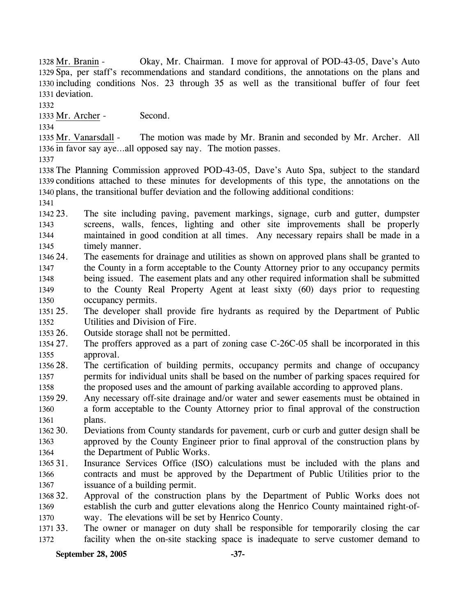Okay, Mr. Chairman. I move for approval of POD-43-05, Dave's Auto 1329 Spa, per staff's recommendations and standard conditions, the annotations on the plans and 1330 including conditions Nos. 23 through 35 as well as the transitional buffer of four feet 1331 deviation. 1328 Mr. Branin -

1332

1333 Mr. Archer - Second.

1334

The motion was made by Mr. Branin and seconded by Mr. Archer. All 1336 in favor say aye...all opposed say nay. The motion passes. 1335 Mr. Vanarsdall -

1337

1338 The Planning Commission approved POD-43-05, Dave's Auto Spa, subject to the standard 1339 conditions attached to these minutes for developments of this type, the annotations on the 1340 plans, the transitional buffer deviation and the following additional conditions:

1341

1342 23. 1343 1344 1345 The site including paving, pavement markings, signage, curb and gutter, dumpster screens, walls, fences, lighting and other site improvements shall be properly maintained in good condition at all times. Any necessary repairs shall be made in a timely manner.

- 1346 24. 1347 1348 1349 1350 The easements for drainage and utilities as shown on approved plans shall be granted to the County in a form acceptable to the County Attorney prior to any occupancy permits being issued. The easement plats and any other required information shall be submitted to the County Real Property Agent at least sixty (60) days prior to requesting occupancy permits.
- 1351 25. 1352 The developer shall provide fire hydrants as required by the Department of Public Utilities and Division of Fire.
- 1353 26. Outside storage shall not be permitted.
- 1354 27. 1355 The proffers approved as a part of zoning case C-26C-05 shall be incorporated in this approval.
- 1356 28. 1357 1358 The certification of building permits, occupancy permits and change of occupancy permits for individual units shall be based on the number of parking spaces required for the proposed uses and the amount of parking available according to approved plans.
- 1359 29. 1360 1361 Any necessary off-site drainage and/or water and sewer easements must be obtained in a form acceptable to the County Attorney prior to final approval of the construction plans.
- 1362 30. 1363 1364 30. Deviations from County standards for pavement, curb or curb and gutter design shall be approved by the County Engineer prior to final approval of the construction plans by the Department of Public Works.
- 1365 31 1366 1367 Insurance Services Office (ISO) calculations must be included with the plans and contracts and must be approved by the Department of Public Utilities prior to the issuance of a building permit.
- 1368 32. 1369 1370 Approval of the construction plans by the Department of Public Works does not establish the curb and gutter elevations along the Henrico County maintained right-ofway. The elevations will be set by Henrico County.
- 1371 33. 1372 The owner or manager on duty shall be responsible for temporarily closing the car facility when the on-site stacking space is inadequate to serve customer demand to

### **September 28, 2005 -37-**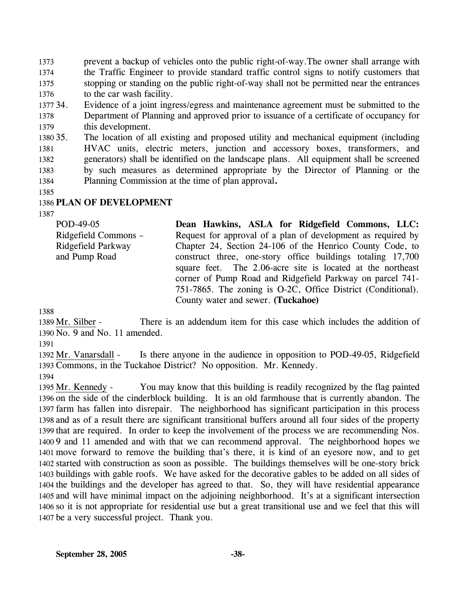1373 1374 1375 1376 prevent a backup of vehicles onto the public right-of-way.The owner shall arrange with the Traffic Engineer to provide standard traffic control signs to notify customers that stopping or standing on the public right-of-way shall not be permitted near the entrances to the car wash facility.

1377 34 1378 1379 Evidence of a joint ingress/egress and maintenance agreement must be submitted to the Department of Planning and approved prior to issuance of a certificate of occupancy for this development.

1380 35. 1381 1382 1383 1384 The location of all existing and proposed utility and mechanical equipment (including HVAC units, electric meters, junction and accessory boxes, transformers, and generators) shall be identified on the landscape plans. All equipment shall be screened by such measures as determined appropriate by the Director of Planning or the Planning Commission at the time of plan approval**.**

1385

### 1386 **PLAN OF DEVELOPMENT**

1387

POD-49-05 Ridgefield Commons – Ridgefield Parkway and Pump Road **Dean Hawkins, ASLA for Ridgefield Commons, LLC:**  Request for approval of a plan of development as required by Chapter 24, Section 24-106 of the Henrico County Code, to construct three, one-story office buildings totaling 17,700 square feet. The 2.06-acre site is located at the northeast corner of Pump Road and Ridgefield Parkway on parcel 741- 751-7865. The zoning is O-2C, Office District (Conditional). County water and sewer. **(Tuckahoe)** 

1388

There is an addendum item for this case which includes the addition of 1390 No. 9 and No. 11 amended. 1389 Mr. Silber -

1391

Is there anyone in the audience in opposition to POD-49-05, Ridgefield 1393 Commons, in the Tuckahoe District? No opposition. Mr. Kennedy. 1392 Mr. Vanarsdall -1394

You may know that this building is readily recognized by the flag painted 1396 on the side of the cinderblock building. It is an old farmhouse that is currently abandon. The 1397 farm has fallen into disrepair. The neighborhood has significant participation in this process 1398 and as of a result there are significant transitional buffers around all four sides of the property 1399 that are required. In order to keep the involvement of the process we are recommending Nos. 1400 9 and 11 amended and with that we can recommend approval. The neighborhood hopes we 1401 move forward to remove the building that's there, it is kind of an eyesore now, and to get 1402 started with construction as soon as possible. The buildings themselves will be one-story brick 1403 buildings with gable roofs. We have asked for the decorative gables to be added on all sides of 1404 the buildings and the developer has agreed to that. So, they will have residential appearance 1405 and will have minimal impact on the adjoining neighborhood. It's at a significant intersection 1406 so it is not appropriate for residential use but a great transitional use and we feel that this will 1407 be a very successful project. Thank you. 1395 Mr. Kennedy -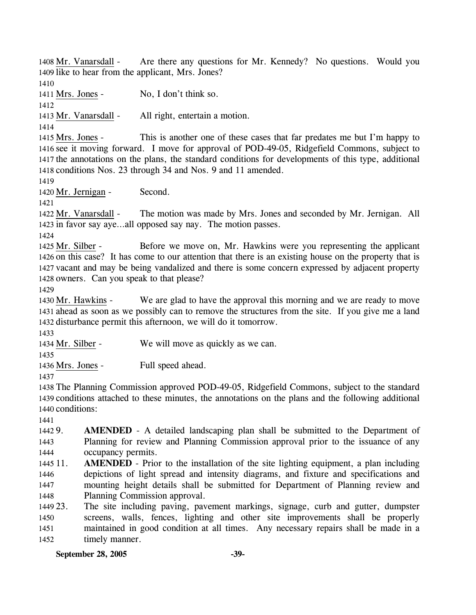Are there any questions for Mr. Kennedy? No questions. Would you 1409 like to hear from the applicant, Mrs. Jones? 1408 Mr. Vanarsdall -1410

1411 Mrs. Jones - No, I don't think so.

1412

1413 Mr. Vanarsdall - All right, entertain a motion.

1414

This is another one of these cases that far predates me but I'm happy to 1416 see it moving forward. I move for approval of POD-49-05, Ridgefield Commons, subject to 1417 the annotations on the plans, the standard conditions for developments of this type, additional 1418 conditions Nos. 23 through 34 and Nos. 9 and 11 amended. 1415 Mrs. Jones -

1419

1420 Mr. Jernigan - Second.

1421

The motion was made by Mrs. Jones and seconded by Mr. Jernigan. All 1423 in favor say aye...all opposed say nay. The motion passes. 1422 Mr. Vanarsdall -

1424

Before we move on, Mr. Hawkins were you representing the applicant 1426 on this case? It has come to our attention that there is an existing house on the property that is 1427 vacant and may be being vandalized and there is some concern expressed by adjacent property 1428 owners. Can you speak to that please? 1425 Mr. Silber -

1429

We are glad to have the approval this morning and we are ready to move 1431 ahead as soon as we possibly can to remove the structures from the site. If you give me a land 1432 disturbance permit this afternoon, we will do it tomorrow. 1430 Mr. Hawkins -

1433

1434 Mr. Silber - We will move as quickly as we can.

1435

1436 Mrs. Jones - Full speed ahead.

1437

1438 The Planning Commission approved POD-49-05, Ridgefield Commons, subject to the standard 1439 conditions attached to these minutes, the annotations on the plans and the following additional 1440 conditions:

1441

1442 9. 1443 1444 AMENDED - A detailed landscaping plan shall be submitted to the Department of Planning for review and Planning Commission approval prior to the issuance of any occupancy permits.

 $1445$   $11$ . 1446 1447 1448 **AMENDED** - Prior to the installation of the site lighting equipment, a plan including depictions of light spread and intensity diagrams, and fixture and specifications and mounting height details shall be submitted for Department of Planning review and Planning Commission approval.

1449 23. 1450 1451 1452 The site including paving, pavement markings, signage, curb and gutter, dumpster screens, walls, fences, lighting and other site improvements shall be properly maintained in good condition at all times. Any necessary repairs shall be made in a timely manner.

**September 28, 2005 -39-**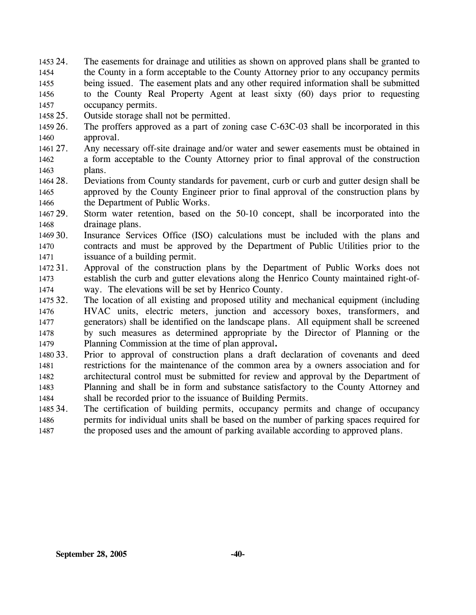- 1453 24. 1454 1455 1456 1457 The easements for drainage and utilities as shown on approved plans shall be granted to the County in a form acceptable to the County Attorney prior to any occupancy permits being issued. The easement plats and any other required information shall be submitted to the County Real Property Agent at least sixty (60) days prior to requesting occupancy permits.
- 1458 25. Outside storage shall not be permitted.
- 1459 26. 1460 The proffers approved as a part of zoning case C-63C-03 shall be incorporated in this approval.
- 1461 27. 1462 1463 Any necessary off-site drainage and/or water and sewer easements must be obtained in a form acceptable to the County Attorney prior to final approval of the construction plans.
- 1464 28. 1465 1466 Deviations from County standards for pavement, curb or curb and gutter design shall be approved by the County Engineer prior to final approval of the construction plans by the Department of Public Works.
- 1467 29. 1468 Storm water retention, based on the 50-10 concept, shall be incorporated into the drainage plans.
- 1469 30. 1470 1471 Insurance Services Office (ISO) calculations must be included with the plans and contracts and must be approved by the Department of Public Utilities prior to the issuance of a building permit.
- 1472 31. 1473 1474 Approval of the construction plans by the Department of Public Works does not establish the curb and gutter elevations along the Henrico County maintained right-ofway. The elevations will be set by Henrico County.
- 1475 32. 1476 1477 1478 1479 The location of all existing and proposed utility and mechanical equipment (including HVAC units, electric meters, junction and accessory boxes, transformers, and generators) shall be identified on the landscape plans. All equipment shall be screened by such measures as determined appropriate by the Director of Planning or the Planning Commission at the time of plan approval**.**
- 1480 33. 1481 1482 1483 1484 33. Prior to approval of construction plans a draft declaration of covenants and deed restrictions for the maintenance of the common area by a owners association and for architectural control must be submitted for review and approval by the Department of Planning and shall be in form and substance satisfactory to the County Attorney and shall be recorded prior to the issuance of Building Permits.
- 1485 34. 1486 1487 The certification of building permits, occupancy permits and change of occupancy permits for individual units shall be based on the number of parking spaces required for the proposed uses and the amount of parking available according to approved plans.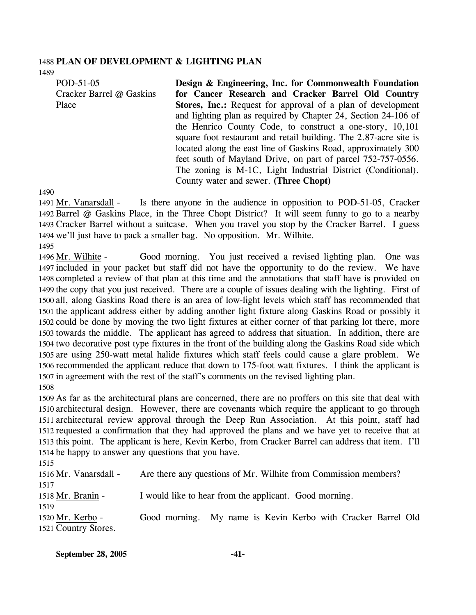# 1488 **PLAN OF DEVELOPMENT & LIGHTING PLAN**

1489

POD-51-05 Cracker Barrel @ Gaskins Place

**Design & Engineering, Inc. for Commonwealth Foundation for Cancer Research and Cracker Barrel Old Country Stores, Inc.:** Request for approval of a plan of development and lighting plan as required by Chapter 24, Section 24-106 of the Henrico County Code, to construct a one-story, 10,101 square foot restaurant and retail building. The 2.87-acre site is located along the east line of Gaskins Road, approximately 300 feet south of Mayland Drive, on part of parcel 752-757-0556. The zoning is M-1C, Light Industrial District (Conditional). County water and sewer. **(Three Chopt)** 

1490

Is there anyone in the audience in opposition to POD-51-05, Cracker 1492 Barrel @ Gaskins Place, in the Three Chopt District? It will seem funny to go to a nearby 1493 Cracker Barrel without a suitcase. When you travel you stop by the Cracker Barrel. I guess 1494 we'll just have to pack a smaller bag. No opposition. Mr. Wilhite. 1491 Mr. Vanarsdall -

1495

Good morning. You just received a revised lighting plan. One was 1497 included in your packet but staff did not have the opportunity to do the review. We have 1498 completed a review of that plan at this time and the annotations that staff have is provided on 1499 the copy that you just received. There are a couple of issues dealing with the lighting. First of 1500 all, along Gaskins Road there is an area of low-light levels which staff has recommended that 1501 the applicant address either by adding another light fixture along Gaskins Road or possibly it 1502 could be done by moving the two light fixtures at either corner of that parking lot there, more 1503 towards the middle. The applicant has agreed to address that situation. In addition, there are 1504 two decorative post type fixtures in the front of the building along the Gaskins Road side which 1505 are using 250-watt metal halide fixtures which staff feels could cause a glare problem. We 1506 recommended the applicant reduce that down to 175-foot watt fixtures. I think the applicant is 1507 in agreement with the rest of the staff's comments on the revised lighting plan. 1496 Mr. Wilhite -1508

 As far as the architectural plans are concerned, there are no proffers on this site that deal with architectural design. However, there are covenants which require the applicant to go through architectural review approval through the Deep Run Association. At this point, staff had requested a confirmation that they had approved the plans and we have yet to receive that at this point. The applicant is here, Kevin Kerbo, from Cracker Barrel can address that item. I'll be happy to answer any questions that you have.

1515

1516 Mr. Vanarsdall - Are there any questions of Mr. Wilhite from Commission members? 1517 1518 Mr. Branin - I would like to hear from the applicant. Good morning. 1519 Good morning. My name is Kevin Kerbo with Cracker Barrel Old 1521 Country Stores. 1520 Mr. Kerbo -

| <b>September 28, 2005</b> |  |  |
|---------------------------|--|--|
|---------------------------|--|--|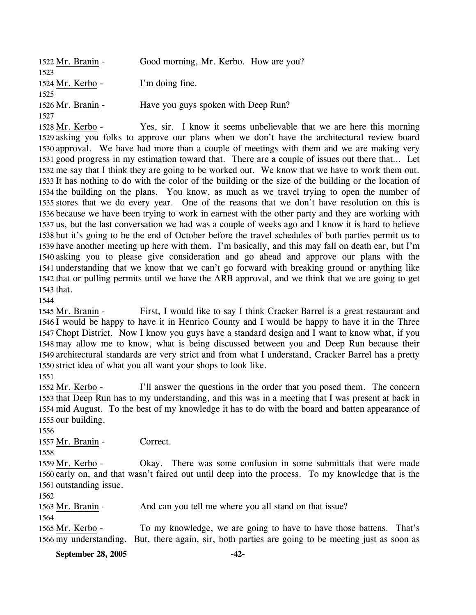| 1522 Mr. Branin - | Good morning, Mr. Kerbo. How are you? |
|-------------------|---------------------------------------|
| 1523              |                                       |
| 1524 Mr. Kerbo -  | I'm doing fine.                       |
| 1525              |                                       |
| 1526 Mr. Branin - | Have you guys spoken with Deep Run?   |
| 1527              |                                       |

Yes, sir. I know it seems unbelievable that we are here this morning 1529 asking you folks to approve our plans when we don't have the architectural review board 1530 approval. We have had more than a couple of meetings with them and we are making very 1531 good progress in my estimation toward that. There are a couple of issues out there that... Let 1532 me say that I think they are going to be worked out. We know that we have to work them out. 1533 It has nothing to do with the color of the building or the size of the building or the location of 1534 the building on the plans. You know, as much as we travel trying to open the number of 1535 stores that we do every year. One of the reasons that we don't have resolution on this is 1536 because we have been trying to work in earnest with the other party and they are working with 1537 us, but the last conversation we had was a couple of weeks ago and I know it is hard to believe 1538 but it's going to be the end of October before the travel schedules of both parties permit us to 1539 have another meeting up here with them. I'm basically, and this may fall on death ear, but I'm 1540 asking you to please give consideration and go ahead and approve our plans with the 1541 understanding that we know that we can't go forward with breaking ground or anything like 1542 that or pulling permits until we have the ARB approval, and we think that we are going to get  $1543$  that. 1528 Mr. Kerbo -

1544

First, I would like to say I think Cracker Barrel is a great restaurant and 1546 I would be happy to have it in Henrico County and I would be happy to have it in the Three Chopt District. Now I know you guys have a standard design and I want to know what, if you 1547 1548 may allow me to know, what is being discussed between you and Deep Run because their 1549 architectural standards are very strict and from what I understand, Cracker Barrel has a pretty 1550 strict idea of what you all want your shops to look like. 1545 Mr. Branin -

1551

I'll answer the questions in the order that you posed them. The concern 1553 that Deep Run has to my understanding, and this was in a meeting that I was present at back in 1554 mid August. To the best of my knowledge it has to do with the board and batten appearance of 1555 our building. 1552 Mr. Kerbo -

1556

1557 Mr. Branin - Correct.

1558

Okay. There was some confusion in some submittals that were made 1560 early on, and that wasn't faired out until deep into the process. To my knowledge that is the 1561 outstanding issue. 1559 Mr. Kerbo -

1562

1563 Mr. Branin - And can you tell me where you all stand on that issue?

1564

To my knowledge, we are going to have to have those battens. That's 1566 my understanding. But, there again, sir, both parties are going to be meeting just as soon as 1565 Mr. Kerbo -

**September 28, 2005 -42-**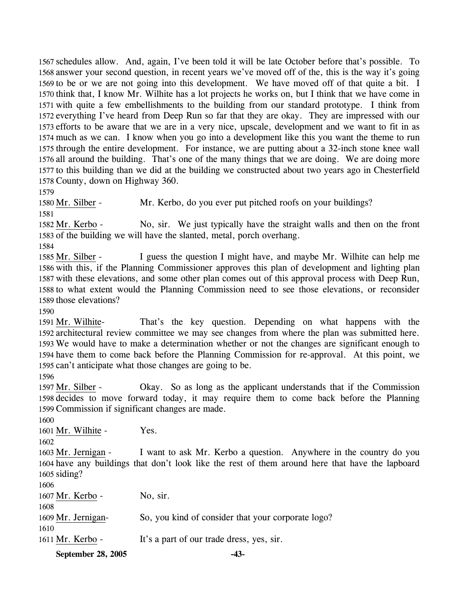schedules allow. And, again, I've been told it will be late October before that's possible. To answer your second question, in recent years we've moved off of the, this is the way it's going to be or we are not going into this development. We have moved off of that quite a bit. I think that, I know Mr. Wilhite has a lot projects he works on, but I think that we have come in with quite a few embellishments to the building from our standard prototype. I think from everything I've heard from Deep Run so far that they are okay. They are impressed with our efforts to be aware that we are in a very nice, upscale, development and we want to fit in as much as we can. I know when you go into a development like this you want the theme to run through the entire development. For instance, we are putting about a 32-inch stone knee wall all around the building. That's one of the many things that we are doing. We are doing more to this building than we did at the building we constructed about two years ago in Chesterfield County, down on Highway 360.

1579

1580 Mr. Silber - Mr. Kerbo, do you ever put pitched roofs on your buildings?

1581

No, sir. We just typically have the straight walls and then on the front 1583 of the building we will have the slanted, metal, porch overhang. 1582 Mr. Kerbo -

1584

I guess the question I might have, and maybe Mr. Wilhite can help me 1586 with this, if the Planning Commissioner approves this plan of development and lighting plan 1587 with these elevations, and some other plan comes out of this approval process with Deep Run, 1588 to what extent would the Planning Commission need to see those elevations, or reconsider 1589 those elevations? 1585 Mr. Silber -

1590

That's the key question. Depending on what happens with the 1592 architectural review committee we may see changes from where the plan was submitted here. 1593 We would have to make a determination whether or not the changes are significant enough to 1594 have them to come back before the Planning Commission for re-approval. At this point, we 1595 can't anticipate what those changes are going to be. 1591 Mr. Wilhite-

1596

Okay. So as long as the applicant understands that if the Commission 1598 decides to move forward today, it may require them to come back before the Planning 1599 Commission if significant changes are made. 1597 Mr. Silber -

1600

1601 Mr. Wilhite - Yes.

1602

I want to ask Mr. Kerbo a question. Anywhere in the country do you 1604 have any buildings that don't look like the rest of them around here that have the lapboard 1605 siding? 1603 Mr. Jernigan -

1606 1607 Mr. Kerbo - No, sir. 1608 1609 Mr. Jernigan- So, you kind of consider that your corporate logo? 1610 1611 Mr. Kerbo - It's a part of our trade dress, yes, sir.

**September 28, 2005 -43-**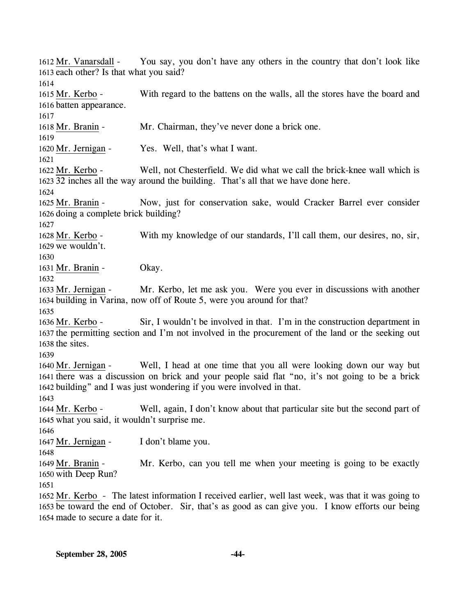You say, you don't have any others in the country that don't look like 1613 each other? Is that what you said? 1612 Mr. Vanarsdall -1614 With regard to the battens on the walls, all the stores have the board and 1616 batten appearance. 1615 Mr. Kerbo -1617 1618 Mr. Branin - Mr. Chairman, they've never done a brick one. 1619 1620 Mr. Jernigan - Yes. Well, that's what I want. 1621 Well, not Chesterfield. We did what we call the brick-knee wall which is 32 inches all the way around the building. That's all that we have done here. 1623 1622 Mr. Kerbo -1624 Now, just for conservation sake, would Cracker Barrel ever consider 1626 doing a complete brick building? 1625 Mr. Branin -1627 With my knowledge of our standards, I'll call them, our desires, no, sir, 1629 we wouldn't. 1628 Mr. Kerbo -1630 1631 Mr. Branin - Okay. 1632 Mr. Kerbo, let me ask you. Were you ever in discussions with another 1634 building in Varina, now off of Route 5, were you around for that? 1633 Mr. Jernigan -1635 Sir, I wouldn't be involved in that. I'm in the construction department in 1637 the permitting section and I'm not involved in the procurement of the land or the seeking out  $1638$  the sites. 1636 Mr. Kerbo -1639 Well, I head at one time that you all were looking down our way but 1641 there was a discussion on brick and your people said flat "no, it's not going to be a brick 1642 building" and I was just wondering if you were involved in that. 1640 Mr. Jernigan -1643 Well, again, I don't know about that particular site but the second part of 1645 what you said, it wouldn't surprise me. 1644 Mr. Kerbo -1646 1647 Mr. Jernigan - I don't blame you. 1648 Mr. Kerbo, can you tell me when your meeting is going to be exactly 1650 with Deep Run? 1649 Mr. Branin -1651 1652 Mr. Kerbo - The latest information I received earlier, well last week, was that it was going to 1653 be toward the end of October. Sir, that's as good as can give you. I know efforts our being 1654 made to secure a date for it.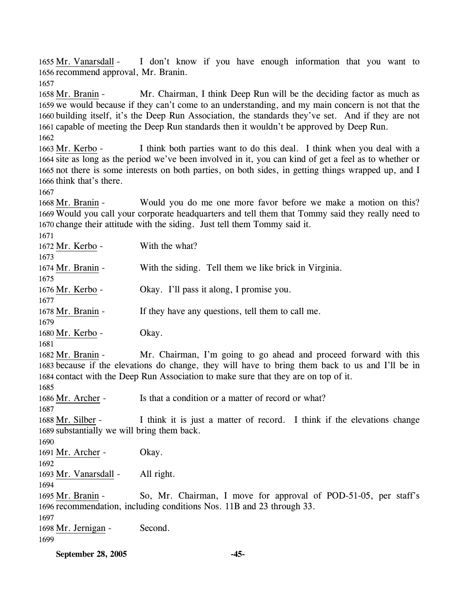I don't know if you have enough information that you want to 1656 recommend approval, Mr. Branin. 1655 Mr. Vanarsdall -

1657

Mr. Chairman, I think Deep Run will be the deciding factor as much as 1659 we would because if they can't come to an understanding, and my main concern is not that the 1660 building itself, it's the Deep Run Association, the standards they've set. And if they are not 1661 capable of meeting the Deep Run standards then it wouldn't be approved by Deep Run. 1658 Mr. Branin -1662

I think both parties want to do this deal. I think when you deal with a 1664 site as long as the period we've been involved in it, you can kind of get a feel as to whether or 1665 not there is some interests on both parties, on both sides, in getting things wrapped up, and I 1666 think that's there. 1663 Mr. Kerbo -

1667

Would you do me one more favor before we make a motion on this? 1669 Would you call your corporate headquarters and tell them that Tommy said they really need to 1670 change their attitude with the siding. Just tell them Tommy said it. 1668 Mr. Branin -

1671 1672 Mr. Kerbo - With the what? 1673 1674 Mr. Branin - With the siding. Tell them we like brick in Virginia. 1675 1676 Mr. Kerbo - Okay. I'll pass it along, I promise you. 1677 1678 Mr. Branin - If they have any questions, tell them to call me. 1679 1680 Mr. Kerbo - Okay. 1681 Mr. Chairman, I'm going to go ahead and proceed forward with this 1683 because if the elevations do change, they will have to bring them back to us and I'll be in 1684 contact with the Deep Run Association to make sure that they are on top of it. 1682 Mr. Branin -1685 1686 Mr. Archer - Is that a condition or a matter of record or what? 1687 I think it is just a matter of record. I think if the elevations change 1689 substantially we will bring them back. 1688 Mr. Silber -1690 1691 Mr. Archer - Okay. 1692 1693 Mr. Vanarsdall - All right. 1694 So, Mr. Chairman, I move for approval of POD-51-05, per staff's 1696 recommendation, including conditions Nos. 11B and 23 through 33. 1695 Mr. Branin -1697 1698 Mr. Jernigan - Second. 1699

**September 28, 2005 -45-**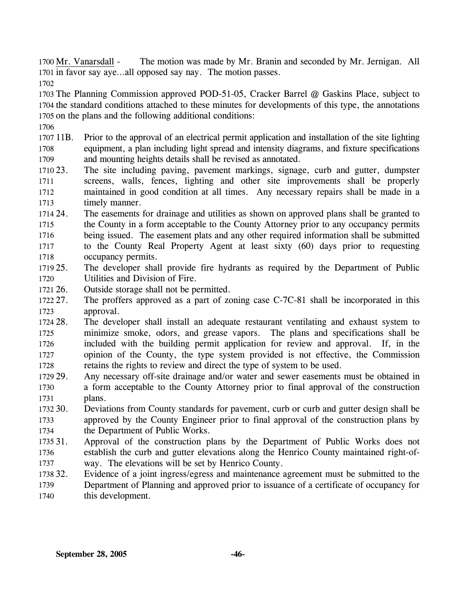The motion was made by Mr. Branin and seconded by Mr. Jernigan. All 1701 in favor say aye...all opposed say nay. The motion passes. 1700 Mr. Vanarsdall -

1702

1703 The Planning Commission approved POD-51-05, Cracker Barrel @ Gaskins Place, subject to 1704 the standard conditions attached to these minutes for developments of this type, the annotations 1705 on the plans and the following additional conditions:

- 1706
- 1707 11B. 1708 1709 11B. Prior to the approval of an electrical permit application and installation of the site lighting equipment, a plan including light spread and intensity diagrams, and fixture specifications and mounting heights details shall be revised as annotated.
- 1710 23. 1711 1712 1713 The site including paving, pavement markings, signage, curb and gutter, dumpster screens, walls, fences, lighting and other site improvements shall be properly maintained in good condition at all times. Any necessary repairs shall be made in a timely manner.
- 1714 24. 1715 1716 1717 1718 The easements for drainage and utilities as shown on approved plans shall be granted to the County in a form acceptable to the County Attorney prior to any occupancy permits being issued. The easement plats and any other required information shall be submitted to the County Real Property Agent at least sixty (60) days prior to requesting occupancy permits.
- 1719 25. 1720 The developer shall provide fire hydrants as required by the Department of Public Utilities and Division of Fire.
- 1721 26. Outside storage shall not be permitted.
- 1722 27. 1723 The proffers approved as a part of zoning case C-7C-81 shall be incorporated in this approval.
- 1724 28. 1725 1726 1727 1728 The developer shall install an adequate restaurant ventilating and exhaust system to minimize smoke, odors, and grease vapors. The plans and specifications shall be included with the building permit application for review and approval. If, in the opinion of the County, the type system provided is not effective, the Commission retains the rights to review and direct the type of system to be used.
- 1729 29. 1730 1731 Any necessary off-site drainage and/or water and sewer easements must be obtained in a form acceptable to the County Attorney prior to final approval of the construction plans.
- 1732 30. 1733 1734 Deviations from County standards for pavement, curb or curb and gutter design shall be approved by the County Engineer prior to final approval of the construction plans by the Department of Public Works.
- 1735 31. 1736 1737 Approval of the construction plans by the Department of Public Works does not establish the curb and gutter elevations along the Henrico County maintained right-ofway. The elevations will be set by Henrico County.
- 1738 32. Evidence of a joint ingress/egress and maintenance agreement must be submitted to the
- 1739 1740 Department of Planning and approved prior to issuance of a certificate of occupancy for this development.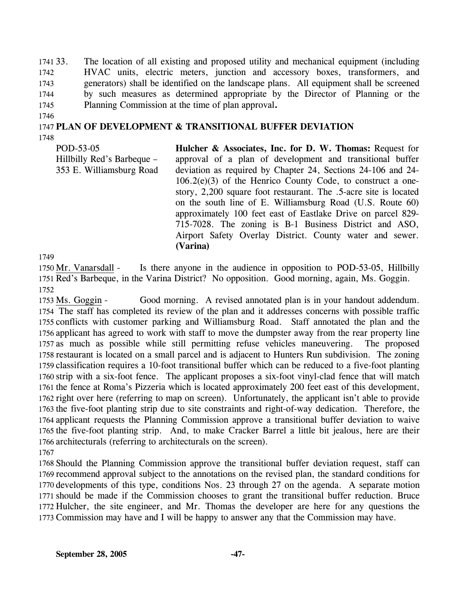1741 33. 1742 1743 1744 1745 33. The location of all existing and proposed utility and mechanical equipment (including HVAC units, electric meters, junction and accessory boxes, transformers, and generators) shall be identified on the landscape plans. All equipment shall be screened by such measures as determined appropriate by the Director of Planning or the Planning Commission at the time of plan approval**.** 

1746

## 1747 **PLAN OF DEVELOPMENT & TRANSITIONAL BUFFER DEVIATION**

1748

POD-53-05 Hillbilly Red's Barbeque – 353 E. Williamsburg Road **Hulcher & Associates, Inc. for D. W. Thomas:** Request for approval of a plan of development and transitional buffer deviation as required by Chapter 24, Sections 24-106 and 24-  $106.2(e)(3)$  of the Henrico County Code, to construct a onestory, 2,200 square foot restaurant. The .5-acre site is located on the south line of E. Williamsburg Road (U.S. Route 60) approximately 100 feet east of Eastlake Drive on parcel 829- 715-7028. The zoning is B-1 Business District and ASO, Airport Safety Overlay District. County water and sewer. **(Varina)** 

1749

Is there anyone in the audience in opposition to POD-53-05, Hillbilly 1751 Red's Barbeque, in the Varina District? No opposition. Good morning, again, Ms. Goggin. 1750 Mr. Vanarsdall -1752

Good morning. A revised annotated plan is in your handout addendum. 1754 The staff has completed its review of the plan and it addresses concerns with possible traffic 1755 conflicts with customer parking and Williamsburg Road. Staff annotated the plan and the 1756 applicant has agreed to work with staff to move the dumpster away from the rear property line 1757 as much as possible while still permitting refuse vehicles maneuvering. The proposed 1758 restaurant is located on a small parcel and is adjacent to Hunters Run subdivision. The zoning 1759 classification requires a 10-foot transitional buffer which can be reduced to a five-foot planting 1760 strip with a six-foot fence. The applicant proposes a six-foot vinyl-clad fence that will match 1761 the fence at Roma's Pizzeria which is located approximately 200 feet east of this development, 1762 right over here (referring to map on screen). Unfortunately, the applicant isn't able to provide 1763 the five-foot planting strip due to site constraints and right-of-way dedication. Therefore, the 1764 applicant requests the Planning Commission approve a transitional buffer deviation to waive 1765 the five-foot planting strip. And, to make Cracker Barrel a little bit jealous, here are their 1766 architecturals (referring to architecturals on the screen). 1753 Ms. Goggin -1767

 Should the Planning Commission approve the transitional buffer deviation request, staff can recommend approval subject to the annotations on the revised plan, the standard conditions for developments of this type, conditions Nos. 23 through 27 on the agenda. A separate motion should be made if the Commission chooses to grant the transitional buffer reduction. Bruce Hulcher, the site engineer, and Mr. Thomas the developer are here for any questions the Commission may have and I will be happy to answer any that the Commission may have.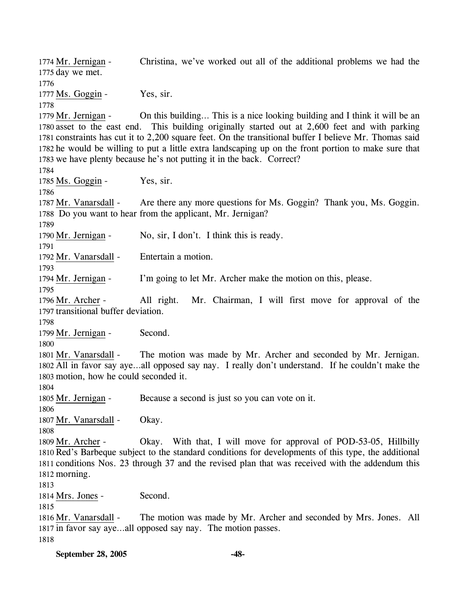Christina, we've worked out all of the additional problems we had the 1775 day we met. 1774 Mr. Jernigan -1776 1777 Ms. Goggin - Yes, sir. 1778 On this building... This is a nice looking building and I think it will be an 1780 asset to the east end. This building originally started out at 2,600 feet and with parking 1781 constraints has cut it to 2,200 square feet. On the transitional buffer I believe Mr. Thomas said 1782 he would be willing to put a little extra landscaping up on the front portion to make sure that 1783 we have plenty because he's not putting it in the back. Correct? 1779 Mr. Jernigan -1784 1785 Ms. Goggin - Yes, sir. 1786 Are there any more questions for Ms. Goggin? Thank you, Ms. Goggin. 1788 Do you want to hear from the applicant, Mr. Jernigan? 1787 Mr. Vanarsdall -1789 1790 Mr. Jernigan - No, sir, I don't. I think this is ready. 1791 1792 Mr. Vanarsdall - Entertain a motion. 1793 1794 Mr. Jernigan - I'm going to let Mr. Archer make the motion on this, please. 1795 All right. Mr. Chairman, I will first move for approval of the 1797 transitional buffer deviation. 1796 Mr. Archer -1798 1799 Mr. Jernigan - Second. 1800 The motion was made by Mr. Archer and seconded by Mr. Jernigan. 1802 All in favor say aye...all opposed say nay. I really don't understand. If he couldn't make the 1803 motion, how he could seconded it. 1801 Mr. Vanarsdall -1804 1805 Mr. Jernigan - Because a second is just so you can vote on it. 1806 1807 Mr. Vanarsdall - Okay. 1808 Okay. With that, I will move for approval of POD-53-05, Hillbilly 1810 Red's Barbeque subject to the standard conditions for developments of this type, the additional 1811 conditions Nos. 23 through 37 and the revised plan that was received with the addendum this 1812 morning. 1809 Mr. Archer -1813 1814 Mrs. Jones - Second. 1815 The motion was made by Mr. Archer and seconded by Mrs. Jones. All 1817 in favor say aye...all opposed say nay. The motion passes. 1816 Mr. Vanarsdall -1818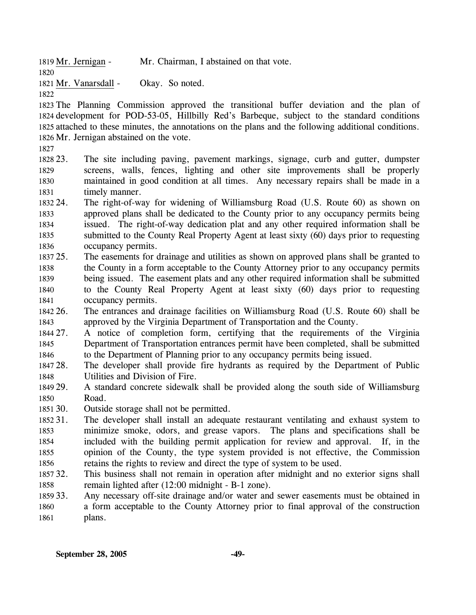1819 Mr. Jernigan - Mr. Chairman, I abstained on that vote.

1821 Mr. Vanarsdall - Okay. So noted.

1822

1820

 The Planning Commission approved the transitional buffer deviation and the plan of development for POD-53-05, Hillbilly Red's Barbeque, subject to the standard conditions attached to these minutes, the annotations on the plans and the following additional conditions. Mr. Jernigan abstained on the vote.

1827

1828 23. 1829 1830 1831 The site including paving, pavement markings, signage, curb and gutter, dumpster screens, walls, fences, lighting and other site improvements shall be properly maintained in good condition at all times. Any necessary repairs shall be made in a timely manner.

- 1832 24. 1833 1834 1835 1836 The right-of-way for widening of Williamsburg Road (U.S. Route 60) as shown on approved plans shall be dedicated to the County prior to any occupancy permits being issued. The right-of-way dedication plat and any other required information shall be submitted to the County Real Property Agent at least sixty (60) days prior to requesting occupancy permits.
- 1837 25. 1838 1839 1840 1841 25. The easements for drainage and utilities as shown on approved plans shall be granted to the County in a form acceptable to the County Attorney prior to any occupancy permits being issued. The easement plats and any other required information shall be submitted to the County Real Property Agent at least sixty (60) days prior to requesting occupancy permits.
- 1842 26. 1843 26. The entrances and drainage facilities on Williamsburg Road (U.S. Route 60) shall be approved by the Virginia Department of Transportation and the County.
- 1844 27. 1845 1846 27. A notice of completion form, certifying that the requirements of the Virginia Department of Transportation entrances permit have been completed, shall be submitted to the Department of Planning prior to any occupancy permits being issued.
- 1847 28. 1848 The developer shall provide fire hydrants as required by the Department of Public Utilities and Division of Fire.
- 1849 29. 1850 29. A standard concrete sidewalk shall be provided along the south side of Williamsburg Road.
- 1851 30. Outside storage shall not be permitted.
- 1852 31. 1853 1854 1855 1856 The developer shall install an adequate restaurant ventilating and exhaust system to minimize smoke, odors, and grease vapors. The plans and specifications shall be included with the building permit application for review and approval. If, in the opinion of the County, the type system provided is not effective, the Commission retains the rights to review and direct the type of system to be used.
- 1857 32. 1858 This business shall not remain in operation after midnight and no exterior signs shall remain lighted after (12:00 midnight - B-1 zone).
- 1859 33. 1860 1861 Any necessary off-site drainage and/or water and sewer easements must be obtained in a form acceptable to the County Attorney prior to final approval of the construction plans.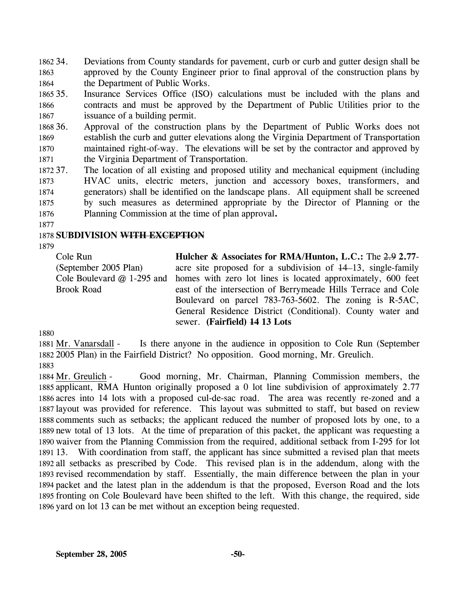1862 34. 1863 1864 Deviations from County standards for pavement, curb or curb and gutter design shall be approved by the County Engineer prior to final approval of the construction plans by the Department of Public Works.

1865 35. 1866 1867 Insurance Services Office (ISO) calculations must be included with the plans and contracts and must be approved by the Department of Public Utilities prior to the issuance of a building permit.

1868 36. 1869 1870 1871 Approval of the construction plans by the Department of Public Works does not establish the curb and gutter elevations along the Virginia Department of Transportation maintained right-of-way. The elevations will be set by the contractor and approved by the Virginia Department of Transportation.

1872 37. 1873 1874 1875 1876 The location of all existing and proposed utility and mechanical equipment (including HVAC units, electric meters, junction and accessory boxes, transformers, and generators) shall be identified on the landscape plans. All equipment shall be screened by such measures as determined appropriate by the Director of Planning or the Planning Commission at the time of plan approval**.**

1877

#### 1878 **SUBDIVISION WITH EXCEPTION**

1879

Cole Run (September 2005 Plan) Cole Boulevard @ 1-295 and Brook Road

**Hulcher & Associates for RMA/Hunton, L.C.:** The 2.9 **2.77** acre site proposed for a subdivision of  $\frac{14}{13}$ , single-family homes with zero lot lines is located approximately, 600 feet east of the intersection of Berrymeade Hills Terrace and Cole Boulevard on parcel 783-763-5602. The zoning is R-5AC, General Residence District (Conditional). County water and sewer. **(Fairfield) 14 13 Lots** 

1880

Is there anyone in the audience in opposition to Cole Run (September 2005 Plan) in the Fairfield District? No opposition. Good morning, Mr. Greulich. 1882 1881 Mr. Vanarsdall -

1883

Good morning, Mr. Chairman, Planning Commission members, the 1885 applicant, RMA Hunton originally proposed a 0 lot line subdivision of approximately 2.77 1886 acres into 14 lots with a proposed cul-de-sac road. The area was recently re-zoned and a 1887 layout was provided for reference. This layout was submitted to staff, but based on review 1888 comments such as setbacks; the applicant reduced the number of proposed lots by one, to a 1889 new total of 13 lots. At the time of preparation of this packet, the applicant was requesting a 1890 waiver from the Planning Commission from the required, additional setback from I-295 for lot 1891 13. With coordination from staff, the applicant has since submitted a revised plan that meets 1892 all setbacks as prescribed by Code. This revised plan is in the addendum, along with the 1893 revised recommendation by staff. Essentially, the main difference between the plan in your 1894 packet and the latest plan in the addendum is that the proposed, Everson Road and the lots 1895 fronting on Cole Boulevard have been shifted to the left. With this change, the required, side 1896 yard on lot 13 can be met without an exception being requested. 1884 Mr. Greulich -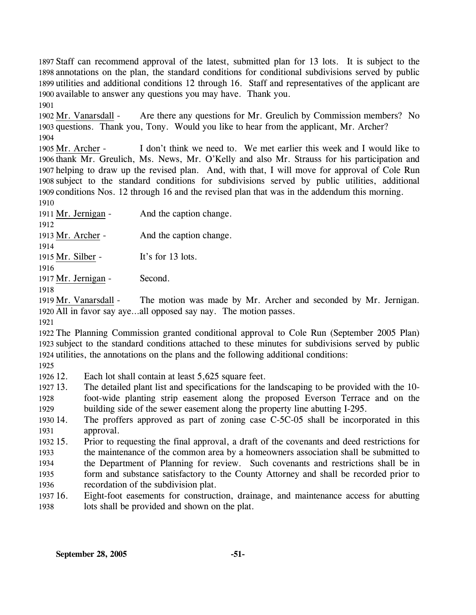Staff can recommend approval of the latest, submitted plan for 13 lots. It is subject to the annotations on the plan, the standard conditions for conditional subdivisions served by public utilities and additional conditions 12 through 16. Staff and representatives of the applicant are available to answer any questions you may have. Thank you. 1901

Are there any questions for Mr. Greulich by Commission members? No 1903 questions. Thank you, Tony. Would you like to hear from the applicant, Mr. Archer? 1902 Mr. Vanarsdall -1904

I don't think we need to. We met earlier this week and I would like to 1906 thank Mr. Greulich, Ms. News, Mr. O'Kelly and also Mr. Strauss for his participation and 1907 helping to draw up the revised plan. And, with that, I will move for approval of Cole Run 1908 subject to the standard conditions for subdivisions served by public utilities, additional 1909 conditions Nos. 12 through 16 and the revised plan that was in the addendum this morning. 1905 Mr. Archer -

1910

1911 Mr. Jernigan - And the caption change. 1912

1913 Mr. Archer - And the caption change.

1914

1915 Mr. Silber - It's for 13 lots.

1916

1917 Mr. Jernigan - Second.

1918 The motion was made by Mr. Archer and seconded by Mr. Jernigan. 1919 Mr. Vanarsdall -

1920 All in favor say aye...all opposed say nay. The motion passes.

1921

1922 The Planning Commission granted conditional approval to Cole Run (September 2005 Plan) 1923 subject to the standard conditions attached to these minutes for subdivisions served by public 1924 utilities, the annotations on the plans and the following additional conditions:

1925

1926 12. Each lot shall contain at least 5,625 square feet.

1927 13. 1928 13. The detailed plant list and specifications for the landscaping to be provided with the 10 foot-wide planting strip easement along the proposed Everson Terrace and on the

1929 building side of the sewer easement along the property line abutting I-295.

1930 14. 1931 The proffers approved as part of zoning case  $C$ -5C-05 shall be incorporated in this approval.

1932 15. 1933 1934 1935 15. Prior to requesting the final approval, a draft of the covenants and deed restrictions for the maintenance of the common area by a homeowners association shall be submitted to the Department of Planning for review. Such covenants and restrictions shall be in form and substance satisfactory to the County Attorney and shall be recorded prior to

1936 recordation of the subdivision plat.

1937 16. 1938 16. Eight-foot easements for construction, drainage, and maintenance access for abutting lots shall be provided and shown on the plat.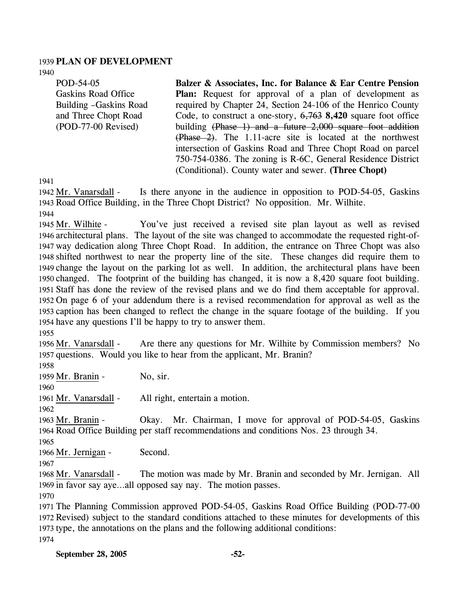#### 1939 **PLAN OF DEVELOPMENT**

1940

| POD-54-05              | Balzer & Associates, Inc. for Balance & Ear Centre Pension           |  |
|------------------------|----------------------------------------------------------------------|--|
| Gaskins Road Office    | <b>Plan:</b> Request for approval of a plan of development as        |  |
| Building -Gaskins Road | required by Chapter 24, Section 24-106 of the Henrico County         |  |
| and Three Chopt Road   | Code, to construct a one-story, $6,763$ 8,420 square foot office     |  |
| $(POD-77-00$ Revised)  | building $(Phase 1)$ and a future $2,000$ square foot addition       |  |
|                        | $(\text{Phase } 2)$ . The 1.11-acre site is located at the northwest |  |
|                        | intersection of Gaskins Road and Three Chopt Road on parcel          |  |
|                        | 750-754-0386. The zoning is R-6C, General Residence District         |  |

(Conditional). County water and sewer. **(Three Chopt)** 

1941

Is there anyone in the audience in opposition to POD-54-05, Gaskins 1943 Road Office Building, in the Three Chopt District? No opposition. Mr. Wilhite. 1942 Mr. Vanarsdall -

1944

You've just received a revised site plan layout as well as revised 1946 architectural plans. The layout of the site was changed to accommodate the requested right-of-1947 way dedication along Three Chopt Road. In addition, the entrance on Three Chopt was also 1948 shifted northwest to near the property line of the site. These changes did require them to 1949 change the layout on the parking lot as well. In addition, the architectural plans have been 1950 changed. The footprint of the building has changed, it is now a 8,420 square foot building. 1951 Staff has done the review of the revised plans and we do find them acceptable for approval. 1952 On page 6 of your addendum there is a revised recommendation for approval as well as the 1953 caption has been changed to reflect the change in the square footage of the building. If you 1954 have any questions I'll be happy to try to answer them. 1945 Mr. Wilhite -

1955

Are there any questions for Mr. Wilhite by Commission members? No 1957 questions. Would you like to hear from the applicant, Mr. Branin? 1956 Mr. Vanarsdall -

1958

1959 Mr. Branin - No, sir.

1960

1961 Mr. Vanarsdall - All right, entertain a motion.

1962

Okay. Mr. Chairman, I move for approval of POD-54-05, Gaskins 1964 Road Office Building per staff recommendations and conditions Nos. 23 through 34. 1963 Mr. Branin -

1965

1966 Mr. Jernigan - Second.

1967

The motion was made by Mr. Branin and seconded by Mr. Jernigan. All 1969 in favor say aye...all opposed say nay. The motion passes. 1968 Mr. Vanarsdall -

1970

 The Planning Commission approved POD-54-05, Gaskins Road Office Building (POD-77-00 Revised) subject to the standard conditions attached to these minutes for developments of this type, the annotations on the plans and the following additional conditions: 1974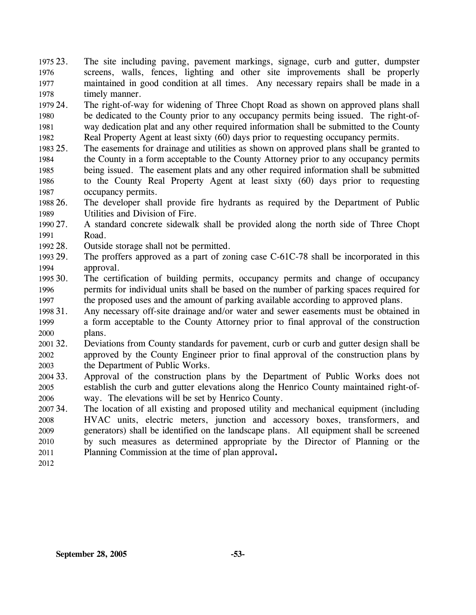1975 23. 1976 1977 1978 The site including paving, pavement markings, signage, curb and gutter, dumpster screens, walls, fences, lighting and other site improvements shall be properly maintained in good condition at all times. Any necessary repairs shall be made in a timely manner.

1979 24 1980 1981 1982 The right-of-way for widening of Three Chopt Road as shown on approved plans shall be dedicated to the County prior to any occupancy permits being issued. The right-ofway dedication plat and any other required information shall be submitted to the County Real Property Agent at least sixty (60) days prior to requesting occupancy permits.

1983 25. 1984 1985 1986 1987 The easements for drainage and utilities as shown on approved plans shall be granted to the County in a form acceptable to the County Attorney prior to any occupancy permits being issued. The easement plats and any other required information shall be submitted to the County Real Property Agent at least sixty (60) days prior to requesting occupancy permits.

1988 26. 1989 The developer shall provide fire hydrants as required by the Department of Public Utilities and Division of Fire.

1990 27 1991 27. A standard concrete sidewalk shall be provided along the north side of Three Chopt Road.

1992 28. Outside storage shall not be permitted.

1993 29. 1994 The proffers approved as a part of zoning case C-61C-78 shall be incorporated in this approval.

1995 30. 1996 1997 The certification of building permits, occupancy permits and change of occupancy permits for individual units shall be based on the number of parking spaces required for the proposed uses and the amount of parking available according to approved plans.

1998 31. 1999 2000 Any necessary off-site drainage and/or water and sewer easements must be obtained in a form acceptable to the County Attorney prior to final approval of the construction plans.

2001 32. 2002 2003 Deviations from County standards for pavement, curb or curb and gutter design shall be approved by the County Engineer prior to final approval of the construction plans by the Department of Public Works.

2004 33. 2005 2006 33. Approval of the construction plans by the Department of Public Works does not establish the curb and gutter elevations along the Henrico County maintained right-ofway. The elevations will be set by Henrico County.

2007 34. 2008 2009 2010 2011 The location of all existing and proposed utility and mechanical equipment (including HVAC units, electric meters, junction and accessory boxes, transformers, and generators) shall be identified on the landscape plans. All equipment shall be screened by such measures as determined appropriate by the Director of Planning or the Planning Commission at the time of plan approval**.** 

2012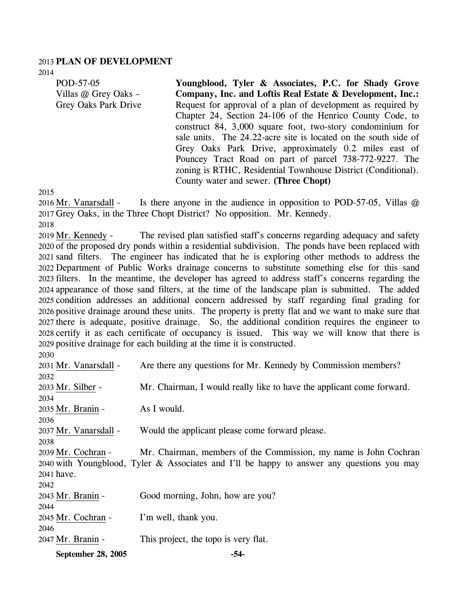### 2013 **PLAN OF DEVELOPMENT**

2014

| POD-57-05            | Youngblood, Tyler & Associates, P.C. for Shady Grove            |
|----------------------|-----------------------------------------------------------------|
| Villas @ Grey Oaks - | Company, Inc. and Loftis Real Estate & Development, Inc.:       |
| Grey Oaks Park Drive | Request for approval of a plan of development as required by    |
|                      | Chapter 24, Section 24-106 of the Henrico County Code, to       |
|                      | construct 84, 3,000 square foot, two-story condominium for      |
|                      | sale units. The 24.22-acre site is located on the south side of |
|                      | Grey Oaks Park Drive, approximately 0.2 miles east of           |
|                      | Pouncey Tract Road on part of parcel 738-772-9227. The          |
|                      | zoning is RTHC, Residential Townhouse District (Conditional).   |

County water and sewer. **(Three Chopt)** 

2015

Is there anyone in the audience in opposition to POD-57-05, Villas  $\omega$ 2017 Grey Oaks, in the Three Chopt District? No opposition. Mr. Kennedy.  $2016$  Mr. Vanarsdall -2018

The revised plan satisfied staff's concerns regarding adequacy and safety 2020 of the proposed dry ponds within a residential subdivision. The ponds have been replaced with 2021 sand filters. The engineer has indicated that he is exploring other methods to address the 2022 Department of Public Works drainage concerns to substitute something else for this sand 2023 filters. In the meantime, the developer has agreed to address staff's concerns regarding the 2024 appearance of those sand filters, at the time of the landscape plan is submitted. The added 2025 condition addresses an additional concern addressed by staff regarding final grading for 2026 positive drainage around these units. The property is pretty flat and we want to make sure that 2027 there is adequate, positive drainage. So, the additional condition requires the engineer to 2028 certify it as each certificate of occupancy is issued. This way we will know that there is 2029 positive drainage for each building at the time it is constructed. 2019 Mr. Kennedy -2030

| September 28, 2005    | -54-                                                                                       |
|-----------------------|--------------------------------------------------------------------------------------------|
| 2047 Mr. Branin -     | This project, the topo is very flat.                                                       |
| 2046                  |                                                                                            |
| 2045 Mr. Cochran -    | I'm well, thank you.                                                                       |
| 2044                  |                                                                                            |
| 2043 Mr. Branin -     | Good morning, John, how are you?                                                           |
| 2042                  |                                                                                            |
| 2041 have.            |                                                                                            |
|                       | 2040 with Youngblood, Tyler & Associates and I'll be happy to answer any questions you may |
| 2039 Mr. Cochran -    | Mr. Chairman, members of the Commission, my name is John Cochran                           |
| 2038                  |                                                                                            |
| 2037 Mr. Vanarsdall - | Would the applicant please come forward please.                                            |
| 2036                  |                                                                                            |
| 2035 Mr. Branin -     | As I would.                                                                                |
| 2034                  |                                                                                            |
| 2033 Mr. Silber -     | Mr. Chairman, I would really like to have the applicant come forward.                      |
| 2032                  |                                                                                            |
| 2031 Mr. Vanarsdall - | Are there any questions for Mr. Kennedy by Commission members?                             |
|                       |                                                                                            |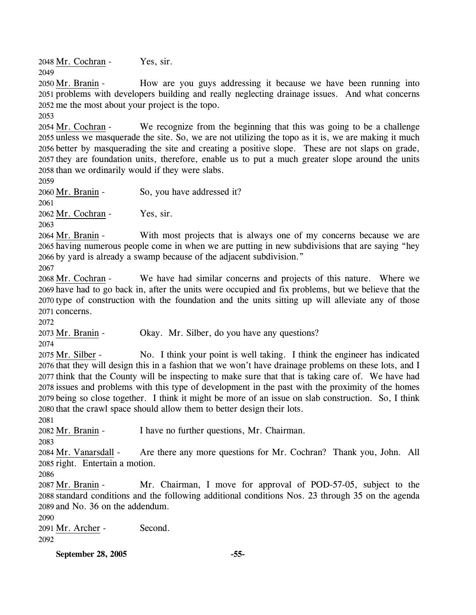2048 Mr. Cochran - Yes, sir. 2049

How are you guys addressing it because we have been running into 2051 problems with developers building and really neglecting drainage issues. And what concerns 2052 me the most about your project is the topo. 2050 Mr. Branin -

2053

We recognize from the beginning that this was going to be a challenge 2055 unless we masquerade the site. So, we are not utilizing the topo as it is, we are making it much 2056 better by masquerading the site and creating a positive slope. These are not slaps on grade, 2057 they are foundation units, therefore, enable us to put a much greater slope around the units 2058 than we ordinarily would if they were slabs. 2054 Mr. Cochran -

2059

2061

2060 Mr. Branin - So, you have addressed it?

2062 Mr. Cochran - Yes, sir.

2063

With most projects that is always one of my concerns because we are 2065 having numerous people come in when we are putting in new subdivisions that are saying "hey by yard is already a swamp because of the adjacent subdivision." 2066 2064 Mr. Branin -

2067

We have had similar concerns and projects of this nature. Where we 2069 have had to go back in, after the units were occupied and fix problems, but we believe that the 2070 type of construction with the foundation and the units sitting up will alleviate any of those 2071 concerns. 2068 Mr. Cochran -

2072

2073 Mr. Branin - Okay. Mr. Silber, do you have any questions?

2074

No. I think your point is well taking. I think the engineer has indicated 2076 that they will design this in a fashion that we won't have drainage problems on these lots, and I 2077 think that the County will be inspecting to make sure that that is taking care of. We have had 2078 issues and problems with this type of development in the past with the proximity of the homes 2079 being so close together. I think it might be more of an issue on slab construction. So, I think 2080 that the crawl space should allow them to better design their lots. 2075 Mr. Silber -

2081

2082 Mr. Branin - I have no further questions, Mr. Chairman.

2083

Are there any more questions for Mr. Cochran? Thank you, John. All 2085 right. Entertain a motion. 2084 Mr. Vanarsdall -

2086

Mr. Chairman, I move for approval of POD-57-05, subject to the 2088 standard conditions and the following additional conditions Nos. 23 through 35 on the agenda 2089 and No. 36 on the addendum. 2087 Mr. Branin -

2090

2091 Mr. Archer - Second. 2092

**September 28, 2005 -55-**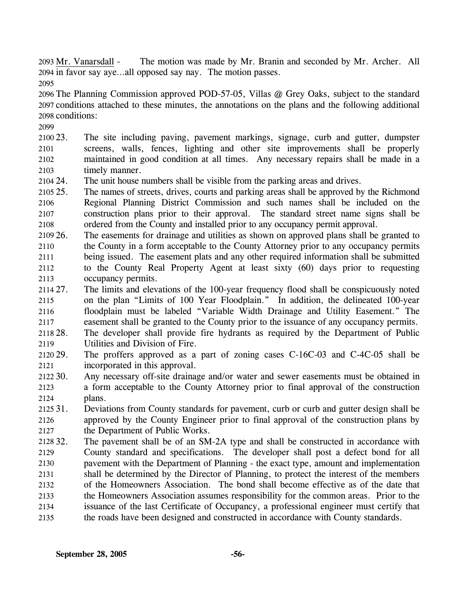The motion was made by Mr. Branin and seconded by Mr. Archer. All 2094 in favor say aye...all opposed say nay. The motion passes. 2093 Mr. Vanarsdall -

2095

2096 The Planning Commission approved POD-57-05, Villas @ Grey Oaks, subject to the standard 2097 conditions attached to these minutes, the annotations on the plans and the following additional 2098 conditions:

2099

2100 23. 2101 2102 2103 The site including paving, pavement markings, signage, curb and gutter, dumpster screens, walls, fences, lighting and other site improvements shall be properly maintained in good condition at all times. Any necessary repairs shall be made in a timely manner.

2104 24. The unit house numbers shall be visible from the parking areas and drives.

- 2105 25. 2106 2107 2108 The names of streets, drives, courts and parking areas shall be approved by the Richmond Regional Planning District Commission and such names shall be included on the construction plans prior to their approval. The standard street name signs shall be ordered from the County and installed prior to any occupancy permit approval.
- 2109 26. 2110 2111 2112 2113 The easements for drainage and utilities as shown on approved plans shall be granted to the County in a form acceptable to the County Attorney prior to any occupancy permits being issued. The easement plats and any other required information shall be submitted to the County Real Property Agent at least sixty (60) days prior to requesting occupancy permits.
- 2114 27. 2115 2116 2117 2118 28. The limits and elevations of the 100-year frequency flood shall be conspicuously noted on the plan "Limits of 100 Year Floodplain." In addition, the delineated 100-year floodplain must be labeled "Variable Width Drainage and Utility Easement." The easement shall be granted to the County prior to the issuance of any occupancy permits. The developer shall provide fire hydrants as required by the Department of Public
- 2119 Utilities and Division of Fire.

2120 29. 2121 The proffers approved as a part of zoning cases  $C-16C-03$  and  $C-4C-05$  shall be incorporated in this approval.

- 2122 30. 2123 2124 Any necessary off-site drainage and/or water and sewer easements must be obtained in a form acceptable to the County Attorney prior to final approval of the construction plans.
- 2125 31. 2126 2127 Deviations from County standards for pavement, curb or curb and gutter design shall be approved by the County Engineer prior to final approval of the construction plans by the Department of Public Works.
- 2128 32. 2129 2130 2131 2132 2133 2134 The pavement shall be of an SM-2A type and shall be constructed in accordance with County standard and specifications. The developer shall post a defect bond for all pavement with the Department of Planning - the exact type, amount and implementation shall be determined by the Director of Planning, to protect the interest of the members of the Homeowners Association. The bond shall become effective as of the date that the Homeowners Association assumes responsibility for the common areas. Prior to the issuance of the last Certificate of Occupancy, a professional engineer must certify that
- 2135 the roads have been designed and constructed in accordance with County standards.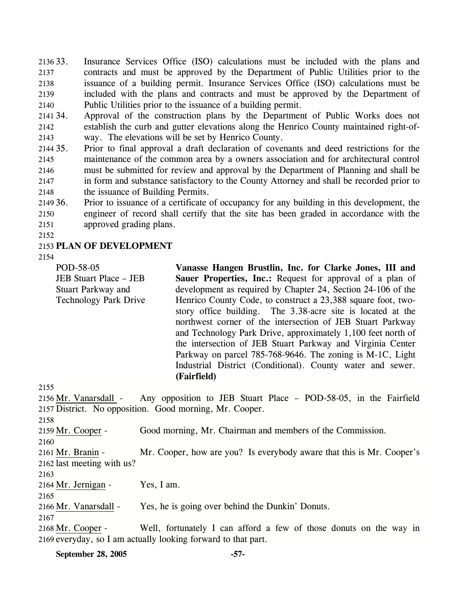2136 33. 2137 2138 2139 2140 Insurance Services Office (ISO) calculations must be included with the plans and contracts and must be approved by the Department of Public Utilities prior to the issuance of a building permit. Insurance Services Office (ISO) calculations must be included with the plans and contracts and must be approved by the Department of Public Utilities prior to the issuance of a building permit.

2141 34. 2142 2143 Approval of the construction plans by the Department of Public Works does not establish the curb and gutter elevations along the Henrico County maintained right-ofway. The elevations will be set by Henrico County.

2144 35. 2145 2146 2147 2148 35. Prior to final approval a draft declaration of covenants and deed restrictions for the maintenance of the common area by a owners association and for architectural control must be submitted for review and approval by the Department of Planning and shall be in form and substance satisfactory to the County Attorney and shall be recorded prior to the issuance of Building Permits.

2149 36. 2150 2151 36. Prior to issuance of a certificate of occupancy for any building in this development, the engineer of record shall certify that the site has been graded in accordance with the approved grading plans.

2152

#### 2153 **PLAN OF DEVELOPMENT**

2154

POD-58-05 JEB Stuart Place – JEB Stuart Parkway and Technology Park Drive **Vanasse Hangen Brustlin, Inc. for Clarke Jones, III and Sauer Properties, Inc.:** Request for approval of a plan of development as required by Chapter 24, Section 24-106 of the Henrico County Code, to construct a 23,388 square foot, twostory office building. The 3.38-acre site is located at the northwest corner of the intersection of JEB Stuart Parkway and Technology Park Drive, approximately 1,100 feet north of the intersection of JEB Stuart Parkway and Virginia Center Parkway on parcel 785-768-9646. The zoning is M-1C, Light Industrial District (Conditional). County water and sewer. **(Fairfield)** 

2155

2156 Mr. Vanarsdall - Any opposition to JEB Stuart Place – POD-58-05, in the Fairfield 2157 District. No opposition. Good morning, Mr. Cooper. 2158 2159 Mr. Cooper - Good morning, Mr. Chairman and members of the Commission. 2160 2161 Mr. Branin - Mr. Cooper, how are you? Is everybody aware that this is Mr. Cooper's 2162 last meeting with us? 2163 2164 Mr. Jernigan - Yes, I am. 2165 2166 Mr. Vanarsdall - Yes, he is going over behind the Dunkin' Donuts. 2167 2168 Mr. Cooper - Well, fortunately I can afford a few of those donuts on the way in 2169 everyday, so I am actually looking forward to that part.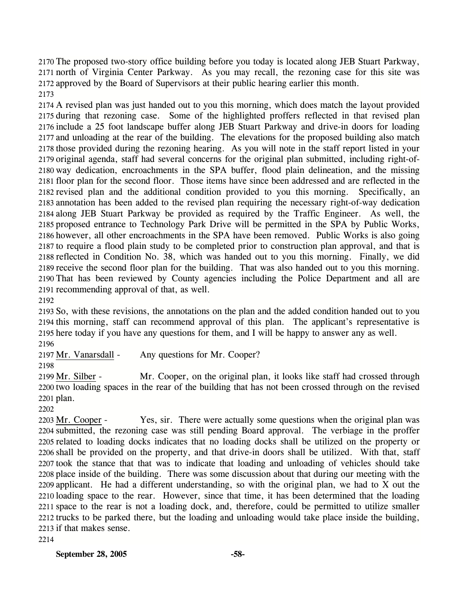2170 The proposed two-story office building before you today is located along JEB Stuart Parkway, 2171 north of Virginia Center Parkway. As you may recall, the rezoning case for this site was 2172 approved by the Board of Supervisors at their public hearing earlier this month. 2173

2174 A revised plan was just handed out to you this morning, which does match the layout provided 2175 during that rezoning case. Some of the highlighted proffers reflected in that revised plan 2176 include a 25 foot landscape buffer along JEB Stuart Parkway and drive-in doors for loading 2177 and unloading at the rear of the building. The elevations for the proposed building also match 2178 those provided during the rezoning hearing. As you will note in the staff report listed in your 2179 original agenda, staff had several concerns for the original plan submitted, including right-of-2180 way dedication, encroachments in the SPA buffer, flood plain delineation, and the missing 2181 floor plan for the second floor. Those items have since been addressed and are reflected in the 2182 revised plan and the additional condition provided to you this morning. Specifically, an 2183 annotation has been added to the revised plan requiring the necessary right-of-way dedication 2184 along JEB Stuart Parkway be provided as required by the Traffic Engineer. As well, the 2185 proposed entrance to Technology Park Drive will be permitted in the SPA by Public Works, 2186 however, all other encroachments in the SPA have been removed. Public Works is also going 2187 to require a flood plain study to be completed prior to construction plan approval, and that is 2188 reflected in Condition No. 38, which was handed out to you this morning. Finally, we did 2189 receive the second floor plan for the building. That was also handed out to you this morning. 2190 That has been reviewed by County agencies including the Police Department and all are 2191 recommending approval of that, as well.

2192

2193 So, with these revisions, the annotations on the plan and the added condition handed out to you 2194 this morning, staff can recommend approval of this plan. The applicant's representative is 2195 here today if you have any questions for them, and I will be happy to answer any as well. 2196

2197 Mr. Vanarsdall - Any questions for Mr. Cooper?

2198

2199 Mr. Silber - Mr. Cooper, on the original plan, it looks like staff had crossed through 2200 two loading spaces in the rear of the building that has not been crossed through on the revised 2201 plan.

2202

2203 Mr. Cooper - Yes, sir. There were actually some questions when the original plan was 2204 submitted, the rezoning case was still pending Board approval. The verbiage in the proffer 2205 related to loading docks indicates that no loading docks shall be utilized on the property or 2206 shall be provided on the property, and that drive-in doors shall be utilized. With that, staff 2207 took the stance that that was to indicate that loading and unloading of vehicles should take 2208 place inside of the building. There was some discussion about that during our meeting with the 2209 applicant. He had a different understanding, so with the original plan, we had to X out the 2210 loading space to the rear. However, since that time, it has been determined that the loading 2211 space to the rear is not a loading dock, and, therefore, could be permitted to utilize smaller 2212 trucks to be parked there, but the loading and unloading would take place inside the building, 2213 if that makes sense.

2214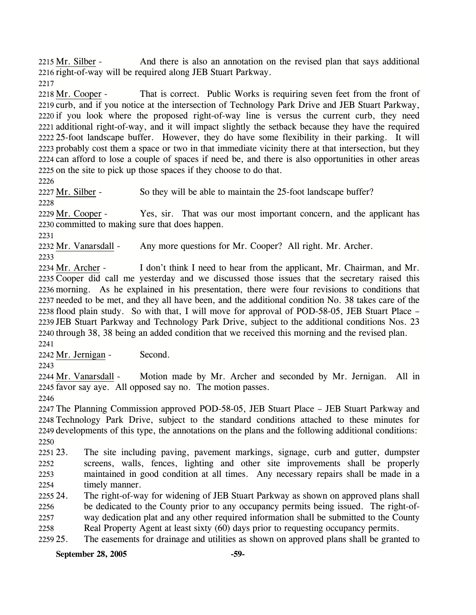2215 Mr. Silber - And there is also an annotation on the revised plan that says additional 2216 right-of-way will be required along JEB Stuart Parkway.

2217

2218 Mr. Cooper - That is correct. Public Works is requiring seven feet from the front of 2219 curb, and if you notice at the intersection of Technology Park Drive and JEB Stuart Parkway, 2220 if you look where the proposed right-of-way line is versus the current curb, they need 2221 additional right-of-way, and it will impact slightly the setback because they have the required 2222 25-foot landscape buffer. However, they do have some flexibility in their parking. It will 2223 probably cost them a space or two in that immediate vicinity there at that intersection, but they 2224 can afford to lose a couple of spaces if need be, and there is also opportunities in other areas 2225 on the site to pick up those spaces if they choose to do that.

2226

2227 Mr. Silber - So they will be able to maintain the 25-foot landscape buffer?

2228

2229 Mr. Cooper - Yes, sir. That was our most important concern, and the applicant has 2230 committed to making sure that does happen.

2231

2232 Mr. Vanarsdall - Any more questions for Mr. Cooper? All right. Mr. Archer.

2233

2234 Mr. Archer - I don't think I need to hear from the applicant, Mr. Chairman, and Mr. 2235 Cooper did call me yesterday and we discussed those issues that the secretary raised this 2236 morning. As he explained in his presentation, there were four revisions to conditions that 2237 needed to be met, and they all have been, and the additional condition No. 38 takes care of the 2238 flood plain study. So with that, I will move for approval of POD-58-05, JEB Stuart Place – 2239 JEB Stuart Parkway and Technology Park Drive, subject to the additional conditions Nos. 23 2240 through 38, 38 being an added condition that we received this morning and the revised plan. 2241

2242 Mr. Jernigan - Second.

2243

2244 Mr. Vanarsdall - Motion made by Mr. Archer and seconded by Mr. Jernigan. All in 2245 favor say aye. All opposed say no. The motion passes.

2246

2247 The Planning Commission approved POD-58-05, JEB Stuart Place – JEB Stuart Parkway and 2248 Technology Park Drive, subject to the standard conditions attached to these minutes for 2249 developments of this type, the annotations on the plans and the following additional conditions: 2250

2251 23. 2252 2253 2254 23. The site including paving, pavement markings, signage, curb and gutter, dumpster screens, walls, fences, lighting and other site improvements shall be properly maintained in good condition at all times. Any necessary repairs shall be made in a timely manner.

2255 24. 2256 2257 2258 The right-of-way for widening of JEB Stuart Parkway as shown on approved plans shall be dedicated to the County prior to any occupancy permits being issued. The right-ofway dedication plat and any other required information shall be submitted to the County Real Property Agent at least sixty (60) days prior to requesting occupancy permits.

2259 25. The easements for drainage and utilities as shown on approved plans shall be granted to

**September 28, 2005 -59-**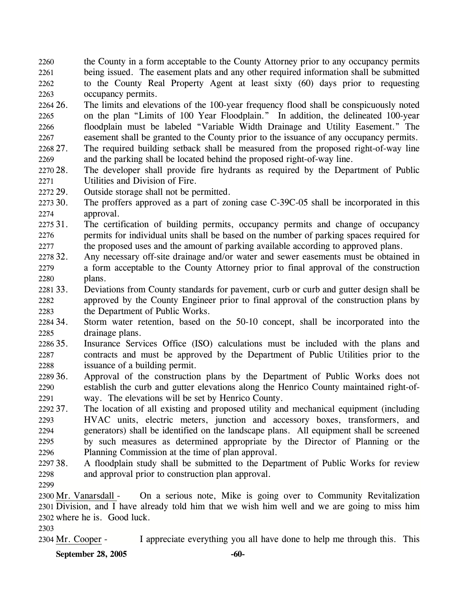2260 2261 2262 2263 the County in a form acceptable to the County Attorney prior to any occupancy permits being issued. The easement plats and any other required information shall be submitted to the County Real Property Agent at least sixty (60) days prior to requesting occupancy permits.

2264.26 2265 2266 2267 The limits and elevations of the 100-year frequency flood shall be conspicuously noted on the plan "Limits of 100 Year Floodplain." In addition, the delineated 100-year floodplain must be labeled "Variable Width Drainage and Utility Easement." The easement shall be granted to the County prior to the issuance of any occupancy permits.

2268 27. 2269 The required building setback shall be measured from the proposed right-of-way line and the parking shall be located behind the proposed right-of-way line.

2270 28. 2271 The developer shall provide fire hydrants as required by the Department of Public Utilities and Division of Fire.

2272 29. Outside storage shall not be permitted.

2273 30. 2274 The proffers approved as a part of zoning case C-39C-05 shall be incorporated in this approval.

2275 31 2276 2277 The certification of building permits, occupancy permits and change of occupancy permits for individual units shall be based on the number of parking spaces required for the proposed uses and the amount of parking available according to approved plans.

2278 32. 2279 2280 Any necessary off-site drainage and/or water and sewer easements must be obtained in a form acceptable to the County Attorney prior to final approval of the construction plans.

2281 33. 2282 2283 33. Deviations from County standards for pavement, curb or curb and gutter design shall be approved by the County Engineer prior to final approval of the construction plans by the Department of Public Works.

2284 34. 2285 Storm water retention, based on the 50-10 concept, shall be incorporated into the drainage plans.

2286 35. 2287 2288 Insurance Services Office (ISO) calculations must be included with the plans and contracts and must be approved by the Department of Public Utilities prior to the issuance of a building permit.

2289 36. 2290 2291 36. Approval of the construction plans by the Department of Public Works does not establish the curb and gutter elevations along the Henrico County maintained right-ofway. The elevations will be set by Henrico County.

2292 37. 2293 2294 2295 2296 The location of all existing and proposed utility and mechanical equipment (including HVAC units, electric meters, junction and accessory boxes, transformers, and generators) shall be identified on the landscape plans. All equipment shall be screened by such measures as determined appropriate by the Director of Planning or the Planning Commission at the time of plan approval.

2297 38. 2298 38. A floodplain study shall be submitted to the Department of Public Works for review and approval prior to construction plan approval.

2299

2300 Mr. Vanarsdall - On a serious note, Mike is going over to Community Revitalization 2301 Division, and I have already told him that we wish him well and we are going to miss him 2302 where he is. Good luck.

2303

2304 Mr. Cooper - I appreciate everything you all have done to help me through this. This

**September 28, 2005** -60-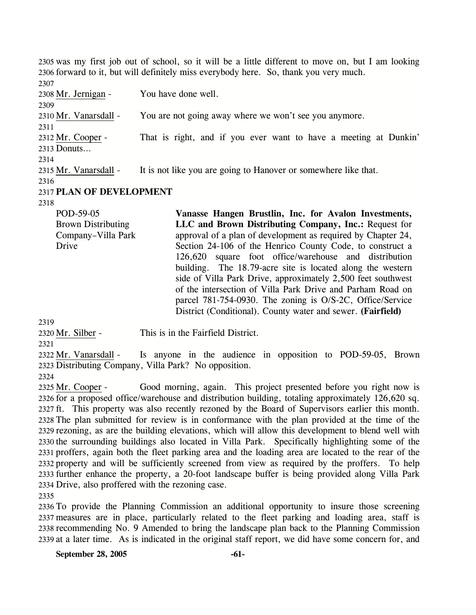2305 was my first job out of school, so it will be a little different to move on, but I am looking 2306 forward to it, but will definitely miss everybody here. So, thank you very much. 2307

2308 Mr. Jernigan - You have done well. 2309 2310 Mr. Vanarsdall - You are not going away where we won't see you anymore. 2311 2312 Mr. Cooper - That is right, and if you ever want to have a meeting at Dunkin' 2313 Donuts… 2314 2315 Mr. Vanarsdall - It is not like you are going to Hanover or somewhere like that. 2316 2317 **PLAN OF DEVELOPMENT** 

2318

POD-59-05 Brown Distributing Company–Villa Park Drive **Vanasse Hangen Brustlin, Inc. for Avalon Investments, LLC and Brown Distributing Company, Inc.:** Request for approval of a plan of development as required by Chapter 24, Section 24-106 of the Henrico County Code, to construct a 126,620 square foot office/warehouse and distribution building. The 18.79-acre site is located along the western side of Villa Park Drive, approximately 2,500 feet southwest of the intersection of Villa Park Drive and Parham Road on parcel 781-754-0930. The zoning is O/S-2C, Office/Service District (Conditional). County water and sewer. **(Fairfield)** 

2319

2320 Mr. Silber - This is in the Fairfield District.

2321

2322 Mr. Vanarsdall - Is anyone in the audience in opposition to POD-59-05, Brown 2323 Distributing Company, Villa Park? No opposition.

2324

2325 Mr. Cooper - Good morning, again. This project presented before you right now is 2326 for a proposed office/warehouse and distribution building, totaling approximately 126,620 sq. 2327 ft. This property was also recently rezoned by the Board of Supervisors earlier this month. 2328 The plan submitted for review is in conformance with the plan provided at the time of the 2329 rezoning, as are the building elevations, which will allow this development to blend well with 2330 the surrounding buildings also located in Villa Park. Specifically highlighting some of the 2331 proffers, again both the fleet parking area and the loading area are located to the rear of the 2332 property and will be sufficiently screened from view as required by the proffers. To help 2333 further enhance the property, a 20-foot landscape buffer is being provided along Villa Park 2334 Drive, also proffered with the rezoning case.

2335

2336 To provide the Planning Commission an additional opportunity to insure those screening 2337 measures are in place, particularly related to the fleet parking and loading area, staff is 2338 recommending No. 9 Amended to bring the landscape plan back to the Planning Commission 2339 at a later time. As is indicated in the original staff report, we did have some concern for, and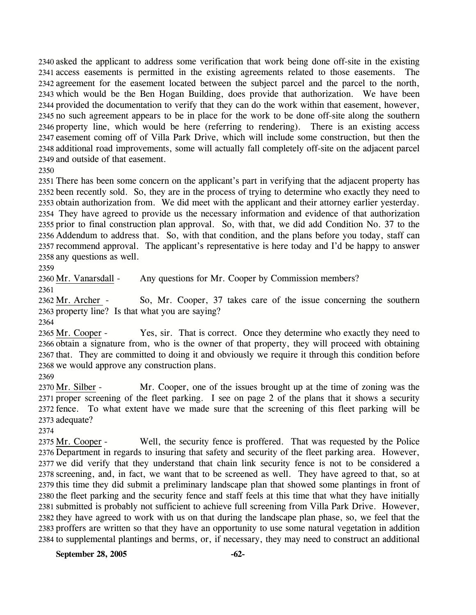2340 asked the applicant to address some verification that work being done off-site in the existing 2341 access easements is permitted in the existing agreements related to those easements. The 2342 agreement for the easement located between the subject parcel and the parcel to the north, 2343 which would be the Ben Hogan Building, does provide that authorization. We have been 2344 provided the documentation to verify that they can do the work within that easement, however, 2345 no such agreement appears to be in place for the work to be done off-site along the southern 2346 property line, which would be here (referring to rendering). There is an existing access 2347 easement coming off of Villa Park Drive, which will include some construction, but then the 2348 additional road improvements, some will actually fall completely off-site on the adjacent parcel 2349 and outside of that easement.

2350

2351 There has been some concern on the applicant's part in verifying that the adjacent property has 2352 been recently sold. So, they are in the process of trying to determine who exactly they need to 2353 obtain authorization from. We did meet with the applicant and their attorney earlier yesterday. 2354 They have agreed to provide us the necessary information and evidence of that authorization 2355 prior to final construction plan approval. So, with that, we did add Condition No. 37 to the 2356 Addendum to address that. So, with that condition, and the plans before you today, staff can 2357 recommend approval. The applicant's representative is here today and I'd be happy to answer 2358 any questions as well.

2359

2360 Mr. Vanarsdall - Any questions for Mr. Cooper by Commission members?

2361

2362 Mr. Archer - So, Mr. Cooper, 37 takes care of the issue concerning the southern 2363 property line? Is that what you are saying?

2364

2365 Mr. Cooper - Yes, sir. That is correct. Once they determine who exactly they need to 2366 obtain a signature from, who is the owner of that property, they will proceed with obtaining 2367 that. They are committed to doing it and obviously we require it through this condition before 2368 we would approve any construction plans.

2369

2370 Mr. Silber - Mr. Cooper, one of the issues brought up at the time of zoning was the 2371 proper screening of the fleet parking. I see on page 2 of the plans that it shows a security 2372 fence. To what extent have we made sure that the screening of this fleet parking will be 2373 adequate?

2374

2375 Mr. Cooper - Well, the security fence is proffered. That was requested by the Police 2376 Department in regards to insuring that safety and security of the fleet parking area. However, 2377 we did verify that they understand that chain link security fence is not to be considered a 2378 screening, and, in fact, we want that to be screened as well. They have agreed to that, so at 2379 this time they did submit a preliminary landscape plan that showed some plantings in front of 2380 the fleet parking and the security fence and staff feels at this time that what they have initially 2381 submitted is probably not sufficient to achieve full screening from Villa Park Drive. However, 2382 they have agreed to work with us on that during the landscape plan phase, so, we feel that the 2383 proffers are written so that they have an opportunity to use some natural vegetation in addition 2384 to supplemental plantings and berms, or, if necessary, they may need to construct an additional

**September 28, 2005 -62-**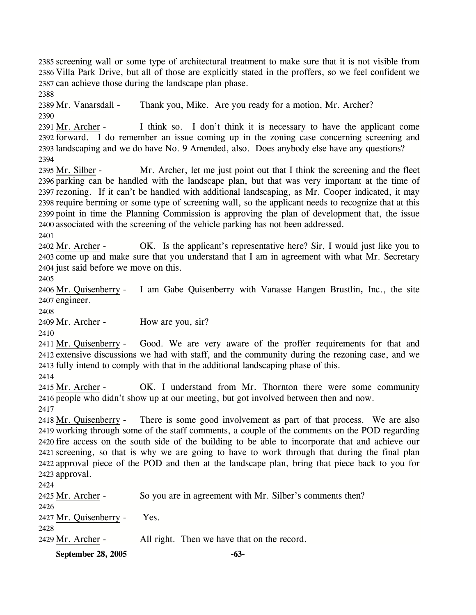2385 screening wall or some type of architectural treatment to make sure that it is not visible from 2386 Villa Park Drive, but all of those are explicitly stated in the proffers, so we feel confident we 2387 can achieve those during the landscape plan phase.

2388

2389 Mr. Vanarsdall - Thank you, Mike. Are you ready for a motion, Mr. Archer? 2390

2391 Mr. Archer - I think so. I don't think it is necessary to have the applicant come 2392 forward. I do remember an issue coming up in the zoning case concerning screening and 2393 landscaping and we do have No. 9 Amended, also. Does anybody else have any questions?

2394

2395 Mr. Silber - Mr. Archer, let me just point out that I think the screening and the fleet 2396 parking can be handled with the landscape plan, but that was very important at the time of 2397 rezoning. If it can't be handled with additional landscaping, as Mr. Cooper indicated, it may 2398 require berming or some type of screening wall, so the applicant needs to recognize that at this 2399 point in time the Planning Commission is approving the plan of development that, the issue 2400 associated with the screening of the vehicle parking has not been addressed.

2401

2402 Mr. Archer - OK. Is the applicant's representative here? Sir, I would just like you to 2403 come up and make sure that you understand that I am in agreement with what Mr. Secretary 2404 just said before we move on this.

2405

2406 Mr. Quisenberry - I am Gabe Quisenberry with Vanasse Hangen Brustlin**,** Inc., the site 2407 engineer.

2408

2409 Mr. Archer - How are you, sir?

2410

2411 Mr. Quisenberry - Good. We are very aware of the proffer requirements for that and 2412 extensive discussions we had with staff, and the community during the rezoning case, and we 2413 fully intend to comply with that in the additional landscaping phase of this.

2414

2415 Mr. Archer - OK. I understand from Mr. Thornton there were some community 2416 people who didn't show up at our meeting, but got involved between then and now. 2417

2418 Mr. Quisenberry - There is some good involvement as part of that process. We are also 2419 working through some of the staff comments, a couple of the comments on the POD regarding 2420 fire access on the south side of the building to be able to incorporate that and achieve our 2421 screening, so that is why we are going to have to work through that during the final plan 2422 approval piece of the POD and then at the landscape plan, bring that piece back to you for 2423 approval.  $2424$ 

| <b>September 28, 2005</b> | -63-                                                     |
|---------------------------|----------------------------------------------------------|
| 2429 Mr. Archer -         | All right. Then we have that on the record.              |
| 2428                      |                                                          |
| 2427 Mr. Quisenberry -    | Yes.                                                     |
| 2426                      |                                                          |
| 2425 Mr. Archer -         | So you are in agreement with Mr. Silber's comments then? |
| 24 24                     |                                                          |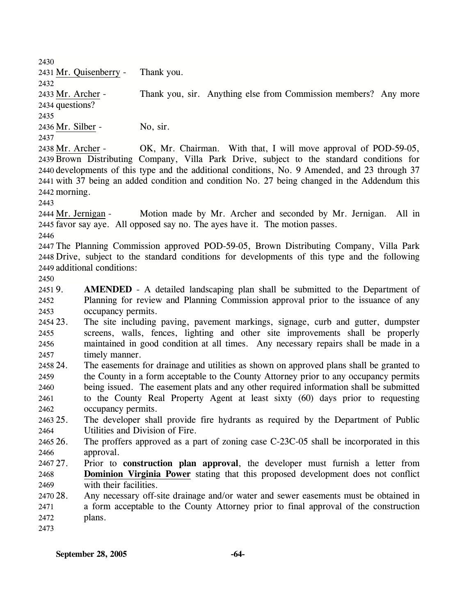2430

2432

2437

2431 Mr. Quisenberry - Thank you.

2433 Mr. Archer - Thank you, sir. Anything else from Commission members? Any more 2434 questions? 2435

2436 Mr. Silber - No, sir.

2438 Mr. Archer - OK, Mr. Chairman. With that, I will move approval of POD-59-05, 2439 Brown Distributing Company, Villa Park Drive, subject to the standard conditions for 2440 developments of this type and the additional conditions, No. 9 Amended, and 23 through 37 2441 with 37 being an added condition and condition No. 27 being changed in the Addendum this 2442 morning.

2443

2444 Mr. Jernigan - Motion made by Mr. Archer and seconded by Mr. Jernigan. All in 2445 favor say aye. All opposed say no. The ayes have it. The motion passes.

2446

2447 The Planning Commission approved POD-59-05, Brown Distributing Company, Villa Park 2448 Drive, subject to the standard conditions for developments of this type and the following 2449 additional conditions:

2450

 $24519.$ 2452 2453 **AMENDED** - A detailed landscaping plan shall be submitted to the Department of Planning for review and Planning Commission approval prior to the issuance of any occupancy permits.

- 2454 23. 2455 2456 2457 23. The site including paving, pavement markings, signage, curb and gutter, dumpster screens, walls, fences, lighting and other site improvements shall be properly maintained in good condition at all times. Any necessary repairs shall be made in a timely manner.
- 2458 24. 2459 2460 2461 2462 24. The easements for drainage and utilities as shown on approved plans shall be granted to the County in a form acceptable to the County Attorney prior to any occupancy permits being issued. The easement plats and any other required information shall be submitted to the County Real Property Agent at least sixty (60) days prior to requesting occupancy permits.

2463 25. 2464 The developer shall provide fire hydrants as required by the Department of Public Utilities and Division of Fire.

2465 26. 2466 26. The proffers approved as a part of zoning case C-23C-05 shall be incorporated in this approval.

- 2467.27 27. Prior to **construction plan approval**, the developer must furnish a letter from **Dominion Virginia Power** stating that this proposed development does not conflict with their facilities. 2468 2469
- 2470 28. 2471 2472 Any necessary off-site drainage and/or water and sewer easements must be obtained in a form acceptable to the County Attorney prior to final approval of the construction plans.
- 2473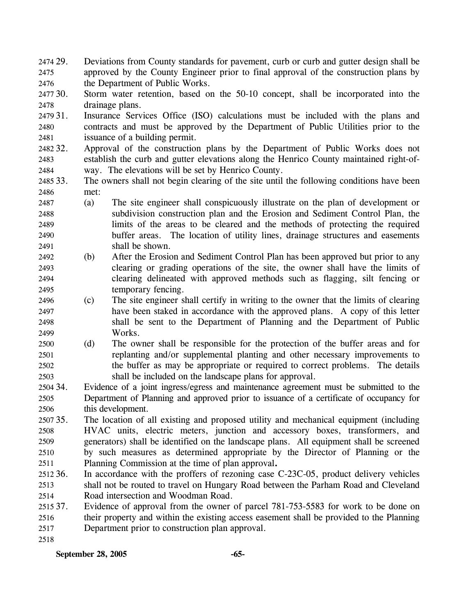2474 29. 2475 2476 Deviations from County standards for pavement, curb or curb and gutter design shall be approved by the County Engineer prior to final approval of the construction plans by the Department of Public Works.

2477 30. 2478 Storm water retention, based on the 50-10 concept, shall be incorporated into the drainage plans.

2479 31. 2480 2481 Insurance Services Office (ISO) calculations must be included with the plans and contracts and must be approved by the Department of Public Utilities prior to the issuance of a building permit.

2482 32. 2483 2484 Approval of the construction plans by the Department of Public Works does not establish the curb and gutter elevations along the Henrico County maintained right-ofway. The elevations will be set by Henrico County.

2485 33. 2486 The owners shall not begin clearing of the site until the following conditions have been met:

2487 2488 2489 2490 2491 (a) The site engineer shall conspicuously illustrate on the plan of development or subdivision construction plan and the Erosion and Sediment Control Plan, the limits of the areas to be cleared and the methods of protecting the required buffer areas. The location of utility lines, drainage structures and easements shall be shown.

2492 2493 2494 2495 (b) After the Erosion and Sediment Control Plan has been approved but prior to any clearing or grading operations of the site, the owner shall have the limits of clearing delineated with approved methods such as flagging, silt fencing or temporary fencing.

2496 2497 2498 2499 (c) The site engineer shall certify in writing to the owner that the limits of clearing have been staked in accordance with the approved plans. A copy of this letter shall be sent to the Department of Planning and the Department of Public Works.

2500 2501 2502 2503 (d) The owner shall be responsible for the protection of the buffer areas and for replanting and/or supplemental planting and other necessary improvements to the buffer as may be appropriate or required to correct problems. The details shall be included on the landscape plans for approval.

2504 34. 2505 2506 Evidence of a joint ingress/egress and maintenance agreement must be submitted to the Department of Planning and approved prior to issuance of a certificate of occupancy for this development.

2507 35. 2508 2509 2510 2511 The location of all existing and proposed utility and mechanical equipment (including HVAC units, electric meters, junction and accessory boxes, transformers, and generators) shall be identified on the landscape plans. All equipment shall be screened by such measures as determined appropriate by the Director of Planning or the Planning Commission at the time of plan approval**.**

2512 36. 2513 2514 In accordance with the proffers of rezoning case C-23C-05, product delivery vehicles shall not be routed to travel on Hungary Road between the Parham Road and Cleveland Road intersection and Woodman Road.

2515 37. 2516 2517 2518 Evidence of approval from the owner of parcel 781-753-5583 for work to be done on their property and within the existing access easement shall be provided to the Planning Department prior to construction plan approval.

**September 28, 2005 -65-**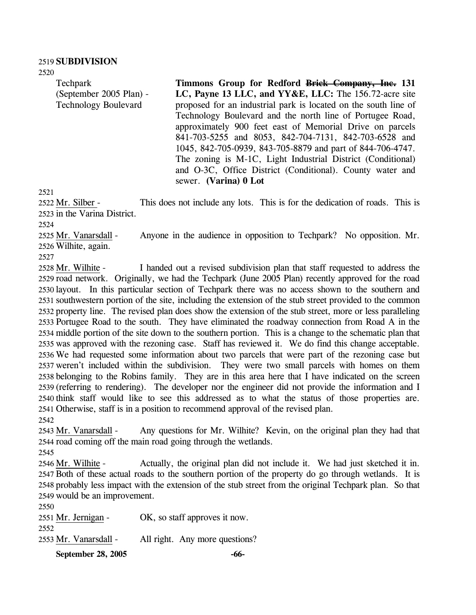#### 2519 **SUBDIVISION**

2520

Techpark (September 2005 Plan) - Technology Boulevard

**Timmons Group for Redford Brick Company, Inc. 131 LC, Payne 13 LLC, and YY&E, LLC:** The 156.72-acre site proposed for an industrial park is located on the south line of Technology Boulevard and the north line of Portugee Road, approximately 900 feet east of Memorial Drive on parcels 841-703-5255 and 8053, 842-704-7131, 842-703-6528 and 1045, 842-705-0939, 843-705-8879 and part of 844-706-4747. The zoning is M-1C, Light Industrial District (Conditional) and O-3C, Office District (Conditional). County water and sewer. **(Varina) 0 Lot** 

2521

This does not include any lots. This is for the dedication of roads. This is 2523 in the Varina District. 2522 Mr. Silber -

2524

Anyone in the audience in opposition to Techpark? No opposition. Mr. Wilhite, again. 2526 2525 Mr. Vanarsdall -

2527

I handed out a revised subdivision plan that staff requested to address the 2529 road network. Originally, we had the Techpark (June 2005 Plan) recently approved for the road 2530 layout. In this particular section of Techpark there was no access shown to the southern and 2531 southwestern portion of the site, including the extension of the stub street provided to the common 2532 property line. The revised plan does show the extension of the stub street, more or less paralleling 2533 Portugee Road to the south. They have eliminated the roadway connection from Road A in the 2534 middle portion of the site down to the southern portion. This is a change to the schematic plan that 2535 was approved with the rezoning case. Staff has reviewed it. We do find this change acceptable. 2536 We had requested some information about two parcels that were part of the rezoning case but 2537 weren't included within the subdivision. They were two small parcels with homes on them 2538 belonging to the Robins family. They are in this area here that I have indicated on the screen 2539 (referring to rendering). The developer nor the engineer did not provide the information and I 2540 think staff would like to see this addressed as to what the status of those properties are. 2541 Otherwise, staff is in a position to recommend approval of the revised plan. 2528 Mr. Wilhite -

2542

Any questions for Mr. Wilhite? Kevin, on the original plan they had that 2544 road coming off the main road going through the wetlands. 2543 Mr. Vanarsdall -

2545

Actually, the original plan did not include it. We had just sketched it in. 2547 Both of these actual roads to the southern portion of the property do go through wetlands. It is 2548 probably less impact with the extension of the stub street from the original Techpark plan. So that 2549 would be an improvement. 2546 Mr. Wilhite -

2550 2551 Mr. Jernigan - OK, so staff approves it now. 2552 2553 Mr. Vanarsdall - All right. Any more questions?

**September 28, 2005 -66-**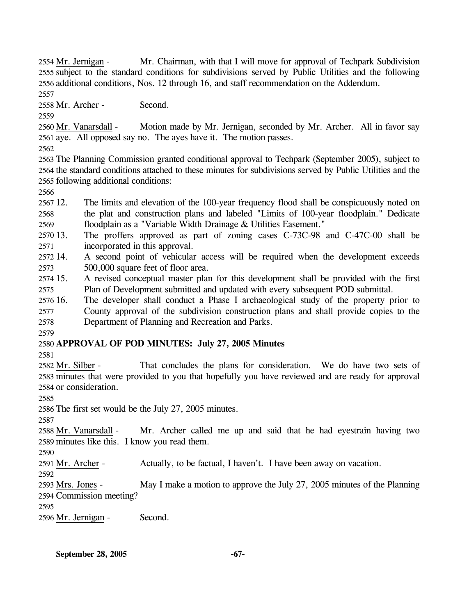Mr. Chairman, with that I will move for approval of Techpark Subdivision 2555 subject to the standard conditions for subdivisions served by Public Utilities and the following 2556 additional conditions, Nos. 12 through 16, and staff recommendation on the Addendum. 2554 Mr. Jernigan -

2557

2558 Mr. Archer - Second.

2559

Motion made by Mr. Jernigan, seconded by Mr. Archer. All in favor say 2561 aye. All opposed say no. The ayes have it. The motion passes. 2560 Mr. Vanarsdall -

2562

2563 The Planning Commission granted conditional approval to Techpark (September 2005), subject to 2564 the standard conditions attached to these minutes for subdivisions served by Public Utilities and the 2565 following additional conditions:

2566

2567 12. 2568 2569 The limits and elevation of the 100-year frequency flood shall be conspicuously noted on the plat and construction plans and labeled "Limits of 100-year floodplain." Dedicate floodplain as a "Variable Width Drainage & Utilities Easement."

2570 13. 2571 The proffers approved as part of zoning cases C-73C-98 and C-47C-00 shall be incorporated in this approval.

2572.14 2573 14. A second point of vehicular access will be required when the development exceeds 500,000 square feet of floor area.

2574 15. 2575 15. A revised conceptual master plan for this development shall be provided with the first Plan of Development submitted and updated with every subsequent POD submittal.

 $257616.$ 2577 2578 The developer shall conduct a Phase I archaeological study of the property prior to County approval of the subdivision construction plans and shall provide copies to the Department of Planning and Recreation and Parks.

# 2580 **APPROVAL OF POD MINUTES: July 27, 2005 Minutes**

2581

2579

That concludes the plans for consideration. We do have two sets of 2583 minutes that were provided to you that hopefully you have reviewed and are ready for approval 2584 or consideration. 2582 Mr. Silber -

2585

2586 The first set would be the July 27, 2005 minutes.

2587

Mr. Archer called me up and said that he had eyestrain having two 2589 minutes like this. I know you read them. 2588 Mr. Vanarsdall -

2590

2591 Mr. Archer - Actually, to be factual, I haven't. I have been away on vacation.

2592

May I make a motion to approve the July 27, 2005 minutes of the Planning 2594 Commission meeting? 2593 Mrs. Jones -

2595

2596 Mr. Jernigan - Second.

**September 28, 2005 -67-**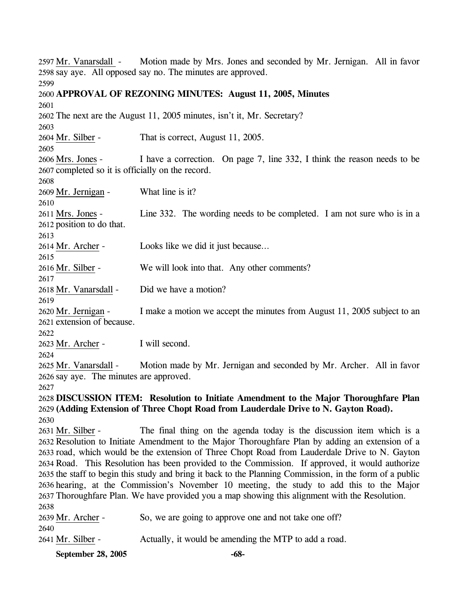Motion made by Mrs. Jones and seconded by Mr. Jernigan. All in favor 2598 say aye. All opposed say no. The minutes are approved. 2597 Mr. Vanarsdall -2599 2600 **APPROVAL OF REZONING MINUTES: August 11, 2005, Minutes**  2601 2602 The next are the August 11, 2005 minutes, isn't it, Mr. Secretary? 2603 2604 Mr. Silber - That is correct, August 11, 2005. 2605 I have a correction. On page 7, line 332, I think the reason needs to be 2607 completed so it is officially on the record. 2606 Mrs. Jones -2608 2609 Mr. Jernigan - What line is it? 2610 Line 332. The wording needs to be completed. I am not sure who is in a 2612 position to do that. 2611 Mrs. Jones -2613 2614 Mr. Archer - Looks like we did it just because… 2615 2616 Mr. Silber - We will look into that. Any other comments? 2617 2618 Mr. Vanarsdall - Did we have a motion? 2619 I make a motion we accept the minutes from August 11, 2005 subject to an 2621 extension of because. 2620 Mr. Jernigan -2622 2623 Mr. Archer - I will second. 2624 Motion made by Mr. Jernigan and seconded by Mr. Archer. All in favor 2626 say aye. The minutes are approved. 2625 Mr. Vanarsdall -2627 2628 **DISCUSSION ITEM: Resolution to Initiate Amendment to the Major Thoroughfare Plan**  2629 **(Adding Extension of Three Chopt Road from Lauderdale Drive to N. Gayton Road).**  2630 The final thing on the agenda today is the discussion item which is a 2632 Resolution to Initiate Amendment to the Major Thoroughfare Plan by adding an extension of a 2633 road, which would be the extension of Three Chopt Road from Lauderdale Drive to N. Gayton 2634 Road. This Resolution has been provided to the Commission. If approved, it would authorize 2635 the staff to begin this study and bring it back to the Planning Commission, in the form of a public 2636 hearing, at the Commission's November 10 meeting, the study to add this to the Major 2637 Thoroughfare Plan. We have provided you a map showing this alignment with the Resolution. 2631 Mr. Silber -2638 2639 Mr. Archer - So, we are going to approve one and not take one off? 2640 2641 Mr. Silber - Actually, it would be amending the MTP to add a road.

**September 28, 2005 -68-**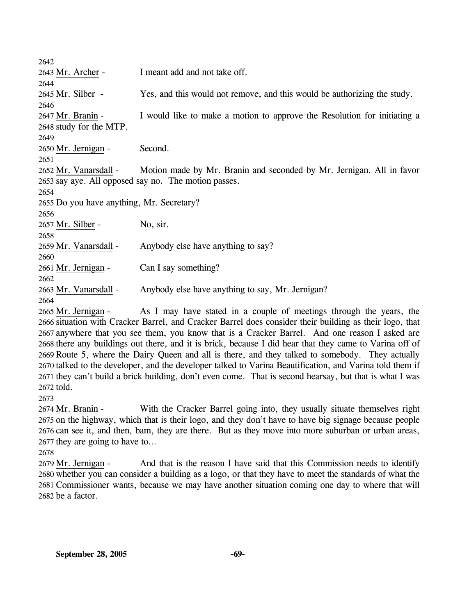2642 2643 Mr. Archer - I meant add and not take off. 2644 2645 Mr. Silber - Yes, and this would not remove, and this would be authorizing the study. 2646 I would like to make a motion to approve the Resolution for initiating a 2648 study for the MTP. 2647 Mr. Branin -2649 2650 Mr. Jernigan - Second. 2651 Motion made by Mr. Branin and seconded by Mr. Jernigan. All in favor 2653 say aye. All opposed say no. The motion passes. 2652 Mr. Vanarsdall -2654 2655 Do you have anything, Mr. Secretary? 2656 2657 Mr. Silber - No, sir. 2658 2659 Mr. Vanarsdall - Anybody else have anything to say? 2660 2661 Mr. Jernigan - Can I say something? 2662 2663 Mr. Vanarsdall - Anybody else have anything to say, Mr. Jernigan? 2664

As I may have stated in a couple of meetings through the years, the 2666 situation with Cracker Barrel, and Cracker Barrel does consider their building as their logo, that 2667 anywhere that you see them, you know that is a Cracker Barrel. And one reason I asked are 2668 there any buildings out there, and it is brick, because I did hear that they came to Varina off of 2669 Route 5, where the Dairy Queen and all is there, and they talked to somebody. They actually 2670 talked to the developer, and the developer talked to Varina Beautification, and Varina told them if 2671 they can't build a brick building, don't even come. That is second hearsay, but that is what I was 2672 told. 2665 Mr. Jernigan -

2673

With the Cracker Barrel going into, they usually situate themselves right 2675 on the highway, which that is their logo, and they don't have to have big signage because people 2676 can see it, and then, bam, they are there. But as they move into more suburban or urban areas, 2677 they are going to have to... 2674 Mr. Branin -

2678

And that is the reason I have said that this Commission needs to identify 2680 whether you can consider a building as a logo, or that they have to meet the standards of what the 2681 Commissioner wants, because we may have another situation coming one day to where that will 2682 be a factor. 2679 Mr. Jernigan -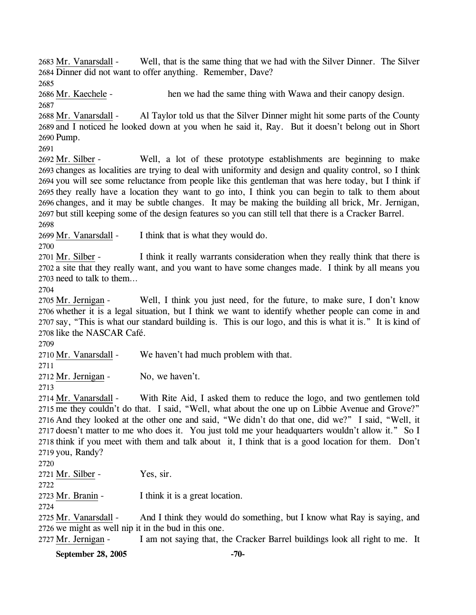Well, that is the same thing that we had with the Silver Dinner. The Silver 2684 Dinner did not want to offer anything. Remember, Dave? 2683 Mr. Vanarsdall -

2685

2686 Mr. Kaechele - hen we had the same thing with Wawa and their canopy design. 2687

Al Taylor told us that the Silver Dinner might hit some parts of the County 2689 and I noticed he looked down at you when he said it, Ray. But it doesn't belong out in Short 2690 Pump. 2688 Mr. Vanarsdall -

2691

Well, a lot of these prototype establishments are beginning to make 2693 changes as localities are trying to deal with uniformity and design and quality control, so I think 2694 you will see some reluctance from people like this gentleman that was here today, but I think if 2695 they really have a location they want to go into, I think you can begin to talk to them about 2696 changes, and it may be subtle changes. It may be making the building all brick, Mr. Jernigan, 2697 but still keeping some of the design features so you can still tell that there is a Cracker Barrel. 2692 Mr. Silber -

2698

2699 Mr. Vanarsdall - I think that is what they would do.

2700

I think it really warrants consideration when they really think that there is 2702 a site that they really want, and you want to have some changes made. I think by all means you 2703 need to talk to them... 2701 Mr. Silber -

2704

Well, I think you just need, for the future, to make sure, I don't know 2706 whether it is a legal situation, but I think we want to identify whether people can come in and 2707 say, "This is what our standard building is. This is our logo, and this is what it is." It is kind of 2708 like the NASCAR Café. 2705 Mr. Jernigan -

2709

2710 Mr. Vanarsdall - We haven't had much problem with that.

2711

2712 Mr. Jernigan - No, we haven't.

2713

With Rite Aid, I asked them to reduce the logo, and two gentlemen told 2715 me they couldn't do that. I said, "Well, what about the one up on Libbie Avenue and Grove?" 2716 And they looked at the other one and said, "We didn't do that one, did we?" I said, "Well, it 2717 doesn't matter to me who does it. You just told me your headquarters wouldn't allow it." So I 2718 think if you meet with them and talk about it, I think that is a good location for them. Don't 2719 you, Randy? 2714 Mr. Vanarsdall -

2720

2721 Mr. Silber - Yes, sir.

2722

2723 Mr. Branin - I think it is a great location.

2724

And I think they would do something, but I know what Ray is saying, and 2726 we might as well nip it in the bud in this one. 2725 Mr. Vanarsdall -

2727 Mr. Jernigan - I am not saying that, the Cracker Barrel buildings look all right to me. It

**September 28, 2005** -70-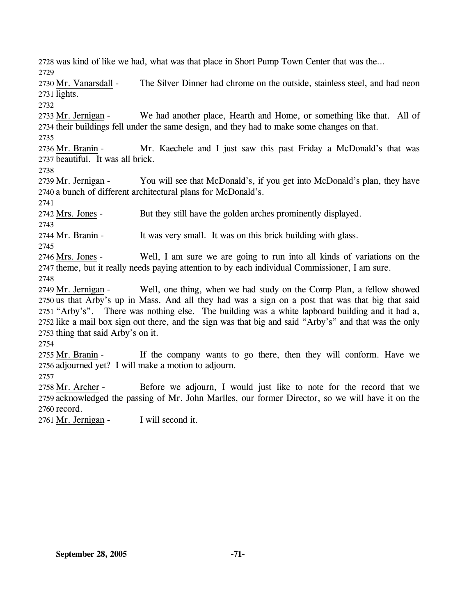2728 was kind of like we had, what was that place in Short Pump Town Center that was the… 2729 The Silver Dinner had chrome on the outside, stainless steel, and had neon 2731 lights. 2730 Mr. Vanarsdall -2732 We had another place, Hearth and Home, or something like that. All of 2734 their buildings fell under the same design, and they had to make some changes on that. 2733 Mr. Jernigan -2735 Mr. Kaechele and I just saw this past Friday a McDonald's that was 2737 beautiful. It was all brick. 2736 Mr. Branin -2738 You will see that McDonald's, if you get into McDonald's plan, they have 2740 a bunch of different architectural plans for McDonald's. 2739 Mr. Jernigan -2741 2742 Mrs. Jones - But they still have the golden arches prominently displayed. 2743 2744 Mr. Branin - It was very small. It was on this brick building with glass. 2745 Well, I am sure we are going to run into all kinds of variations on the 2747 theme, but it really needs paying attention to by each individual Commissioner, I am sure. 2746 Mrs. Jones -2748 Well, one thing, when we had study on the Comp Plan, a fellow showed 2750 us that Arby's up in Mass. And all they had was a sign on a post that was that big that said 2751 "Arby's". There was nothing else. The building was a white lapboard building and it had a, 2752 like a mail box sign out there, and the sign was that big and said "Arby's" and that was the only 2753 thing that said Arby's on it. 2749 Mr. Jernigan -2754 If the company wants to go there, then they will conform. Have we 2756 adjourned yet? I will make a motion to adjourn. 2755 Mr. Branin -2757 Before we adjourn, I would just like to note for the record that we 2759 acknowledged the passing of Mr. John Marlles, our former Director, so we will have it on the 2760 record. 2758 Mr. Archer -2761 Mr. Jernigan - I will second it.